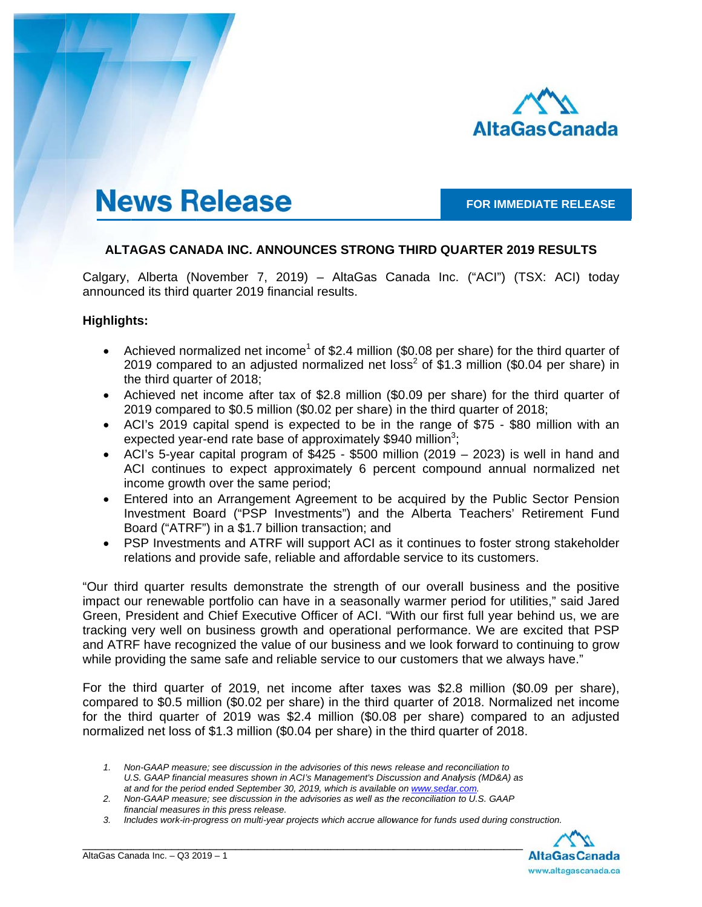

# **News Release**

**FOR IMMEDIATE RELEASE** 

## **ALTAGAS CANADA INC. ANNOUNCES STRONG THIRD QUARTER 2019 RESULTS**

Calgary, Alberta (November 7, 2019) – AltaGas Canada Inc. ("ACI") (TSX: ACI) today announced its third quarter 2019 financial results.

### **Highligh hts:**

- Achieved normalized net income<sup>1</sup> of \$2.4 million (\$0.08 per share) for the third quarter of 2019 compared to an adjusted normalized net loss<sup>2</sup> of \$1.3 million (\$0.04 per share) in the third quarter of 2018;
- Achieved net income after tax of \$2.8 million (\$0.09 per share) for the third quarter of 2019 compared to \$0.5 million (\$0.02 per share) in the third quarter of 2018;
- ACI's 2019 capital spend is expected to be in the range of \$75 \$80 million with an expected year-end rate base of approximately \$940 million<sup>3</sup>;
- ACI's 5-year capital program of  $$425 $500$  million (2019 2023) is well in hand and ACI continues to expect approximately 6 percent compound annual normalized net income growth over the same period;
- Entered into an Arrangement Agreement to be acquired by the Public Sector Pension Investment Board ("PSP Investments") and the Alberta Teachers' Retirement Fund Board ("ATRF") in a \$1.7 billion transaction; and
- PSP Investments and ATRF will support ACI as it continues to foster strong stakeholder relations and provide safe, reliable and affordable service to its customers.

"Our third quarter results demonstrate the strength of our overall business and the positive impact our renewable portfolio can have in a seasonally warmer period for utilities," said Jared Green, President and Chief Executive Officer of ACI. "With our first full year behind us, we are tracking very well on business growth and operational performance. We are excited that PSP and ATRF have recognized the value of our business and we look forward to continuing to grow while providing the same safe and reliable service to our customers that we always have."

For the third quarter of 2019, net income after taxes was \$2.8 million (\$0.09 per share), compared to \$0.5 million (\$0.02 per share) in the third quarter of 2018. Normalized net income for the third quarter of 2019 was \$2.4 million (\$0.08 per share) compared to an adjusted normalized net loss of \$1.3 million (\$0.04 per share) in the third quarter of 2018.

\_\_\_\_\_\_\_\_\_\_\_

\_\_\_\_\_\_\_\_\_\_\_

\_\_\_\_\_\_\_\_\_\_\_\_

\_\_\_\_\_\_\_\_\_\_\_



<sup>1.</sup> Non-GAAP measure; see discussion in the advisories of this news release and reconciliation to U.S. GAAP financial measures shown in ACI's Management's Discussion and Analysis (MD&A) as at and for the period ended September 30, 2019, which is available on www.sedar.com.

<sup>2.</sup> Non-GAAP measure; see discussion in the advisories as well as the reconciliation to U.S. GAAP financial measures in this press release.

*<sup>3.</sup> In ncludes work-in-p progress on multi i-year projects w which accrue allow wance for funds used during con nstruction.*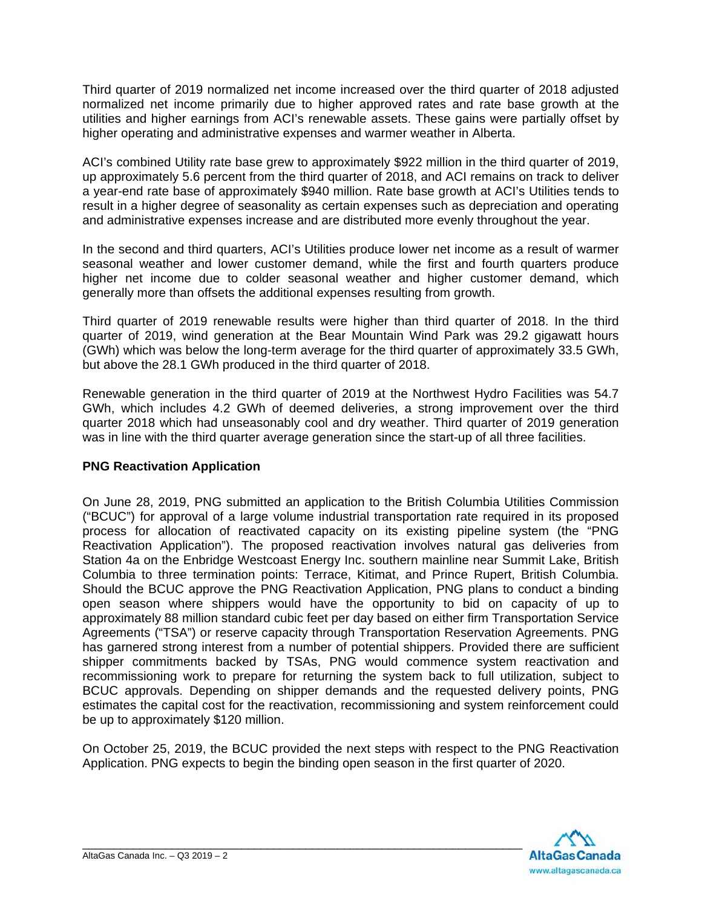Third quarter of 2019 normalized net income increased over the third quarter of 2018 adjusted normalized net income primarily due to higher approved rates and rate base growth at the utilities and higher earnings from ACI's renewable assets. These gains were partially offset by higher operating and administrative expenses and warmer weather in Alberta.

ACI's combined Utility rate base grew to approximately \$922 million in the third quarter of 2019, up approximately 5.6 percent from the third quarter of 2018, and ACI remains on track to deliver a year-end rate base of approximately \$940 million. Rate base growth at ACI's Utilities tends to result in a higher degree of seasonality as certain expenses such as depreciation and operating and administrative expenses increase and are distributed more evenly throughout the year.

In the second and third quarters, ACI's Utilities produce lower net income as a result of warmer seasonal weather and lower customer demand, while the first and fourth quarters produce higher net income due to colder seasonal weather and higher customer demand, which generally more than offsets the additional expenses resulting from growth.

Third quarter of 2019 renewable results were higher than third quarter of 2018. In the third quarter of 2019, wind generation at the Bear Mountain Wind Park was 29.2 gigawatt hours (GWh) which was below the long-term average for the third quarter of approximately 33.5 GWh, but above the 28.1 GWh produced in the third quarter of 2018.

Renewable generation in the third quarter of 2019 at the Northwest Hydro Facilities was 54.7 GWh, which includes 4.2 GWh of deemed deliveries, a strong improvement over the third quarter 2018 which had unseasonably cool and dry weather. Third quarter of 2019 generation was in line with the third quarter average generation since the start-up of all three facilities.

## **PNG Reactivation Application**

On June 28, 2019, PNG submitted an application to the British Columbia Utilities Commission ("BCUC") for approval of a large volume industrial transportation rate required in its proposed process for allocation of reactivated capacity on its existing pipeline system (the "PNG Reactivation Application"). The proposed reactivation involves natural gas deliveries from Station 4a on the Enbridge Westcoast Energy Inc. southern mainline near Summit Lake, British Columbia to three termination points: Terrace, Kitimat, and Prince Rupert, British Columbia. Should the BCUC approve the PNG Reactivation Application, PNG plans to conduct a binding open season where shippers would have the opportunity to bid on capacity of up to approximately 88 million standard cubic feet per day based on either firm Transportation Service Agreements ("TSA") or reserve capacity through Transportation Reservation Agreements. PNG has garnered strong interest from a number of potential shippers. Provided there are sufficient shipper commitments backed by TSAs, PNG would commence system reactivation and recommissioning work to prepare for returning the system back to full utilization, subject to BCUC approvals. Depending on shipper demands and the requested delivery points, PNG estimates the capital cost for the reactivation, recommissioning and system reinforcement could be up to approximately \$120 million.

On October 25, 2019, the BCUC provided the next steps with respect to the PNG Reactivation Application. PNG expects to begin the binding open season in the first quarter of 2020.

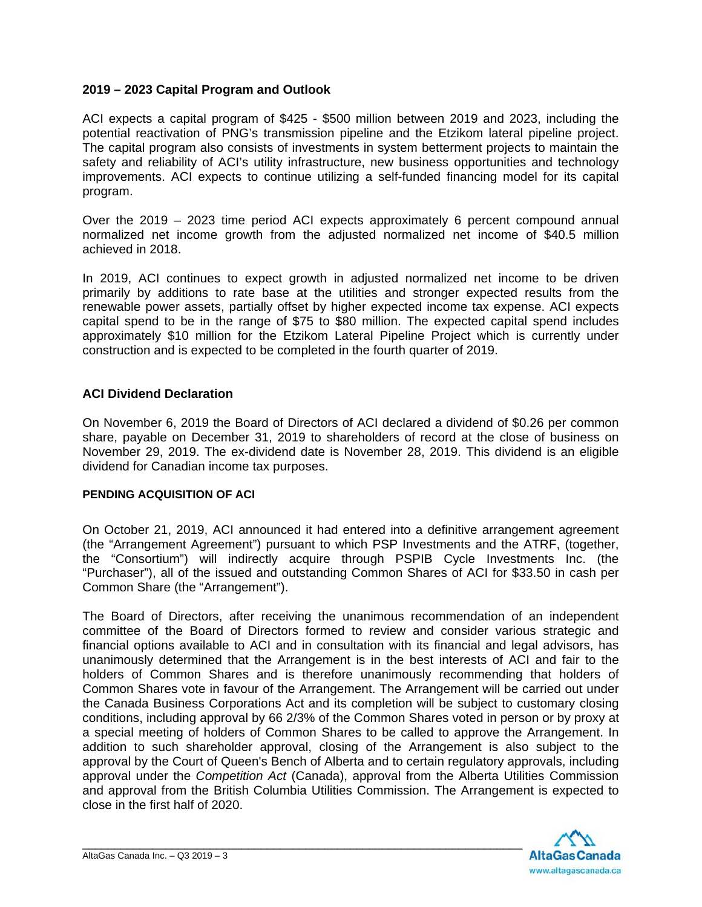## **2019 – 2023 Capital Program and Outlook**

ACI expects a capital program of \$425 - \$500 million between 2019 and 2023, including the potential reactivation of PNG's transmission pipeline and the Etzikom lateral pipeline project. The capital program also consists of investments in system betterment projects to maintain the safety and reliability of ACI's utility infrastructure, new business opportunities and technology improvements. ACI expects to continue utilizing a self-funded financing model for its capital program.

Over the 2019 – 2023 time period ACI expects approximately 6 percent compound annual normalized net income growth from the adjusted normalized net income of \$40.5 million achieved in 2018.

In 2019, ACI continues to expect growth in adjusted normalized net income to be driven primarily by additions to rate base at the utilities and stronger expected results from the renewable power assets, partially offset by higher expected income tax expense. ACI expects capital spend to be in the range of \$75 to \$80 million. The expected capital spend includes approximately \$10 million for the Etzikom Lateral Pipeline Project which is currently under construction and is expected to be completed in the fourth quarter of 2019.

## **ACI Dividend Declaration**

On November 6, 2019 the Board of Directors of ACI declared a dividend of \$0.26 per common share, payable on December 31, 2019 to shareholders of record at the close of business on November 29, 2019. The ex-dividend date is November 28, 2019. This dividend is an eligible dividend for Canadian income tax purposes.

### **PENDING ACQUISITION OF ACI**

On October 21, 2019, ACI announced it had entered into a definitive arrangement agreement (the "Arrangement Agreement") pursuant to which PSP Investments and the ATRF, (together, the "Consortium") will indirectly acquire through PSPIB Cycle Investments Inc. (the "Purchaser"), all of the issued and outstanding Common Shares of ACI for \$33.50 in cash per Common Share (the "Arrangement").

The Board of Directors, after receiving the unanimous recommendation of an independent committee of the Board of Directors formed to review and consider various strategic and financial options available to ACI and in consultation with its financial and legal advisors, has unanimously determined that the Arrangement is in the best interests of ACI and fair to the holders of Common Shares and is therefore unanimously recommending that holders of Common Shares vote in favour of the Arrangement. The Arrangement will be carried out under the Canada Business Corporations Act and its completion will be subject to customary closing conditions, including approval by 66 2/3% of the Common Shares voted in person or by proxy at a special meeting of holders of Common Shares to be called to approve the Arrangement. In addition to such shareholder approval, closing of the Arrangement is also subject to the approval by the Court of Queen's Bench of Alberta and to certain regulatory approvals, including approval under the *Competition Act* (Canada), approval from the Alberta Utilities Commission and approval from the British Columbia Utilities Commission. The Arrangement is expected to close in the first half of 2020.

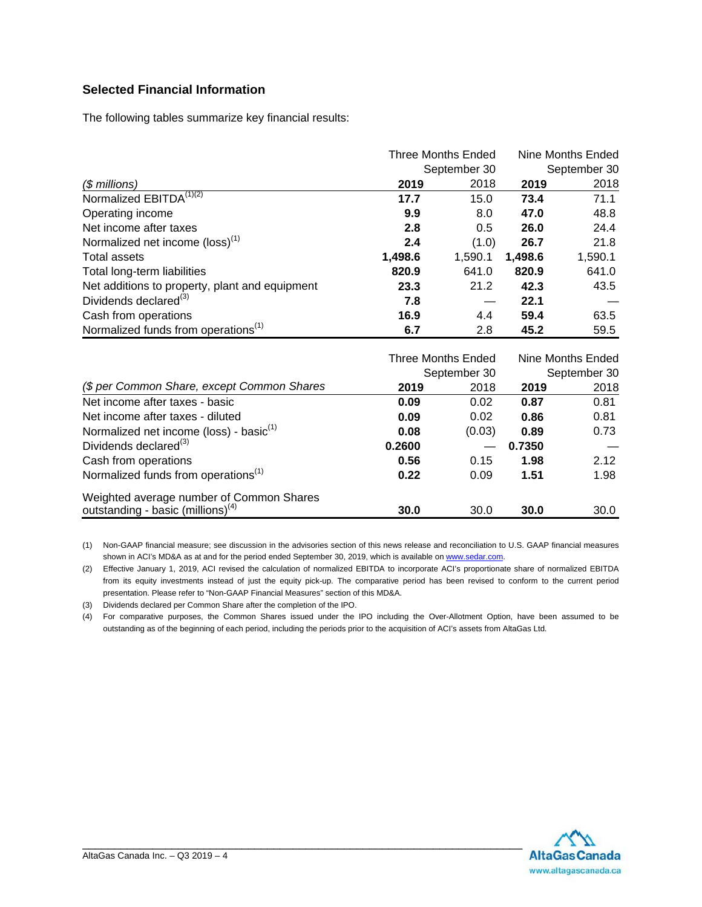## **Selected Financial Information**

The following tables summarize key financial results:

|                                                 |         | Three Months Ended | Nine Months Ended<br>September 30 |         |  |
|-------------------------------------------------|---------|--------------------|-----------------------------------|---------|--|
|                                                 |         | September 30       |                                   |         |  |
| $$$ millions)                                   | 2019    | 2018               | 2019                              | 2018    |  |
| Normalized EBITDA <sup>(1)(2)</sup>             | 17.7    | 15.0               | 73.4                              | 71.1    |  |
| Operating income                                | 9.9     | 8.0                | 47.0                              | 48.8    |  |
| Net income after taxes                          | 2.8     | 0.5                | 26.0                              | 24.4    |  |
| Normalized net income (loss) <sup>(1)</sup>     | 2.4     | (1.0)              | 26.7                              | 21.8    |  |
| <b>Total assets</b>                             | 1,498.6 | 1,590.1            | 1,498.6                           | 1,590.1 |  |
| Total long-term liabilities                     | 820.9   | 641.0              | 820.9                             | 641.0   |  |
| Net additions to property, plant and equipment  | 23.3    | 21.2               | 42.3                              | 43.5    |  |
| Dividends declared <sup>(3)</sup>               | 7.8     |                    | 22.1                              |         |  |
| Cash from operations                            | 16.9    | 4.4                | 59.4                              | 63.5    |  |
| Normalized funds from operations <sup>(1)</sup> | 6.7     | 2.8                | 45.2                              | 59.5    |  |

|                                                     | Three Months Ended | September 30 | Nine Months Ended<br>September 30 |      |  |
|-----------------------------------------------------|--------------------|--------------|-----------------------------------|------|--|
| (\$ per Common Share, except Common Shares          | 2019               | 2018         | 2019                              | 2018 |  |
| Net income after taxes - basic                      | 0.09               | 0.02         | 0.87                              | 0.81 |  |
| Net income after taxes - diluted                    | 0.09               | 0.02         | 0.86                              | 0.81 |  |
| Normalized net income (loss) - basic <sup>(1)</sup> | 0.08               | (0.03)       | 0.89                              | 0.73 |  |
| Dividends declared <sup>(3)</sup>                   | 0.2600             |              | 0.7350                            |      |  |
| Cash from operations                                | 0.56               | 0.15         | 1.98                              | 2.12 |  |
| Normalized funds from operations <sup>(1)</sup>     | 0.22               | 0.09         | 1.51                              | 1.98 |  |
| Weighted average number of Common Shares            |                    |              |                                   |      |  |
| outstanding - basic (millions) <sup>(4)</sup>       | 30.0               | 30.0         | 30.0                              | 30.0 |  |

(1) Non-GAAP financial measure; see discussion in the advisories section of this news release and reconciliation to U.S. GAAP financial measures shown in ACI's MD&A as at and for the period ended September 30, 2019, which is available on www.sedar.com.

(2) Effective January 1, 2019, ACI revised the calculation of normalized EBITDA to incorporate ACI's proportionate share of normalized EBITDA from its equity investments instead of just the equity pick-up. The comparative period has been revised to conform to the current period presentation. Please refer to "Non-GAAP Financial Measures" section of this MD&A.

(3) Dividends declared per Common Share after the completion of the IPO.

(4) For comparative purposes, the Common Shares issued under the IPO including the Over-Allotment Option, have been assumed to be outstanding as of the beginning of each period, including the periods prior to the acquisition of ACI's assets from AltaGas Ltd.

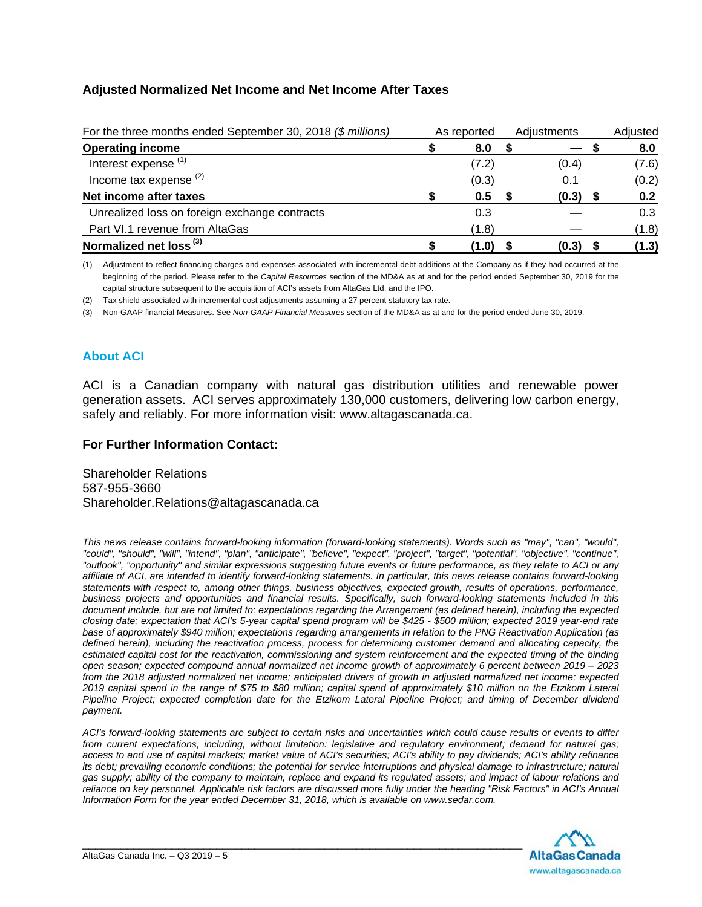## **Adjusted Normalized Net Income and Net Income After Taxes**

| For the three months ended September 30, 2018 (\$ millions) | As reported |  | Adiustments |  |       |
|-------------------------------------------------------------|-------------|--|-------------|--|-------|
| <b>Operating income</b>                                     | 8.0         |  |             |  | 8.0   |
| Interest expense <sup>(1)</sup>                             | (7.2)       |  | (0.4)       |  | (7.6) |
| Income tax expense $(2)$                                    | (0.3)       |  | 0.1         |  | (0.2) |
| Net income after taxes                                      | 0.5         |  | (0.3)       |  | 0.2   |
| Unrealized loss on foreign exchange contracts               | 0.3         |  |             |  | 0.3   |
| Part VI.1 revenue from AltaGas                              | (1.8)       |  |             |  | (1.8) |
| Normalized net loss <sup>(3)</sup>                          | (1.0)       |  | (0.3)       |  | (1.3) |

(1) Adjustment to reflect financing charges and expenses associated with incremental debt additions at the Company as if they had occurred at the beginning of the period. Please refer to the *Capital Resources* section of the MD&A as at and for the period ended September 30, 2019 for the capital structure subsequent to the acquisition of ACI's assets from AltaGas Ltd. and the IPO.

(2) Tax shield associated with incremental cost adjustments assuming a 27 percent statutory tax rate.

(3) Non-GAAP financial Measures. See *Non-GAAP Financial Measures* section of the MD&A as at and for the period ended June 30, 2019.

## **About ACI**

ACI is a Canadian company with natural gas distribution utilities and renewable power generation assets. ACI serves approximately 130,000 customers, delivering low carbon energy, safely and reliably. For more information visit: www.altagascanada.ca.

### **For Further Information Contact:**

Shareholder Relations 587-955-3660 Shareholder.Relations@altagascanada.ca

*This news release contains forward-looking information (forward-looking statements). Words such as "may", "can", "would", "could", "should", "will", "intend", "plan", "anticipate", "believe", "expect", "project", "target", "potential", "objective", "continue", "outlook", "opportunity" and similar expressions suggesting future events or future performance, as they relate to ACI or any affiliate of ACI, are intended to identify forward-looking statements. In particular, this news release contains forward-looking statements with respect to, among other things, business objectives, expected growth, results of operations, performance, business projects and opportunities and financial results. Specifically, such forward-looking statements included in this document include, but are not limited to: expectations regarding the Arrangement (as defined herein), including the expected closing date; expectation that ACI's 5-year capital spend program will be \$425 - \$500 million; expected 2019 year-end rate base of approximately \$940 million; expectations regarding arrangements in relation to the PNG Reactivation Application (as defined herein), including the reactivation process, process for determining customer demand and allocating capacity, the*  estimated capital cost for the reactivation, commissioning and system reinforcement and the expected timing of the binding *open season; expected compound annual normalized net income growth of approximately 6 percent between 2019 – 2023 from the 2018 adjusted normalized net income; anticipated drivers of growth in adjusted normalized net income; expected 2019 capital spend in the range of \$75 to \$80 million; capital spend of approximately \$10 million on the Etzikom Lateral Pipeline Project; expected completion date for the Etzikom Lateral Pipeline Project; and timing of December dividend payment.* 

*ACI's forward-looking statements are subject to certain risks and uncertainties which could cause results or events to differ from current expectations, including, without limitation: legislative and regulatory environment; demand for natural gas; access to and use of capital markets; market value of ACI's securities; ACI's ability to pay dividends; ACI's ability refinance its debt; prevailing economic conditions; the potential for service interruptions and physical damage to infrastructure; natural gas supply; ability of the company to maintain, replace and expand its regulated assets; and impact of labour relations and reliance on key personnel. Applicable risk factors are discussed more fully under the heading "Risk Factors" in ACI's Annual Information Form for the year ended December 31, 2018, which is available on www.sedar.com.* 

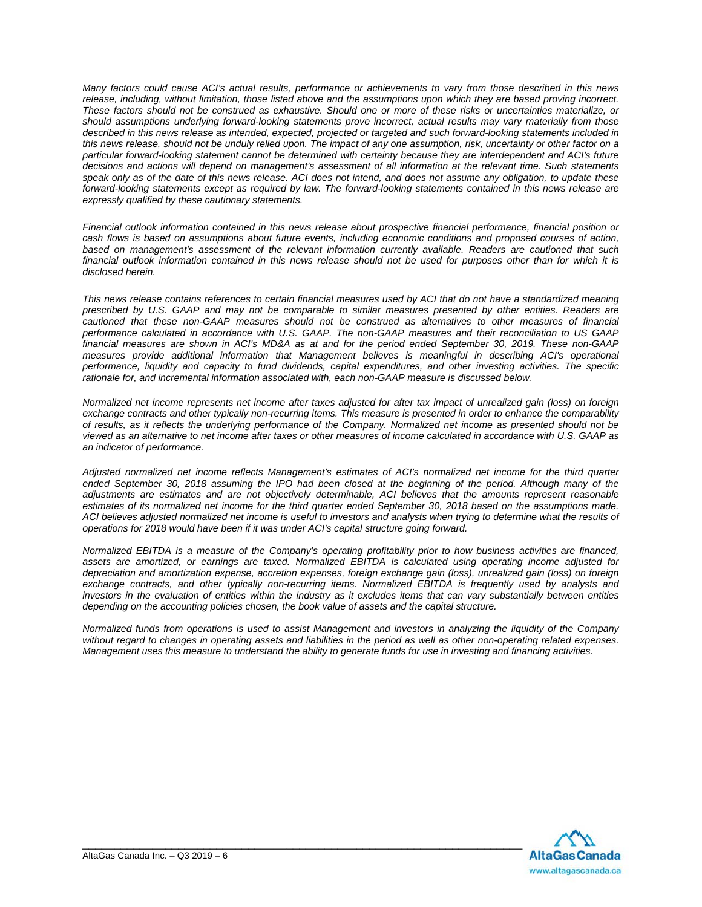*Many factors could cause ACI's actual results, performance or achievements to vary from those described in this news release, including, without limitation, those listed above and the assumptions upon which they are based proving incorrect. These factors should not be construed as exhaustive. Should one or more of these risks or uncertainties materialize, or should assumptions underlying forward-looking statements prove incorrect, actual results may vary materially from those described in this news release as intended, expected, projected or targeted and such forward-looking statements included in this news release, should not be unduly relied upon. The impact of any one assumption, risk, uncertainty or other factor on a particular forward-looking statement cannot be determined with certainty because they are interdependent and ACI's future decisions and actions will depend on management's assessment of all information at the relevant time. Such statements speak only as of the date of this news release. ACI does not intend, and does not assume any obligation, to update these forward-looking statements except as required by law. The forward-looking statements contained in this news release are expressly qualified by these cautionary statements.* 

*Financial outlook information contained in this news release about prospective financial performance, financial position or cash flows is based on assumptions about future events, including economic conditions and proposed courses of action, based on management's assessment of the relevant information currently available. Readers are cautioned that such financial outlook information contained in this news release should not be used for purposes other than for which it is disclosed herein.* 

*This news release contains references to certain financial measures used by ACI that do not have a standardized meaning prescribed by U.S. GAAP and may not be comparable to similar measures presented by other entities. Readers are cautioned that these non-GAAP measures should not be construed as alternatives to other measures of financial performance calculated in accordance with U.S. GAAP. The non-GAAP measures and their reconciliation to US GAAP financial measures are shown in ACI's MD&A as at and for the period ended September 30, 2019. These non-GAAP*  measures provide additional information that Management believes is meaningful in describing ACI's operational *performance, liquidity and capacity to fund dividends, capital expenditures, and other investing activities. The specific rationale for, and incremental information associated with, each non-GAAP measure is discussed below.* 

*Normalized net income represents net income after taxes adjusted for after tax impact of unrealized gain (loss) on foreign exchange contracts and other typically non-recurring items. This measure is presented in order to enhance the comparability of results, as it reflects the underlying performance of the Company. Normalized net income as presented should not be viewed as an alternative to net income after taxes or other measures of income calculated in accordance with U.S. GAAP as an indicator of performance.* 

*Adjusted normalized net income reflects Management's estimates of ACI's normalized net income for the third quarter*  ended September 30, 2018 assuming the IPO had been closed at the beginning of the period. Although many of the *adjustments are estimates and are not objectively determinable, ACI believes that the amounts represent reasonable estimates of its normalized net income for the third quarter ended September 30, 2018 based on the assumptions made. ACI believes adjusted normalized net income is useful to investors and analysts when trying to determine what the results of operations for 2018 would have been if it was under ACI's capital structure going forward.* 

*Normalized EBITDA is a measure of the Company's operating profitability prior to how business activities are financed, assets are amortized, or earnings are taxed. Normalized EBITDA is calculated using operating income adjusted for depreciation and amortization expense, accretion expenses, foreign exchange gain (loss), unrealized gain (loss) on foreign exchange contracts, and other typically non-recurring items. Normalized EBITDA is frequently used by analysts and investors in the evaluation of entities within the industry as it excludes items that can vary substantially between entities depending on the accounting policies chosen, the book value of assets and the capital structure.* 

*Normalized funds from operations is used to assist Management and investors in analyzing the liquidity of the Company without regard to changes in operating assets and liabilities in the period as well as other non-operating related expenses. Management uses this measure to understand the ability to generate funds for use in investing and financing activities.* 

\_\_\_\_\_\_\_\_\_\_\_\_\_\_\_\_\_\_\_\_\_\_\_\_\_\_\_\_\_\_\_\_\_\_\_\_\_\_\_\_\_\_\_\_\_\_\_\_\_\_\_\_\_\_\_\_\_\_\_\_\_\_\_\_\_\_\_\_\_

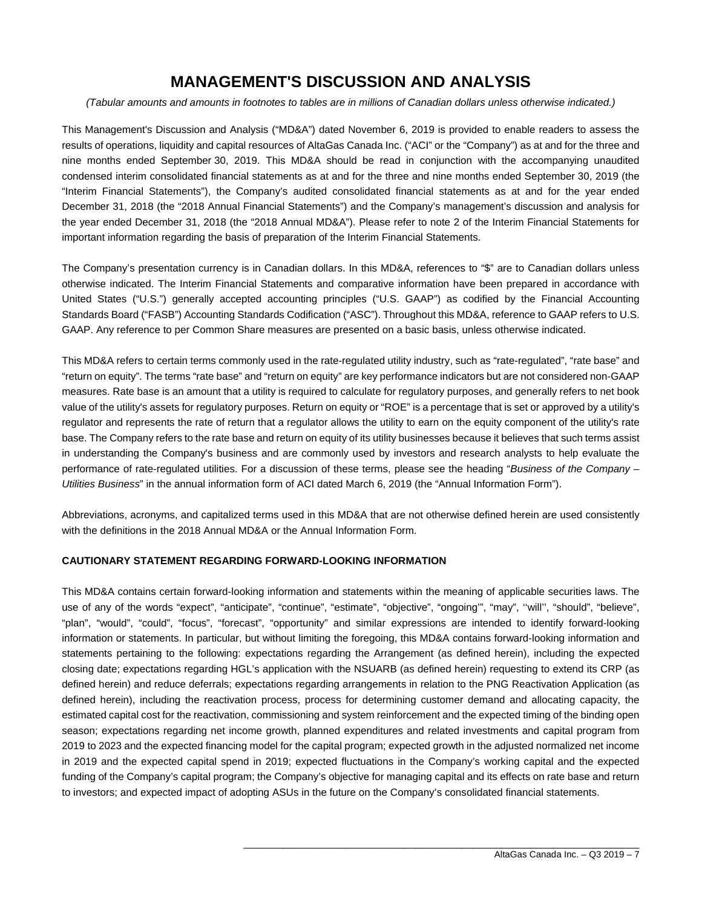## **MANAGEMENT'S DISCUSSION AND ANALYSIS**

*(Tabular amounts and amounts in footnotes to tables are in millions of Canadian dollars unless otherwise indicated.)* 

This Management's Discussion and Analysis ("MD&A") dated November 6, 2019 is provided to enable readers to assess the results of operations, liquidity and capital resources of AltaGas Canada Inc. ("ACI" or the "Company") as at and for the three and nine months ended September 30, 2019. This MD&A should be read in conjunction with the accompanying unaudited condensed interim consolidated financial statements as at and for the three and nine months ended September 30, 2019 (the "Interim Financial Statements"), the Company's audited consolidated financial statements as at and for the year ended December 31, 2018 (the "2018 Annual Financial Statements") and the Company's management's discussion and analysis for the year ended December 31, 2018 (the "2018 Annual MD&A"). Please refer to note 2 of the Interim Financial Statements for important information regarding the basis of preparation of the Interim Financial Statements.

The Company's presentation currency is in Canadian dollars. In this MD&A, references to "\$" are to Canadian dollars unless otherwise indicated. The Interim Financial Statements and comparative information have been prepared in accordance with United States ("U.S.") generally accepted accounting principles ("U.S. GAAP") as codified by the Financial Accounting Standards Board ("FASB") Accounting Standards Codification ("ASC"). Throughout this MD&A, reference to GAAP refers to U.S. GAAP. Any reference to per Common Share measures are presented on a basic basis, unless otherwise indicated.

This MD&A refers to certain terms commonly used in the rate-regulated utility industry, such as "rate-regulated", "rate base" and "return on equity". The terms "rate base" and "return on equity" are key performance indicators but are not considered non-GAAP measures. Rate base is an amount that a utility is required to calculate for regulatory purposes, and generally refers to net book value of the utility's assets for regulatory purposes. Return on equity or "ROE" is a percentage that is set or approved by a utility's regulator and represents the rate of return that a regulator allows the utility to earn on the equity component of the utility's rate base. The Company refers to the rate base and return on equity of its utility businesses because it believes that such terms assist in understanding the Company's business and are commonly used by investors and research analysts to help evaluate the performance of rate-regulated utilities. For a discussion of these terms, please see the heading "*Business of the Company – Utilities Business*" in the annual information form of ACI dated March 6, 2019 (the "Annual Information Form").

Abbreviations, acronyms, and capitalized terms used in this MD&A that are not otherwise defined herein are used consistently with the definitions in the 2018 Annual MD&A or the Annual Information Form.

#### **CAUTIONARY STATEMENT REGARDING FORWARD-LOOKING INFORMATION**

This MD&A contains certain forward-looking information and statements within the meaning of applicable securities laws. The use of any of the words "expect", "anticipate", "continue", "estimate", "objective", "ongoing'", "may", ''will'', "should", "believe", "plan", "would", "could", "focus", "forecast", "opportunity" and similar expressions are intended to identify forward-looking information or statements. In particular, but without limiting the foregoing, this MD&A contains forward-looking information and statements pertaining to the following: expectations regarding the Arrangement (as defined herein), including the expected closing date; expectations regarding HGL's application with the NSUARB (as defined herein) requesting to extend its CRP (as defined herein) and reduce deferrals; expectations regarding arrangements in relation to the PNG Reactivation Application (as defined herein), including the reactivation process, process for determining customer demand and allocating capacity, the estimated capital cost for the reactivation, commissioning and system reinforcement and the expected timing of the binding open season; expectations regarding net income growth, planned expenditures and related investments and capital program from 2019 to 2023 and the expected financing model for the capital program; expected growth in the adjusted normalized net income in 2019 and the expected capital spend in 2019; expected fluctuations in the Company's working capital and the expected funding of the Company's capital program; the Company's objective for managing capital and its effects on rate base and return to investors; and expected impact of adopting ASUs in the future on the Company's consolidated financial statements.

 $\overline{\phantom{a}}$  , and the contribution of the contribution of the contribution of the contribution of the contribution of the contribution of the contribution of the contribution of the contribution of the contribution of the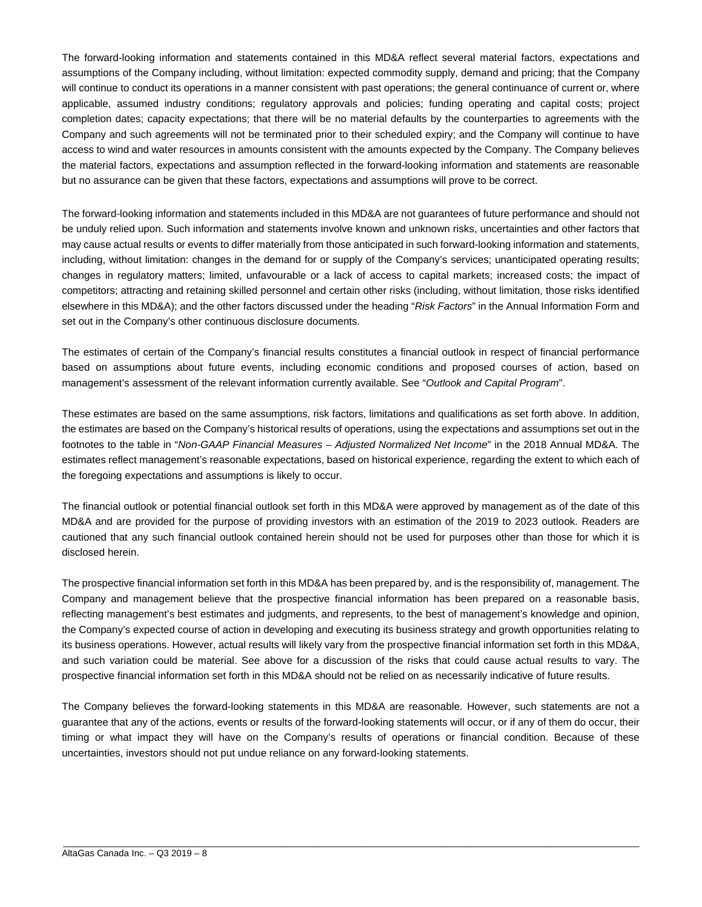The forward-looking information and statements contained in this MD&A reflect several material factors, expectations and assumptions of the Company including, without limitation: expected commodity supply, demand and pricing; that the Company will continue to conduct its operations in a manner consistent with past operations; the general continuance of current or, where applicable, assumed industry conditions; regulatory approvals and policies; funding operating and capital costs; project completion dates; capacity expectations; that there will be no material defaults by the counterparties to agreements with the Company and such agreements will not be terminated prior to their scheduled expiry; and the Company will continue to have access to wind and water resources in amounts consistent with the amounts expected by the Company. The Company believes the material factors, expectations and assumption reflected in the forward-looking information and statements are reasonable but no assurance can be given that these factors, expectations and assumptions will prove to be correct.

The forward-looking information and statements included in this MD&A are not guarantees of future performance and should not be unduly relied upon. Such information and statements involve known and unknown risks, uncertainties and other factors that may cause actual results or events to differ materially from those anticipated in such forward-looking information and statements, including, without limitation: changes in the demand for or supply of the Company's services; unanticipated operating results; changes in regulatory matters; limited, unfavourable or a lack of access to capital markets; increased costs; the impact of competitors; attracting and retaining skilled personnel and certain other risks (including, without limitation, those risks identified elsewhere in this MD&A); and the other factors discussed under the heading "*Risk Factors*" in the Annual Information Form and set out in the Company's other continuous disclosure documents.

The estimates of certain of the Company's financial results constitutes a financial outlook in respect of financial performance based on assumptions about future events, including economic conditions and proposed courses of action, based on management's assessment of the relevant information currently available. See "*Outlook and Capital Program*".

These estimates are based on the same assumptions, risk factors, limitations and qualifications as set forth above. In addition, the estimates are based on the Company's historical results of operations, using the expectations and assumptions set out in the footnotes to the table in "*Non-GAAP Financial Measures – Adjusted Normalized Net Income*" in the 2018 Annual MD&A. The estimates reflect management's reasonable expectations, based on historical experience, regarding the extent to which each of the foregoing expectations and assumptions is likely to occur.

The financial outlook or potential financial outlook set forth in this MD&A were approved by management as of the date of this MD&A and are provided for the purpose of providing investors with an estimation of the 2019 to 2023 outlook. Readers are cautioned that any such financial outlook contained herein should not be used for purposes other than those for which it is disclosed herein.

The prospective financial information set forth in this MD&A has been prepared by, and is the responsibility of, management. The Company and management believe that the prospective financial information has been prepared on a reasonable basis, reflecting management's best estimates and judgments, and represents, to the best of management's knowledge and opinion, the Company's expected course of action in developing and executing its business strategy and growth opportunities relating to its business operations. However, actual results will likely vary from the prospective financial information set forth in this MD&A, and such variation could be material. See above for a discussion of the risks that could cause actual results to vary. The prospective financial information set forth in this MD&A should not be relied on as necessarily indicative of future results.

The Company believes the forward-looking statements in this MD&A are reasonable. However, such statements are not a guarantee that any of the actions, events or results of the forward-looking statements will occur, or if any of them do occur, their timing or what impact they will have on the Company's results of operations or financial condition. Because of these uncertainties, investors should not put undue reliance on any forward-looking statements.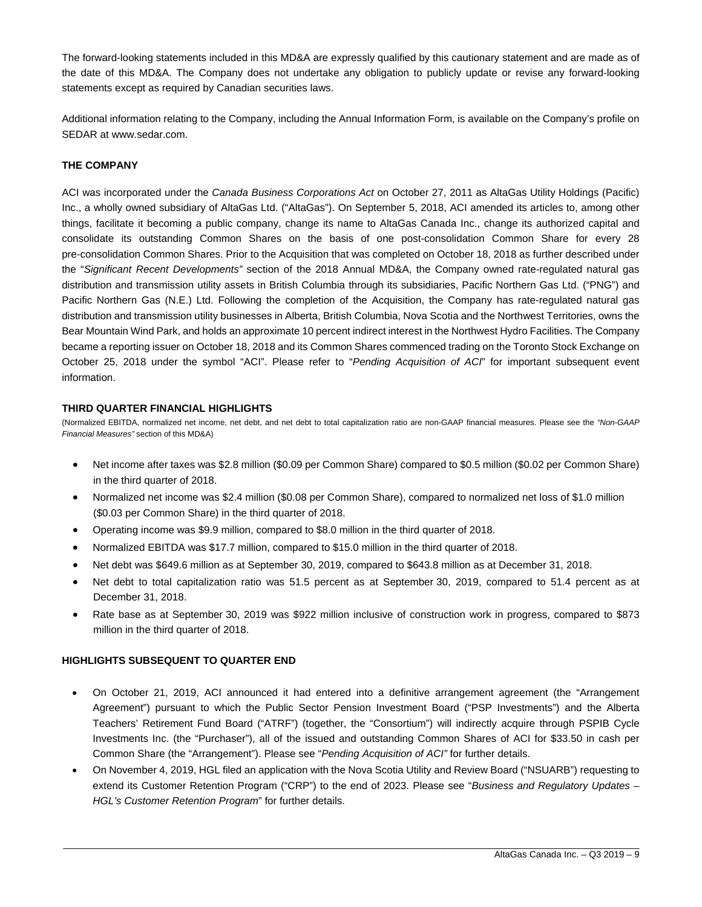The forward-looking statements included in this MD&A are expressly qualified by this cautionary statement and are made as of the date of this MD&A. The Company does not undertake any obligation to publicly update or revise any forward-looking statements except as required by Canadian securities laws.

Additional information relating to the Company, including the Annual Information Form, is available on the Company's profile on SEDAR at www.sedar.com.

#### **THE COMPANY**

ACI was incorporated under the *Canada Business Corporations Act* on October 27, 2011 as AltaGas Utility Holdings (Pacific) Inc., a wholly owned subsidiary of AltaGas Ltd. ("AltaGas"). On September 5, 2018, ACI amended its articles to, among other things, facilitate it becoming a public company, change its name to AltaGas Canada Inc., change its authorized capital and consolidate its outstanding Common Shares on the basis of one post-consolidation Common Share for every 28 pre-consolidation Common Shares. Prior to the Acquisition that was completed on October 18, 2018 as further described under the "*Significant Recent Developments"* section of the 2018 Annual MD&A, the Company owned rate-regulated natural gas distribution and transmission utility assets in British Columbia through its subsidiaries, Pacific Northern Gas Ltd. ("PNG") and Pacific Northern Gas (N.E.) Ltd. Following the completion of the Acquisition, the Company has rate-regulated natural gas distribution and transmission utility businesses in Alberta, British Columbia, Nova Scotia and the Northwest Territories, owns the Bear Mountain Wind Park, and holds an approximate 10 percent indirect interest in the Northwest Hydro Facilities. The Company became a reporting issuer on October 18, 2018 and its Common Shares commenced trading on the Toronto Stock Exchange on October 25, 2018 under the symbol "ACI". Please refer to "*Pending Acquisition of ACI*" for important subsequent event information.

#### **THIRD QUARTER FINANCIAL HIGHLIGHTS**

(Normalized EBITDA, normalized net income, net debt, and net debt to total capitalization ratio are non-GAAP financial measures. Please see the *"Non-GAAP Financial Measures"* section of this MD&A)

- Net income after taxes was \$2.8 million (\$0.09 per Common Share) compared to \$0.5 million (\$0.02 per Common Share) in the third quarter of 2018.
- Normalized net income was \$2.4 million (\$0.08 per Common Share), compared to normalized net loss of \$1.0 million (\$0.03 per Common Share) in the third quarter of 2018.
- Operating income was \$9.9 million, compared to \$8.0 million in the third quarter of 2018.
- Normalized EBITDA was \$17.7 million, compared to \$15.0 million in the third quarter of 2018.
- Net debt was \$649.6 million as at September 30, 2019, compared to \$643.8 million as at December 31, 2018.
- Net debt to total capitalization ratio was 51.5 percent as at September 30, 2019, compared to 51.4 percent as at December 31, 2018.
- Rate base as at September 30, 2019 was \$922 million inclusive of construction work in progress, compared to \$873 million in the third quarter of 2018.

#### **HIGHLIGHTS SUBSEQUENT TO QUARTER END**

- On October 21, 2019, ACI announced it had entered into a definitive arrangement agreement (the "Arrangement Agreement") pursuant to which the Public Sector Pension Investment Board ("PSP Investments") and the Alberta Teachers' Retirement Fund Board ("ATRF") (together, the "Consortium") will indirectly acquire through PSPIB Cycle Investments Inc. (the "Purchaser"), all of the issued and outstanding Common Shares of ACI for \$33.50 in cash per Common Share (the "Arrangement"). Please see "*Pending Acquisition of ACI"* for further details.
- On November 4, 2019, HGL filed an application with the Nova Scotia Utility and Review Board ("NSUARB") requesting to extend its Customer Retention Program ("CRP") to the end of 2023. Please see "*Business and Regulatory Updates – HGL's Customer Retention Program*" for further details.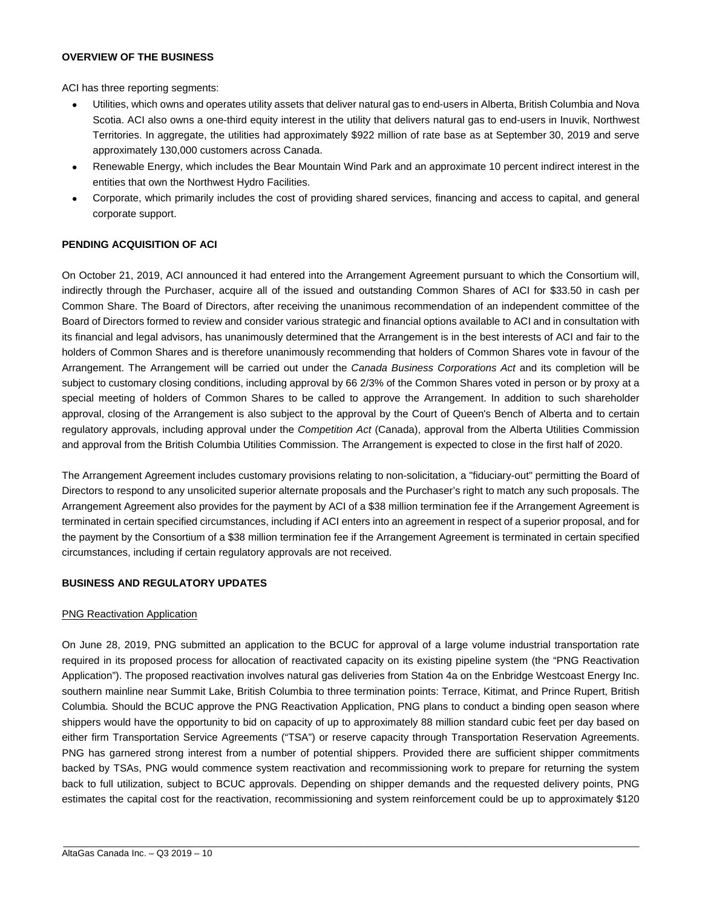#### **OVERVIEW OF THE BUSINESS**

ACI has three reporting segments:

- Utilities, which owns and operates utility assets that deliver natural gas to end-users in Alberta, British Columbia and Nova Scotia. ACI also owns a one-third equity interest in the utility that delivers natural gas to end-users in Inuvik, Northwest Territories. In aggregate, the utilities had approximately \$922 million of rate base as at September 30, 2019 and serve approximately 130,000 customers across Canada.
- Renewable Energy, which includes the Bear Mountain Wind Park and an approximate 10 percent indirect interest in the entities that own the Northwest Hydro Facilities.
- Corporate, which primarily includes the cost of providing shared services, financing and access to capital, and general corporate support.

#### **PENDING ACQUISITION OF ACI**

On October 21, 2019, ACI announced it had entered into the Arrangement Agreement pursuant to which the Consortium will, indirectly through the Purchaser, acquire all of the issued and outstanding Common Shares of ACI for \$33.50 in cash per Common Share. The Board of Directors, after receiving the unanimous recommendation of an independent committee of the Board of Directors formed to review and consider various strategic and financial options available to ACI and in consultation with its financial and legal advisors, has unanimously determined that the Arrangement is in the best interests of ACI and fair to the holders of Common Shares and is therefore unanimously recommending that holders of Common Shares vote in favour of the Arrangement. The Arrangement will be carried out under the *Canada Business Corporations Act* and its completion will be subject to customary closing conditions, including approval by 66 2/3% of the Common Shares voted in person or by proxy at a special meeting of holders of Common Shares to be called to approve the Arrangement. In addition to such shareholder approval, closing of the Arrangement is also subject to the approval by the Court of Queen's Bench of Alberta and to certain regulatory approvals, including approval under the *Competition Act* (Canada), approval from the Alberta Utilities Commission and approval from the British Columbia Utilities Commission. The Arrangement is expected to close in the first half of 2020.

The Arrangement Agreement includes customary provisions relating to non-solicitation, a "fiduciary-out" permitting the Board of Directors to respond to any unsolicited superior alternate proposals and the Purchaser's right to match any such proposals. The Arrangement Agreement also provides for the payment by ACI of a \$38 million termination fee if the Arrangement Agreement is terminated in certain specified circumstances, including if ACI enters into an agreement in respect of a superior proposal, and for the payment by the Consortium of a \$38 million termination fee if the Arrangement Agreement is terminated in certain specified circumstances, including if certain regulatory approvals are not received.

#### **BUSINESS AND REGULATORY UPDATES**

#### PNG Reactivation Application

On June 28, 2019, PNG submitted an application to the BCUC for approval of a large volume industrial transportation rate required in its proposed process for allocation of reactivated capacity on its existing pipeline system (the "PNG Reactivation Application"). The proposed reactivation involves natural gas deliveries from Station 4a on the Enbridge Westcoast Energy Inc. southern mainline near Summit Lake, British Columbia to three termination points: Terrace, Kitimat, and Prince Rupert, British Columbia. Should the BCUC approve the PNG Reactivation Application, PNG plans to conduct a binding open season where shippers would have the opportunity to bid on capacity of up to approximately 88 million standard cubic feet per day based on either firm Transportation Service Agreements ("TSA") or reserve capacity through Transportation Reservation Agreements. PNG has garnered strong interest from a number of potential shippers. Provided there are sufficient shipper commitments backed by TSAs, PNG would commence system reactivation and recommissioning work to prepare for returning the system back to full utilization, subject to BCUC approvals. Depending on shipper demands and the requested delivery points, PNG estimates the capital cost for the reactivation, recommissioning and system reinforcement could be up to approximately \$120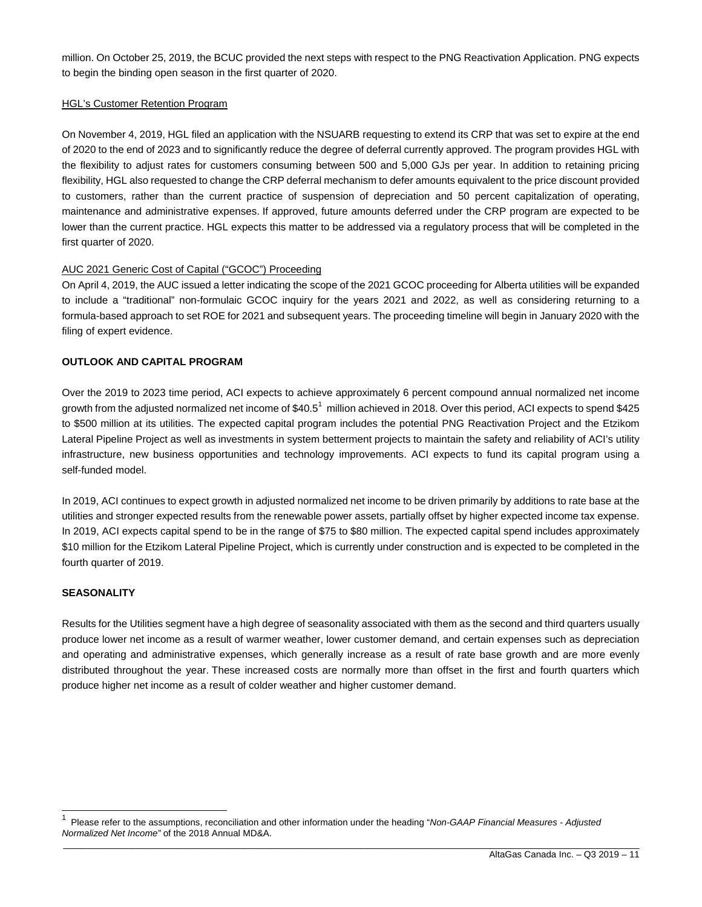million. On October 25, 2019, the BCUC provided the next steps with respect to the PNG Reactivation Application. PNG expects to begin the binding open season in the first quarter of 2020.

#### HGL's Customer Retention Program

On November 4, 2019, HGL filed an application with the NSUARB requesting to extend its CRP that was set to expire at the end of 2020 to the end of 2023 and to significantly reduce the degree of deferral currently approved. The program provides HGL with the flexibility to adjust rates for customers consuming between 500 and 5,000 GJs per year. In addition to retaining pricing flexibility, HGL also requested to change the CRP deferral mechanism to defer amounts equivalent to the price discount provided to customers, rather than the current practice of suspension of depreciation and 50 percent capitalization of operating, maintenance and administrative expenses. If approved, future amounts deferred under the CRP program are expected to be lower than the current practice. HGL expects this matter to be addressed via a regulatory process that will be completed in the first quarter of 2020.

#### AUC 2021 Generic Cost of Capital ("GCOC") Proceeding

On April 4, 2019, the AUC issued a letter indicating the scope of the 2021 GCOC proceeding for Alberta utilities will be expanded to include a "traditional" non-formulaic GCOC inquiry for the years 2021 and 2022, as well as considering returning to a formula-based approach to set ROE for 2021 and subsequent years. The proceeding timeline will begin in January 2020 with the filing of expert evidence.

#### **OUTLOOK AND CAPITAL PROGRAM**

Over the 2019 to 2023 time period, ACI expects to achieve approximately 6 percent compound annual normalized net income growth from the adjusted normalized net income of \$40.5<sup>1</sup> million achieved in 2018. Over this period, ACI expects to spend \$425 to \$500 million at its utilities. The expected capital program includes the potential PNG Reactivation Project and the Etzikom Lateral Pipeline Project as well as investments in system betterment projects to maintain the safety and reliability of ACI's utility infrastructure, new business opportunities and technology improvements. ACI expects to fund its capital program using a self-funded model.

In 2019, ACI continues to expect growth in adjusted normalized net income to be driven primarily by additions to rate base at the utilities and stronger expected results from the renewable power assets, partially offset by higher expected income tax expense. In 2019, ACI expects capital spend to be in the range of \$75 to \$80 million. The expected capital spend includes approximately \$10 million for the Etzikom Lateral Pipeline Project, which is currently under construction and is expected to be completed in the fourth quarter of 2019.

#### **SEASONALITY**

 $\overline{\phantom{a}}$ 

Results for the Utilities segment have a high degree of seasonality associated with them as the second and third quarters usually produce lower net income as a result of warmer weather, lower customer demand, and certain expenses such as depreciation and operating and administrative expenses, which generally increase as a result of rate base growth and are more evenly distributed throughout the year. These increased costs are normally more than offset in the first and fourth quarters which produce higher net income as a result of colder weather and higher customer demand.

<sup>1</sup> Please refer to the assumptions, reconciliation and other information under the heading "*Non-GAAP Financial Measures - Adjusted Normalized Net Income"* of the 2018 Annual MD&A.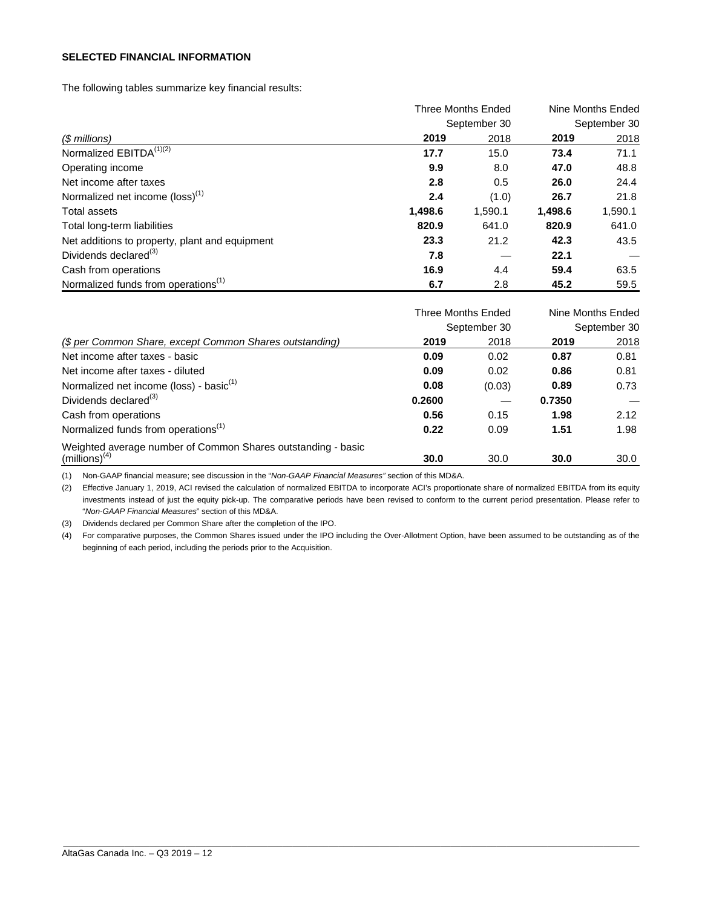#### **SELECTED FINANCIAL INFORMATION**

The following tables summarize key financial results:

|                                                 |         | <b>Three Months Ended</b> |         |         |  |  |
|-------------------------------------------------|---------|---------------------------|---------|---------|--|--|
|                                                 |         | September 30              |         |         |  |  |
| (\$ millions)                                   | 2019    | 2018                      | 2019    | 2018    |  |  |
| Normalized EBITDA <sup>(1)(2)</sup>             | 17.7    | 15.0                      | 73.4    | 71.1    |  |  |
| Operating income                                | 9.9     | 8.0                       | 47.0    | 48.8    |  |  |
| Net income after taxes                          | 2.8     | 0.5                       | 26.0    | 24.4    |  |  |
| Normalized net income (loss) <sup>(1)</sup>     | 2.4     | (1.0)                     | 26.7    | 21.8    |  |  |
| <b>Total assets</b>                             | 1,498.6 | 1,590.1                   | 1,498.6 | 1,590.1 |  |  |
| Total long-term liabilities                     | 820.9   | 641.0                     | 820.9   | 641.0   |  |  |
| Net additions to property, plant and equipment  | 23.3    | 21.2                      | 42.3    | 43.5    |  |  |
| Dividends declared <sup>(3)</sup>               | 7.8     |                           | 22.1    |         |  |  |
| Cash from operations                            | 16.9    | 4.4                       | 59.4    | 63.5    |  |  |
| Normalized funds from operations <sup>(1)</sup> | 6.7     | 2.8                       | 45.2    | 59.5    |  |  |

|                                                              | <b>Three Months Ended</b> |              | Nine Months Ended |              |  |
|--------------------------------------------------------------|---------------------------|--------------|-------------------|--------------|--|
|                                                              |                           | September 30 |                   | September 30 |  |
| (\$ per Common Share, except Common Shares outstanding)      | 2019                      | 2018         | 2019              | 2018         |  |
| Net income after taxes - basic                               | 0.09                      | 0.02         | 0.87              | 0.81         |  |
| Net income after taxes - diluted                             | 0.09                      | 0.02         | 0.86              | 0.81         |  |
| Normalized net income (loss) - basic <sup>(1)</sup>          | 0.08                      | (0.03)       | 0.89              | 0.73         |  |
| Dividends declared <sup>(3)</sup>                            | 0.2600                    |              | 0.7350            |              |  |
| Cash from operations                                         | 0.56                      | 0.15         | 1.98              | 2.12         |  |
| Normalized funds from operations <sup>(1)</sup>              | 0.22                      | 0.09         | 1.51              | 1.98         |  |
| Weighted average number of Common Shares outstanding - basic |                           |              |                   |              |  |
| $(millions)^{(4)}$                                           | 30.0                      | 30.0         | 30.0              | 30.0         |  |

(1) Non-GAAP financial measure; see discussion in the "*Non-GAAP Financial Measures"* section of this MD&A.

(2) Effective January 1, 2019, ACI revised the calculation of normalized EBITDA to incorporate ACI's proportionate share of normalized EBITDA from its equity investments instead of just the equity pick-up. The comparative periods have been revised to conform to the current period presentation. Please refer to "*Non-GAAP Financial Measures*" section of this MD&A.

(3) Dividends declared per Common Share after the completion of the IPO.

(4) For comparative purposes, the Common Shares issued under the IPO including the Over-Allotment Option, have been assumed to be outstanding as of the beginning of each period, including the periods prior to the Acquisition.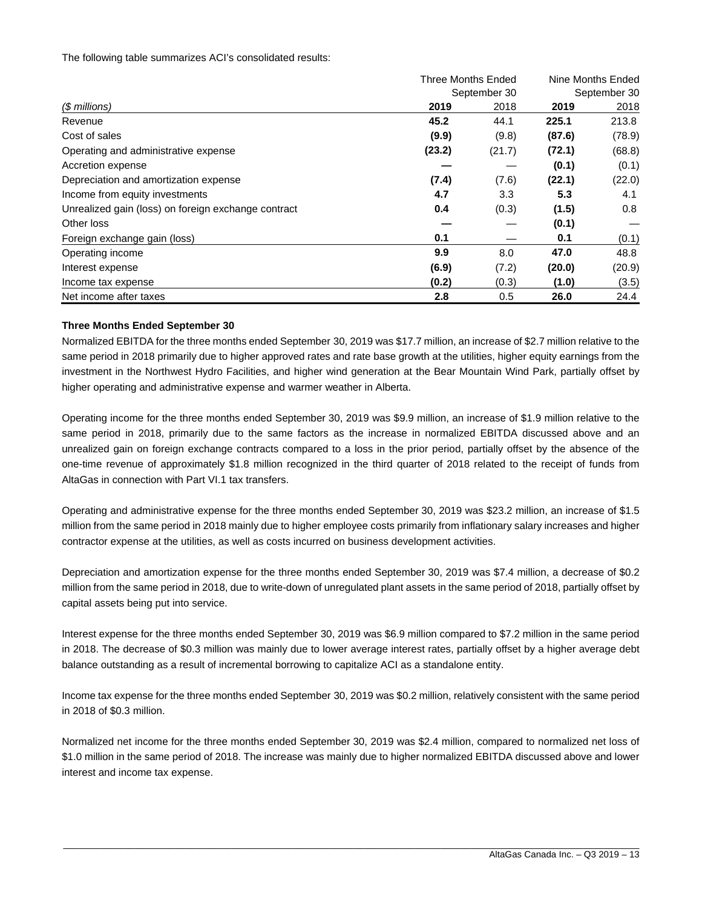The following table summarizes ACI's consolidated results:

|                                                     | Three Months Ended |              | Nine Months Ended |              |  |
|-----------------------------------------------------|--------------------|--------------|-------------------|--------------|--|
|                                                     |                    | September 30 |                   | September 30 |  |
| (\$ millions)                                       | 2019               | 2018         | 2019              | 2018         |  |
| Revenue                                             | 45.2               | 44.1         | 225.1             | 213.8        |  |
| Cost of sales                                       | (9.9)              | (9.8)        | (87.6)            | (78.9)       |  |
| Operating and administrative expense                | (23.2)             | (21.7)       | (72.1)            | (68.8)       |  |
| Accretion expense                                   |                    |              | (0.1)             | (0.1)        |  |
| Depreciation and amortization expense               | (7.4)              | (7.6)        | (22.1)            | (22.0)       |  |
| Income from equity investments                      | 4.7                | 3.3          | 5.3               | 4.1          |  |
| Unrealized gain (loss) on foreign exchange contract | 0.4                | (0.3)        | (1.5)             | 0.8          |  |
| Other loss                                          |                    |              | (0.1)             |              |  |
| Foreign exchange gain (loss)                        | 0.1                |              | 0.1               | (0.1)        |  |
| Operating income                                    | 9.9                | 8.0          | 47.0              | 48.8         |  |
| Interest expense                                    | (6.9)              | (7.2)        | (20.0)            | (20.9)       |  |
| Income tax expense                                  | (0.2)              | (0.3)        | (1.0)             | (3.5)        |  |
| Net income after taxes                              | 2.8                | 0.5          | 26.0              | 24.4         |  |

#### **Three Months Ended September 30**

Normalized EBITDA for the three months ended September 30, 2019 was \$17.7 million, an increase of \$2.7 million relative to the same period in 2018 primarily due to higher approved rates and rate base growth at the utilities, higher equity earnings from the investment in the Northwest Hydro Facilities, and higher wind generation at the Bear Mountain Wind Park, partially offset by higher operating and administrative expense and warmer weather in Alberta.

Operating income for the three months ended September 30, 2019 was \$9.9 million, an increase of \$1.9 million relative to the same period in 2018, primarily due to the same factors as the increase in normalized EBITDA discussed above and an unrealized gain on foreign exchange contracts compared to a loss in the prior period, partially offset by the absence of the one-time revenue of approximately \$1.8 million recognized in the third quarter of 2018 related to the receipt of funds from AltaGas in connection with Part VI.1 tax transfers.

Operating and administrative expense for the three months ended September 30, 2019 was \$23.2 million, an increase of \$1.5 million from the same period in 2018 mainly due to higher employee costs primarily from inflationary salary increases and higher contractor expense at the utilities, as well as costs incurred on business development activities.

Depreciation and amortization expense for the three months ended September 30, 2019 was \$7.4 million, a decrease of \$0.2 million from the same period in 2018, due to write-down of unregulated plant assets in the same period of 2018, partially offset by capital assets being put into service.

Interest expense for the three months ended September 30, 2019 was \$6.9 million compared to \$7.2 million in the same period in 2018. The decrease of \$0.3 million was mainly due to lower average interest rates, partially offset by a higher average debt balance outstanding as a result of incremental borrowing to capitalize ACI as a standalone entity.

Income tax expense for the three months ended September 30, 2019 was \$0.2 million, relatively consistent with the same period in 2018 of \$0.3 million.

Normalized net income for the three months ended September 30, 2019 was \$2.4 million, compared to normalized net loss of \$1.0 million in the same period of 2018. The increase was mainly due to higher normalized EBITDA discussed above and lower interest and income tax expense.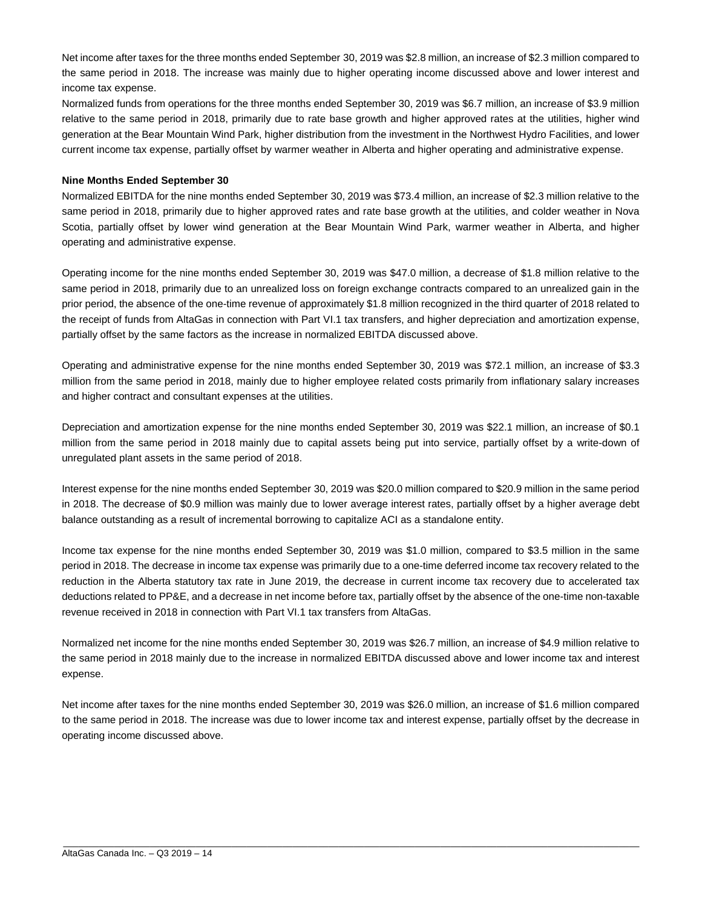Net income after taxes for the three months ended September 30, 2019 was \$2.8 million, an increase of \$2.3 million compared to the same period in 2018. The increase was mainly due to higher operating income discussed above and lower interest and income tax expense.

Normalized funds from operations for the three months ended September 30, 2019 was \$6.7 million, an increase of \$3.9 million relative to the same period in 2018, primarily due to rate base growth and higher approved rates at the utilities, higher wind generation at the Bear Mountain Wind Park, higher distribution from the investment in the Northwest Hydro Facilities, and lower current income tax expense, partially offset by warmer weather in Alberta and higher operating and administrative expense.

#### **Nine Months Ended September 30**

Normalized EBITDA for the nine months ended September 30, 2019 was \$73.4 million, an increase of \$2.3 million relative to the same period in 2018, primarily due to higher approved rates and rate base growth at the utilities, and colder weather in Nova Scotia, partially offset by lower wind generation at the Bear Mountain Wind Park, warmer weather in Alberta, and higher operating and administrative expense.

Operating income for the nine months ended September 30, 2019 was \$47.0 million, a decrease of \$1.8 million relative to the same period in 2018, primarily due to an unrealized loss on foreign exchange contracts compared to an unrealized gain in the prior period, the absence of the one-time revenue of approximately \$1.8 million recognized in the third quarter of 2018 related to the receipt of funds from AltaGas in connection with Part VI.1 tax transfers, and higher depreciation and amortization expense, partially offset by the same factors as the increase in normalized EBITDA discussed above.

Operating and administrative expense for the nine months ended September 30, 2019 was \$72.1 million, an increase of \$3.3 million from the same period in 2018, mainly due to higher employee related costs primarily from inflationary salary increases and higher contract and consultant expenses at the utilities.

Depreciation and amortization expense for the nine months ended September 30, 2019 was \$22.1 million, an increase of \$0.1 million from the same period in 2018 mainly due to capital assets being put into service, partially offset by a write-down of unregulated plant assets in the same period of 2018.

Interest expense for the nine months ended September 30, 2019 was \$20.0 million compared to \$20.9 million in the same period in 2018. The decrease of \$0.9 million was mainly due to lower average interest rates, partially offset by a higher average debt balance outstanding as a result of incremental borrowing to capitalize ACI as a standalone entity.

Income tax expense for the nine months ended September 30, 2019 was \$1.0 million, compared to \$3.5 million in the same period in 2018. The decrease in income tax expense was primarily due to a one-time deferred income tax recovery related to the reduction in the Alberta statutory tax rate in June 2019, the decrease in current income tax recovery due to accelerated tax deductions related to PP&E, and a decrease in net income before tax, partially offset by the absence of the one-time non-taxable revenue received in 2018 in connection with Part VI.1 tax transfers from AltaGas.

Normalized net income for the nine months ended September 30, 2019 was \$26.7 million, an increase of \$4.9 million relative to the same period in 2018 mainly due to the increase in normalized EBITDA discussed above and lower income tax and interest expense.

Net income after taxes for the nine months ended September 30, 2019 was \$26.0 million, an increase of \$1.6 million compared to the same period in 2018. The increase was due to lower income tax and interest expense, partially offset by the decrease in operating income discussed above.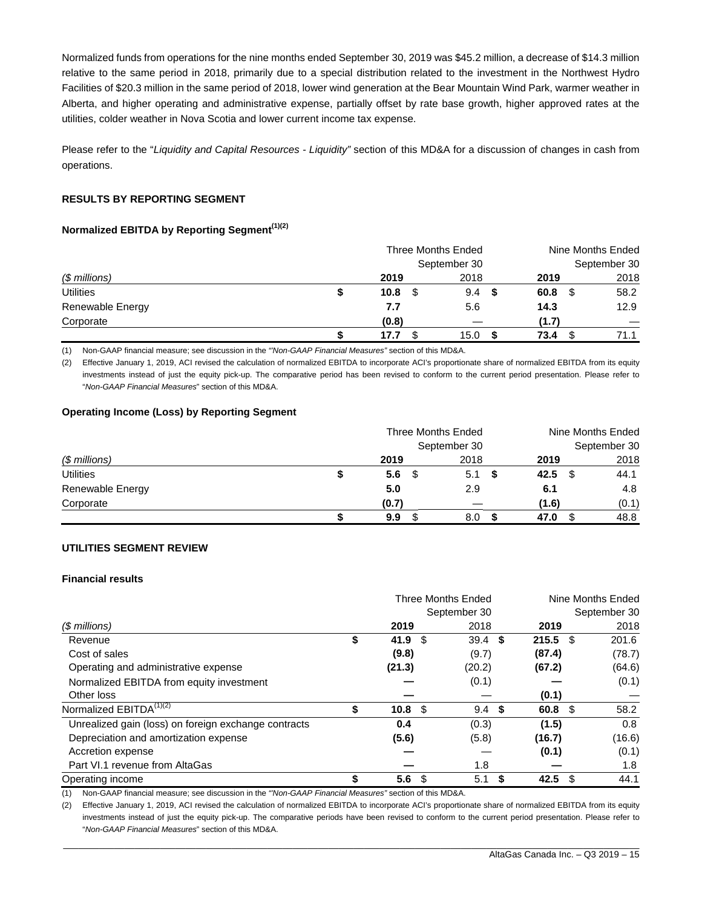Normalized funds from operations for the nine months ended September 30, 2019 was \$45.2 million, a decrease of \$14.3 million relative to the same period in 2018, primarily due to a special distribution related to the investment in the Northwest Hydro Facilities of \$20.3 million in the same period of 2018, lower wind generation at the Bear Mountain Wind Park, warmer weather in Alberta, and higher operating and administrative expense, partially offset by rate base growth, higher approved rates at the utilities, colder weather in Nova Scotia and lower current income tax expense.

Please refer to the "*Liquidity and Capital Resources - Liquidity"* section of this MD&A for a discussion of changes in cash from operations.

#### **RESULTS BY REPORTING SEGMENT**

#### **Normalized EBITDA by Reporting Segment(1)(2)**

|                  |   | Three Months Ended |              | Nine Months Ended |              |  |
|------------------|---|--------------------|--------------|-------------------|--------------|--|
|                  |   |                    | September 30 |                   | September 30 |  |
| $$$ millions)    |   | 2019               | 2018         | 2019              | 2018         |  |
| <b>Utilities</b> | S | 10.8               | 9.4<br>- \$  | 60.8<br>- \$      | 58.2         |  |
| Renewable Energy |   | 7.7                | 5.6          | 14.3              | 12.9         |  |
| Corporate        |   | (0.8)              |              | (1.7)             |              |  |
|                  |   | 17.7               | 15.0         | 73.4              | 71.1         |  |

(1) Non-GAAP financial measure; see discussion in the *"'Non-GAAP Financial Measures"* section of this MD&A.

(2) Effective January 1, 2019, ACI revised the calculation of normalized EBITDA to incorporate ACI's proportionate share of normalized EBITDA from its equity investments instead of just the equity pick-up. The comparative period has been revised to conform to the current period presentation. Please refer to "*Non-GAAP Financial Measures*" section of this MD&A.

#### **Operating Income (Loss) by Reporting Segment**

|                  |   | Three Months Ended |              | Nine Months Ended |              |  |
|------------------|---|--------------------|--------------|-------------------|--------------|--|
|                  |   |                    | September 30 |                   | September 30 |  |
| $$$ millions)    |   | 2019               | 2018         | 2019              | 2018         |  |
| <b>Utilities</b> | S | 5.6<br>- \$        | 5.1<br>- \$  | 42.5              | 44.1         |  |
| Renewable Energy |   | 5.0                | 2.9          | 6.1               | 4.8          |  |
| Corporate        |   | (0.7)              |              | (1.6)             | (0.1)        |  |
|                  |   | 9.9                | 8.0          | 47.0              | 48.8         |  |

#### **UTILITIES SEGMENT REVIEW**

#### **Financial results**

|                                                      |    | <b>Three Months Ended</b> |      |              | Nine Months Ended |                    |  |              |
|------------------------------------------------------|----|---------------------------|------|--------------|-------------------|--------------------|--|--------------|
|                                                      |    |                           |      | September 30 |                   |                    |  | September 30 |
| $$$ millions)                                        |    | 2019                      |      | 2018         |                   | 2019               |  | 2018         |
| Revenue                                              | \$ | 41.9 $\frac{1}{3}$        |      | $39.4$ \$    |                   | $215.5$ \$         |  | 201.6        |
| Cost of sales                                        |    | (9.8)                     |      | (9.7)        |                   | (87.4)             |  | (78.7)       |
| Operating and administrative expense                 |    | (21.3)                    |      | (20.2)       |                   | (67.2)             |  | (64.6)       |
| Normalized EBITDA from equity investment             |    |                           |      | (0.1)        |                   |                    |  | (0.1)        |
| Other loss                                           |    |                           |      |              |                   | (0.1)              |  |              |
| Normalized EBITDA <sup>(1)(2)</sup>                  | \$ | 10.8 <sup>°</sup>         |      | 9.4          | -\$               | 60.8 <sup>°</sup>  |  | 58.2         |
| Unrealized gain (loss) on foreign exchange contracts |    | 0.4                       |      | (0.3)        |                   | (1.5)              |  | 0.8          |
| Depreciation and amortization expense                |    | (5.6)                     |      | (5.8)        |                   | (16.7)             |  | (16.6)       |
| Accretion expense                                    |    |                           |      |              |                   | (0.1)              |  | (0.1)        |
| Part VI.1 revenue from AltaGas                       |    |                           |      | 1.8          |                   |                    |  | 1.8          |
| Operating income                                     | \$ | 5.6                       | - \$ | 5.1          |                   | 42.5 $\frac{6}{3}$ |  | 44.1         |

(1) Non-GAAP financial measure; see discussion in the *"'Non-GAAP Financial Measures"* section of this MD&A.

(2) Effective January 1, 2019, ACI revised the calculation of normalized EBITDA to incorporate ACI's proportionate share of normalized EBITDA from its equity investments instead of just the equity pick-up. The comparative periods have been revised to conform to the current period presentation. Please refer to "*Non-GAAP Financial Measures*" section of this MD&A.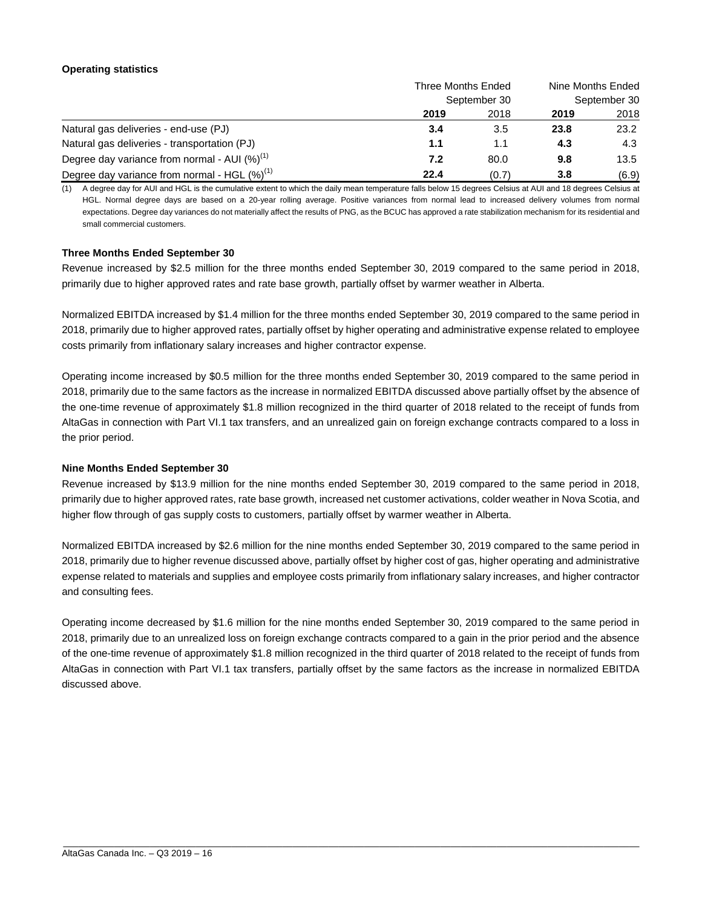#### **Operating statistics**

|                                                    | Three Months Ended | Nine Months Ended |      |       |
|----------------------------------------------------|--------------------|-------------------|------|-------|
|                                                    | September 30       | September 30      |      |       |
|                                                    | 2019               | 2018              | 2019 | 2018  |
| Natural gas deliveries - end-use (PJ)              | 3.4                | 3.5               | 23.8 | 23.2  |
| Natural gas deliveries - transportation (PJ)       | 1.1                | 1.1               | 4.3  | 4.3   |
| Degree day variance from normal - AUI $(\%)^{(1)}$ | 7.2                | 80.0              | 9.8  | 13.5  |
| Degree day variance from normal - HGL $(\%)^{(1)}$ | 22.4               | (0.7)             | 3.8  | (6.9) |

(1) A degree day for AUI and HGL is the cumulative extent to which the daily mean temperature falls below 15 degrees Celsius at AUI and 18 degrees Celsius at HGL. Normal degree days are based on a 20-year rolling average. Positive variances from normal lead to increased delivery volumes from normal expectations. Degree day variances do not materially affect the results of PNG, as the BCUC has approved a rate stabilization mechanism for its residential and small commercial customers.

#### **Three Months Ended September 30**

Revenue increased by \$2.5 million for the three months ended September 30, 2019 compared to the same period in 2018, primarily due to higher approved rates and rate base growth, partially offset by warmer weather in Alberta.

Normalized EBITDA increased by \$1.4 million for the three months ended September 30, 2019 compared to the same period in 2018, primarily due to higher approved rates, partially offset by higher operating and administrative expense related to employee costs primarily from inflationary salary increases and higher contractor expense.

Operating income increased by \$0.5 million for the three months ended September 30, 2019 compared to the same period in 2018, primarily due to the same factors as the increase in normalized EBITDA discussed above partially offset by the absence of the one-time revenue of approximately \$1.8 million recognized in the third quarter of 2018 related to the receipt of funds from AltaGas in connection with Part VI.1 tax transfers, and an unrealized gain on foreign exchange contracts compared to a loss in the prior period.

#### **Nine Months Ended September 30**

Revenue increased by \$13.9 million for the nine months ended September 30, 2019 compared to the same period in 2018, primarily due to higher approved rates, rate base growth, increased net customer activations, colder weather in Nova Scotia, and higher flow through of gas supply costs to customers, partially offset by warmer weather in Alberta.

Normalized EBITDA increased by \$2.6 million for the nine months ended September 30, 2019 compared to the same period in 2018, primarily due to higher revenue discussed above, partially offset by higher cost of gas, higher operating and administrative expense related to materials and supplies and employee costs primarily from inflationary salary increases, and higher contractor and consulting fees.

Operating income decreased by \$1.6 million for the nine months ended September 30, 2019 compared to the same period in 2018, primarily due to an unrealized loss on foreign exchange contracts compared to a gain in the prior period and the absence of the one-time revenue of approximately \$1.8 million recognized in the third quarter of 2018 related to the receipt of funds from AltaGas in connection with Part VI.1 tax transfers, partially offset by the same factors as the increase in normalized EBITDA discussed above.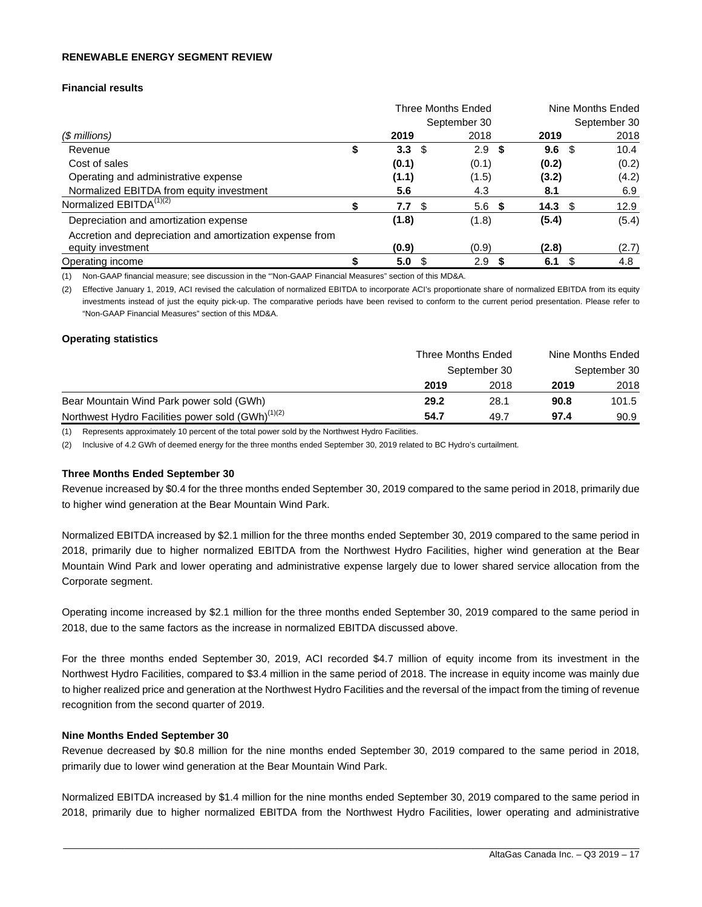#### **RENEWABLE ENERGY SEGMENT REVIEW**

#### **Financial results**

|                                                          |    |                  |      | <b>Three Months Ended</b> |      |                   |      | Nine Months Ended |
|----------------------------------------------------------|----|------------------|------|---------------------------|------|-------------------|------|-------------------|
|                                                          |    |                  |      | September 30              |      |                   |      | September 30      |
| (\$ millions)                                            |    | 2019             |      | 2018                      |      | 2019              |      | 2018              |
| Revenue                                                  | \$ | 3.3 <sub>2</sub> | - \$ | 2.9                       | - \$ | 9.6               | - \$ | 10.4              |
| Cost of sales                                            |    | (0.1)            |      | (0.1)                     |      | (0.2)             |      | (0.2)             |
| Operating and administrative expense                     |    | (1.1)            |      | (1.5)                     |      | (3.2)             |      | (4.2)             |
| Normalized EBITDA from equity investment                 |    | 5.6              |      | 4.3                       |      | 8.1               |      | 6.9               |
| Normalized EBITDA <sup>(1)(2)</sup>                      |    | 7.7 <sup>°</sup> |      | 5.6 <sup>5</sup>          |      | 14.3 <sup>°</sup> |      | 12.9              |
| Depreciation and amortization expense                    |    | (1.8)            |      | (1.8)                     |      | (5.4)             |      | (5.4)             |
| Accretion and depreciation and amortization expense from |    |                  |      |                           |      |                   |      |                   |
| equity investment                                        |    | (0.9)            |      | (0.9)                     |      | (2.8)             |      | (2.7)             |
| Operating income                                         |    | 5.0              |      | 2.9                       |      | 6.1               |      | 4.8               |

(1) Non-GAAP financial measure; see discussion in the "'Non-GAAP Financial Measures" section of this MD&A.

(2) Effective January 1, 2019, ACI revised the calculation of normalized EBITDA to incorporate ACI's proportionate share of normalized EBITDA from its equity investments instead of just the equity pick-up. The comparative periods have been revised to conform to the current period presentation. Please refer to "Non-GAAP Financial Measures" section of this MD&A.

#### **Operating statistics**

|                                                               | Three Months Ended |      | Nine Months Ended |       |
|---------------------------------------------------------------|--------------------|------|-------------------|-------|
|                                                               | September 30       |      | September 30      |       |
|                                                               | 2019               | 2018 | 2019              | 2018  |
| Bear Mountain Wind Park power sold (GWh)                      | 29.2               | 28.1 | 90.8              | 101.5 |
| Northwest Hydro Facilities power sold (GWh) <sup>(1)(2)</sup> | 54.7               | 49.7 | 97.4              | 90.9  |

(1) Represents approximately 10 percent of the total power sold by the Northwest Hydro Facilities.

(2) Inclusive of 4.2 GWh of deemed energy for the three months ended September 30, 2019 related to BC Hydro's curtailment.

#### **Three Months Ended September 30**

Revenue increased by \$0.4 for the three months ended September 30, 2019 compared to the same period in 2018, primarily due to higher wind generation at the Bear Mountain Wind Park.

Normalized EBITDA increased by \$2.1 million for the three months ended September 30, 2019 compared to the same period in 2018, primarily due to higher normalized EBITDA from the Northwest Hydro Facilities, higher wind generation at the Bear Mountain Wind Park and lower operating and administrative expense largely due to lower shared service allocation from the Corporate segment.

Operating income increased by \$2.1 million for the three months ended September 30, 2019 compared to the same period in 2018, due to the same factors as the increase in normalized EBITDA discussed above.

For the three months ended September 30, 2019, ACI recorded \$4.7 million of equity income from its investment in the Northwest Hydro Facilities, compared to \$3.4 million in the same period of 2018. The increase in equity income was mainly due to higher realized price and generation at the Northwest Hydro Facilities and the reversal of the impact from the timing of revenue recognition from the second quarter of 2019.

#### **Nine Months Ended September 30**

Revenue decreased by \$0.8 million for the nine months ended September 30, 2019 compared to the same period in 2018, primarily due to lower wind generation at the Bear Mountain Wind Park.

Normalized EBITDA increased by \$1.4 million for the nine months ended September 30, 2019 compared to the same period in 2018, primarily due to higher normalized EBITDA from the Northwest Hydro Facilities, lower operating and administrative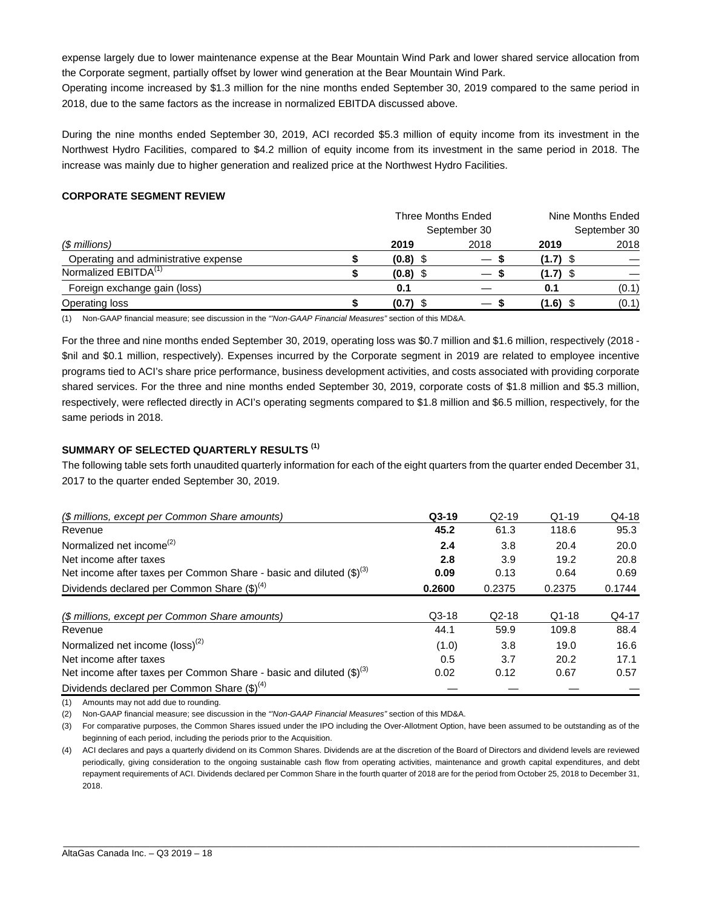expense largely due to lower maintenance expense at the Bear Mountain Wind Park and lower shared service allocation from the Corporate segment, partially offset by lower wind generation at the Bear Mountain Wind Park.

Operating income increased by \$1.3 million for the nine months ended September 30, 2019 compared to the same period in 2018, due to the same factors as the increase in normalized EBITDA discussed above.

During the nine months ended September 30, 2019, ACI recorded \$5.3 million of equity income from its investment in the Northwest Hydro Facilities, compared to \$4.2 million of equity income from its investment in the same period in 2018. The increase was mainly due to higher generation and realized price at the Northwest Hydro Facilities.

#### **CORPORATE SEGMENT REVIEW**

|                                      |              | Three Months Ended |      | Nine Months Ended |       |  |
|--------------------------------------|--------------|--------------------|------|-------------------|-------|--|
|                                      | September 30 |                    |      | September 30      |       |  |
| (\$ millions)                        |              | 2019               | 2018 | 2019              | 2018  |  |
| Operating and administrative expense |              | $(0.8)$ \$         |      | $(1.7)$ \$        |       |  |
| Normalized EBITDA <sup>(1)</sup>     |              | $(0.8)$ \$         |      | $(1.7)$ \$        |       |  |
| Foreign exchange gain (loss)         |              | 0.1                |      | 0.1               | (0.1) |  |
| Operating loss                       |              | $(0.7)$ \$         |      | $(1.6)$ \$        | (0.1) |  |

(1) Non-GAAP financial measure; see discussion in the *"'Non-GAAP Financial Measures"* section of this MD&A.

For the three and nine months ended September 30, 2019, operating loss was \$0.7 million and \$1.6 million, respectively (2018 - \$nil and \$0.1 million, respectively). Expenses incurred by the Corporate segment in 2019 are related to employee incentive programs tied to ACI's share price performance, business development activities, and costs associated with providing corporate shared services. For the three and nine months ended September 30, 2019, corporate costs of \$1.8 million and \$5.3 million, respectively, were reflected directly in ACI's operating segments compared to \$1.8 million and \$6.5 million, respectively, for the same periods in 2018.

#### **SUMMARY OF SELECTED QUARTERLY RESULTS (1)**

The following table sets forth unaudited quarterly information for each of the eight quarters from the quarter ended December 31, 2017 to the quarter ended September 30, 2019.

| (\$ millions, except per Common Share amounts)                                   | $Q3-19$ | $Q2-19$ | $Q1-19$ | Q4-18  |
|----------------------------------------------------------------------------------|---------|---------|---------|--------|
| Revenue                                                                          | 45.2    | 61.3    | 118.6   | 95.3   |
| Normalized net income <sup>(2)</sup>                                             | 2.4     | 3.8     | 20.4    | 20.0   |
| Net income after taxes                                                           | 2.8     | 3.9     | 19.2    | 20.8   |
| Net income after taxes per Common Share - basic and diluted $(\text{$\$})^{(3)}$ | 0.09    | 0.13    | 0.64    | 0.69   |
| Dividends declared per Common Share $(\text{$\$})^{(4)}$                         | 0.2600  | 0.2375  | 0.2375  | 0.1744 |
|                                                                                  |         |         |         |        |
| (\$ millions, except per Common Share amounts)                                   | $Q3-18$ | $Q2-18$ | $Q1-18$ | Q4-17  |
| Revenue                                                                          | 44.1    | 59.9    | 109.8   | 88.4   |
| Normalized net income $(\text{loss})^{(2)}$                                      | (1.0)   | 3.8     | 19.0    | 16.6   |
| Net income after taxes                                                           | 0.5     | 3.7     | 20.2    | 17.1   |
| Net income after taxes per Common Share - basic and diluted $(\text{$\$})^{(3)}$ | 0.02    | 0.12    | 0.67    | 0.57   |
| Dividends declared per Common Share $(\text{$\$})^{(4)}$                         |         |         |         |        |

(1) Amounts may not add due to rounding.

(2) Non-GAAP financial measure; see discussion in the *"'Non-GAAP Financial Measures"* section of this MD&A.

(3) For comparative purposes, the Common Shares issued under the IPO including the Over-Allotment Option, have been assumed to be outstanding as of the beginning of each period, including the periods prior to the Acquisition.

(4) ACI declares and pays a quarterly dividend on its Common Shares. Dividends are at the discretion of the Board of Directors and dividend levels are reviewed periodically, giving consideration to the ongoing sustainable cash flow from operating activities, maintenance and growth capital expenditures, and debt repayment requirements of ACI. Dividends declared per Common Share in the fourth quarter of 2018 are for the period from October 25, 2018 to December 31, 2018.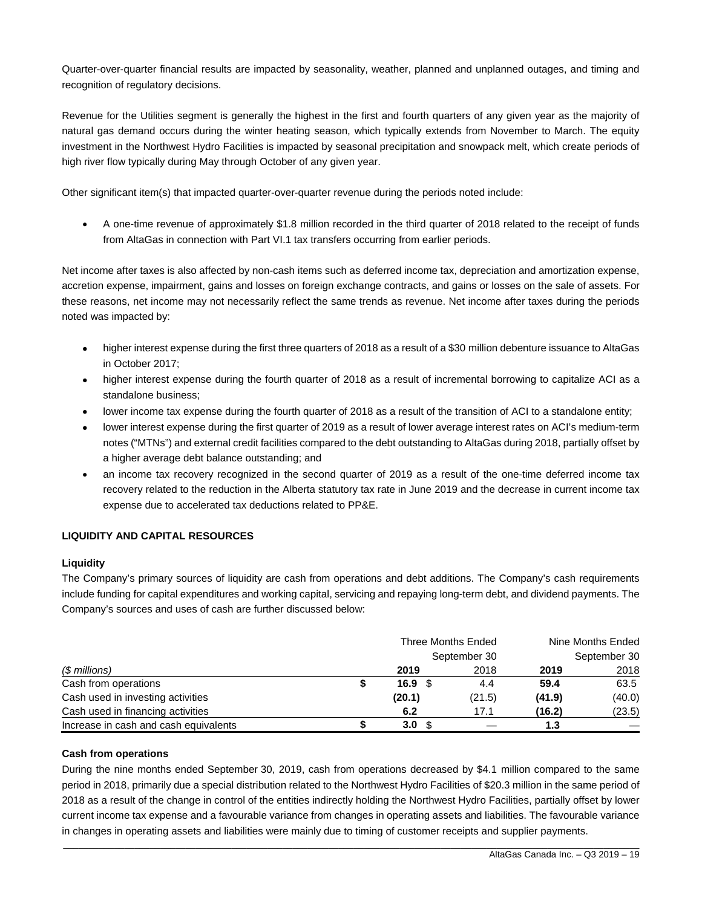Quarter-over-quarter financial results are impacted by seasonality, weather, planned and unplanned outages, and timing and recognition of regulatory decisions.

Revenue for the Utilities segment is generally the highest in the first and fourth quarters of any given year as the majority of natural gas demand occurs during the winter heating season, which typically extends from November to March. The equity investment in the Northwest Hydro Facilities is impacted by seasonal precipitation and snowpack melt, which create periods of high river flow typically during May through October of any given year.

Other significant item(s) that impacted quarter-over-quarter revenue during the periods noted include:

 A one-time revenue of approximately \$1.8 million recorded in the third quarter of 2018 related to the receipt of funds from AltaGas in connection with Part VI.1 tax transfers occurring from earlier periods.

Net income after taxes is also affected by non-cash items such as deferred income tax, depreciation and amortization expense, accretion expense, impairment, gains and losses on foreign exchange contracts, and gains or losses on the sale of assets. For these reasons, net income may not necessarily reflect the same trends as revenue. Net income after taxes during the periods noted was impacted by:

- higher interest expense during the first three quarters of 2018 as a result of a \$30 million debenture issuance to AltaGas in October 2017;
- higher interest expense during the fourth quarter of 2018 as a result of incremental borrowing to capitalize ACI as a standalone business;
- lower income tax expense during the fourth quarter of 2018 as a result of the transition of ACI to a standalone entity;
- lower interest expense during the first quarter of 2019 as a result of lower average interest rates on ACI's medium-term notes ("MTNs") and external credit facilities compared to the debt outstanding to AltaGas during 2018, partially offset by a higher average debt balance outstanding; and
- an income tax recovery recognized in the second quarter of 2019 as a result of the one-time deferred income tax recovery related to the reduction in the Alberta statutory tax rate in June 2019 and the decrease in current income tax expense due to accelerated tax deductions related to PP&E.

#### **LIQUIDITY AND CAPITAL RESOURCES**

#### **Liquidity**

The Company's primary sources of liquidity are cash from operations and debt additions. The Company's cash requirements include funding for capital expenditures and working capital, servicing and repaying long-term debt, and dividend payments. The Company's sources and uses of cash are further discussed below:

|                                       |                  | Three Months Ended | Nine Months Ended |        |  |
|---------------------------------------|------------------|--------------------|-------------------|--------|--|
|                                       | September 30     | September 30       |                   |        |  |
| (\$ millions)                         | 2019             | 2018               | 2019              | 2018   |  |
| Cash from operations                  | 16.9             | 4.4                | 59.4              | 63.5   |  |
| Cash used in investing activities     | (20.1)           | (21.5)             | (41.9)            | (40.0) |  |
| Cash used in financing activities     | 6.2              | 17.1               | (16.2)            | (23.5) |  |
| Increase in cash and cash equivalents | 3.0 <sub>1</sub> |                    | 1.3               |        |  |

#### **Cash from operations**

During the nine months ended September 30, 2019, cash from operations decreased by \$4.1 million compared to the same period in 2018, primarily due a special distribution related to the Northwest Hydro Facilities of \$20.3 million in the same period of 2018 as a result of the change in control of the entities indirectly holding the Northwest Hydro Facilities, partially offset by lower current income tax expense and a favourable variance from changes in operating assets and liabilities. The favourable variance in changes in operating assets and liabilities were mainly due to timing of customer receipts and supplier payments.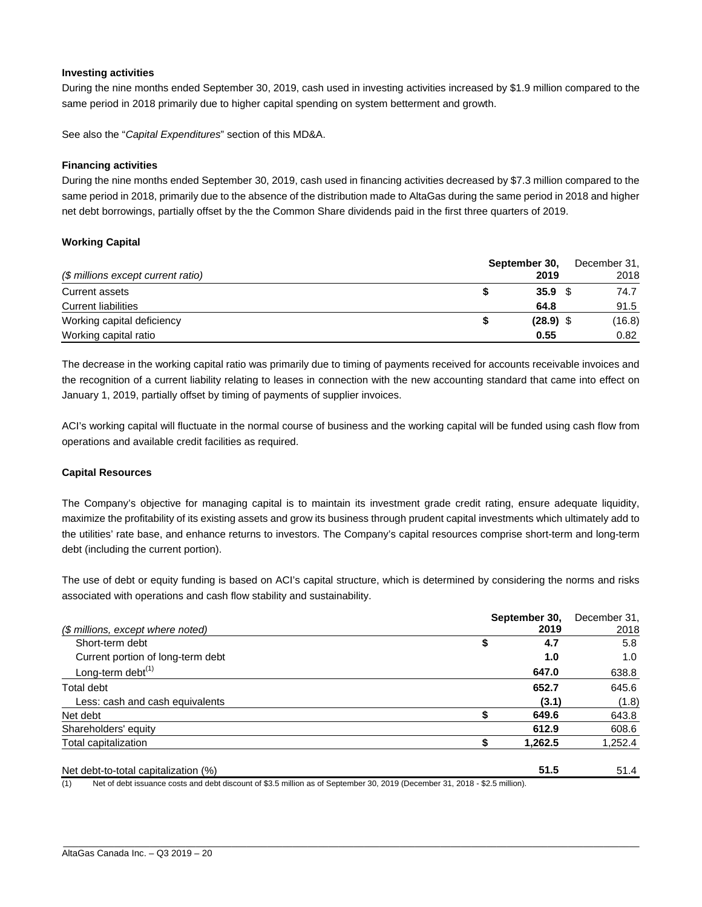#### **Investing activities**

During the nine months ended September 30, 2019, cash used in investing activities increased by \$1.9 million compared to the same period in 2018 primarily due to higher capital spending on system betterment and growth.

See also the "*Capital Expenditures*" section of this MD&A.

#### **Financing activities**

During the nine months ended September 30, 2019, cash used in financing activities decreased by \$7.3 million compared to the same period in 2018, primarily due to the absence of the distribution made to AltaGas during the same period in 2018 and higher net debt borrowings, partially offset by the the Common Share dividends paid in the first three quarters of 2019.

#### **Working Capital**

|                                    | September 30, | December 31, |  |  |
|------------------------------------|---------------|--------------|--|--|
| (\$ millions except current ratio) | 2019          | 2018         |  |  |
| Current assets                     | 35.9          | 74.7         |  |  |
| <b>Current liabilities</b>         | 64.8          | 91.5         |  |  |
| Working capital deficiency         | $(28.9)$ \$   | (16.8)       |  |  |
| Working capital ratio              | 0.55          | 0.82         |  |  |

The decrease in the working capital ratio was primarily due to timing of payments received for accounts receivable invoices and the recognition of a current liability relating to leases in connection with the new accounting standard that came into effect on January 1, 2019, partially offset by timing of payments of supplier invoices.

ACI's working capital will fluctuate in the normal course of business and the working capital will be funded using cash flow from operations and available credit facilities as required.

#### **Capital Resources**

The Company's objective for managing capital is to maintain its investment grade credit rating, ensure adequate liquidity, maximize the profitability of its existing assets and grow its business through prudent capital investments which ultimately add to the utilities' rate base, and enhance returns to investors. The Company's capital resources comprise short-term and long-term debt (including the current portion).

The use of debt or equity funding is based on ACI's capital structure, which is determined by considering the norms and risks associated with operations and cash flow stability and sustainability.

|                                      | September 30, |       | December 31, |
|--------------------------------------|---------------|-------|--------------|
| (\$ millions, except where noted)    |               | 2019  | 2018         |
| Short-term debt                      | \$            | 4.7   | 5.8          |
| Current portion of long-term debt    |               | 1.0   | 1.0          |
| Long-term debt $(1)$                 |               | 647.0 | 638.8        |
| Total debt                           |               | 652.7 | 645.6        |
| Less: cash and cash equivalents      |               | (3.1) | (1.8)        |
| Net debt                             |               | 649.6 | 643.8        |
| Shareholders' equity                 |               | 612.9 | 608.6        |
| Total capitalization                 | 1,262.5       |       | 1,252.4      |
| Net debt-to-total capitalization (%) |               | 51.5  | 51.4         |

(1) Net of debt issuance costs and debt discount of \$3.5 million as of September 30, 2019 (December 31, 2018 - \$2.5 million).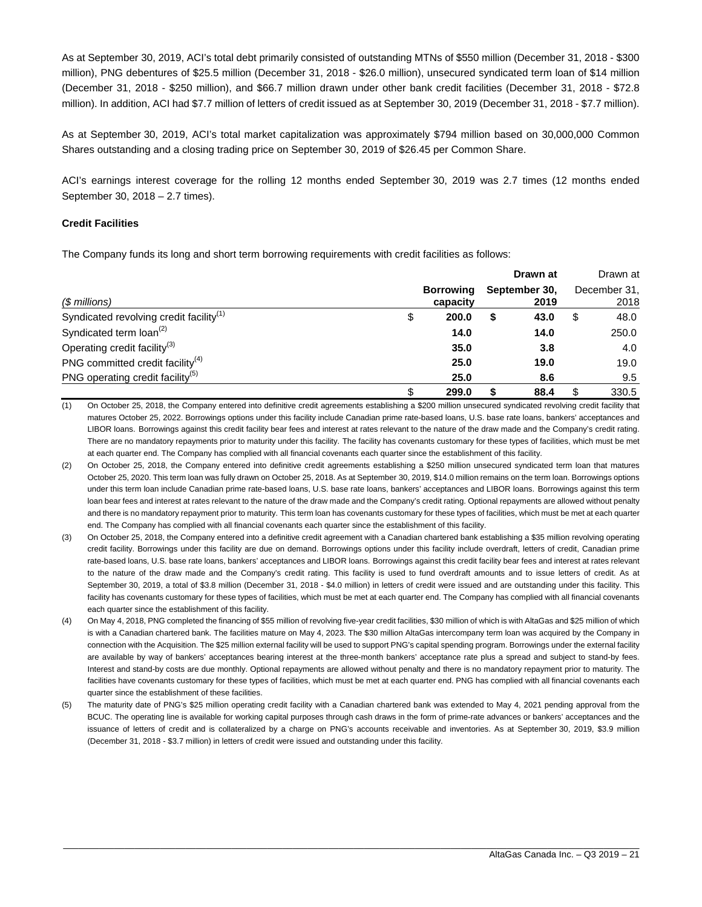As at September 30, 2019, ACI's total debt primarily consisted of outstanding MTNs of \$550 million (December 31, 2018 - \$300 million), PNG debentures of \$25.5 million (December 31, 2018 - \$26.0 million), unsecured syndicated term loan of \$14 million (December 31, 2018 - \$250 million), and \$66.7 million drawn under other bank credit facilities (December 31, 2018 - \$72.8 million). In addition, ACI had \$7.7 million of letters of credit issued as at September 30, 2019 (December 31, 2018 - \$7.7 million).

As at September 30, 2019, ACI's total market capitalization was approximately \$794 million based on 30,000,000 Common Shares outstanding and a closing trading price on September 30, 2019 of \$26.45 per Common Share.

ACI's earnings interest coverage for the rolling 12 months ended September 30, 2019 was 2.7 times (12 months ended September 30, 2018 – 2.7 times).

#### **Credit Facilities**

The Company funds its long and short term borrowing requirements with credit facilities as follows:

|                                                     |                              |   | Drawn at              |                      | Drawn at |
|-----------------------------------------------------|------------------------------|---|-----------------------|----------------------|----------|
| (\$ millions)                                       | <b>Borrowing</b><br>capacity |   | September 30,<br>2019 | December 31,<br>2018 |          |
| Syndicated revolving credit facility <sup>(1)</sup> | \$<br>200.0                  | S | 43.0                  | S                    | 48.0     |
| Syndicated term loan <sup>(2)</sup>                 | 14.0                         |   | 14.0                  |                      | 250.0    |
| Operating credit facility <sup>(3)</sup>            | 35.0                         |   | 3.8                   |                      | 4.0      |
| PNG committed credit facility <sup>(4)</sup>        | 25.0                         |   | 19.0                  |                      | 19.0     |
| PNG operating credit facility <sup>(5)</sup>        | 25.0                         |   | 8.6                   |                      | 9.5      |
|                                                     | 299.0                        |   | 88.4                  |                      | 330.5    |

(1) On October 25, 2018, the Company entered into definitive credit agreements establishing a \$200 million unsecured syndicated revolving credit facility that matures October 25, 2022. Borrowings options under this facility include Canadian prime rate-based loans, U.S. base rate loans, bankers' acceptances and LIBOR loans. Borrowings against this credit facility bear fees and interest at rates relevant to the nature of the draw made and the Company's credit rating. There are no mandatory repayments prior to maturity under this facility. The facility has covenants customary for these types of facilities, which must be met at each quarter end. The Company has complied with all financial covenants each quarter since the establishment of this facility.

- (2) On October 25, 2018, the Company entered into definitive credit agreements establishing a \$250 million unsecured syndicated term loan that matures October 25, 2020. This term loan was fully drawn on October 25, 2018. As at September 30, 2019, \$14.0 million remains on the term loan. Borrowings options under this term loan include Canadian prime rate-based loans, U.S. base rate loans, bankers' acceptances and LIBOR loans. Borrowings against this term loan bear fees and interest at rates relevant to the nature of the draw made and the Company's credit rating. Optional repayments are allowed without penalty and there is no mandatory repayment prior to maturity. This term loan has covenants customary for these types of facilities, which must be met at each quarter end. The Company has complied with all financial covenants each quarter since the establishment of this facility.
- (3) On October 25, 2018, the Company entered into a definitive credit agreement with a Canadian chartered bank establishing a \$35 million revolving operating credit facility. Borrowings under this facility are due on demand. Borrowings options under this facility include overdraft, letters of credit, Canadian prime rate-based loans, U.S. base rate loans, bankers' acceptances and LIBOR loans. Borrowings against this credit facility bear fees and interest at rates relevant to the nature of the draw made and the Company's credit rating. This facility is used to fund overdraft amounts and to issue letters of credit. As at September 30, 2019, a total of \$3.8 million (December 31, 2018 - \$4.0 million) in letters of credit were issued and are outstanding under this facility. This facility has covenants customary for these types of facilities, which must be met at each quarter end. The Company has complied with all financial covenants each quarter since the establishment of this facility.
- (4) On May 4, 2018, PNG completed the financing of \$55 million of revolving five-year credit facilities, \$30 million of which is with AltaGas and \$25 million of which is with a Canadian chartered bank. The facilities mature on May 4, 2023. The \$30 million AltaGas intercompany term loan was acquired by the Company in connection with the Acquisition. The \$25 million external facility will be used to support PNG's capital spending program. Borrowings under the external facility are available by way of bankers' acceptances bearing interest at the three-month bankers' acceptance rate plus a spread and subject to stand-by fees. Interest and stand-by costs are due monthly. Optional repayments are allowed without penalty and there is no mandatory repayment prior to maturity. The facilities have covenants customary for these types of facilities, which must be met at each quarter end. PNG has complied with all financial covenants each quarter since the establishment of these facilities.
- (5) The maturity date of PNG's \$25 million operating credit facility with a Canadian chartered bank was extended to May 4, 2021 pending approval from the BCUC. The operating line is available for working capital purposes through cash draws in the form of prime-rate advances or bankers' acceptances and the issuance of letters of credit and is collateralized by a charge on PNG's accounts receivable and inventories. As at September 30, 2019, \$3.9 million (December 31, 2018 - \$3.7 million) in letters of credit were issued and outstanding under this facility.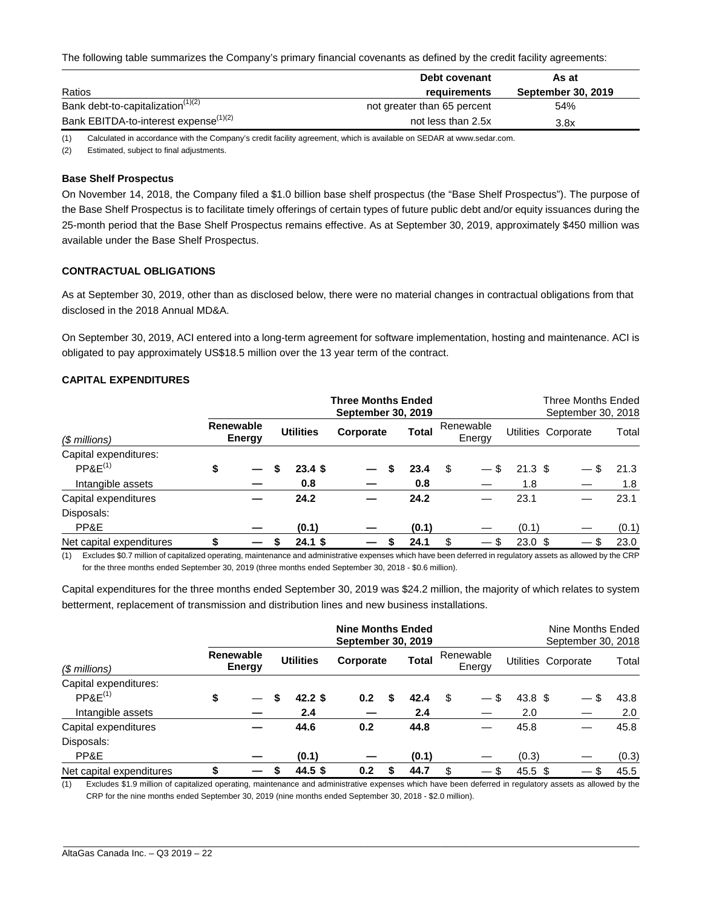The following table summarizes the Company's primary financial covenants as defined by the credit facility agreements:

|                                                   | Debt covenant               | As at                     |
|---------------------------------------------------|-----------------------------|---------------------------|
| Ratios                                            | requirements                | <b>September 30, 2019</b> |
| Bank debt-to-capitalization <sup>(1)(2)</sup>     | not greater than 65 percent | 54%                       |
| Bank EBITDA-to-interest expense <sup>(1)(2)</sup> | not less than 2.5x          | 3.8x                      |

(1) Calculated in accordance with the Company's credit facility agreement, which is available on SEDAR at www.sedar.com.

(2) Estimated, subject to final adjustments.

#### **Base Shelf Prospectus**

On November 14, 2018, the Company filed a \$1.0 billion base shelf prospectus (the "Base Shelf Prospectus"). The purpose of the Base Shelf Prospectus is to facilitate timely offerings of certain types of future public debt and/or equity issuances during the 25-month period that the Base Shelf Prospectus remains effective. As at September 30, 2019, approximately \$450 million was available under the Base Shelf Prospectus.

#### **CONTRACTUAL OBLIGATIONS**

As at September 30, 2019, other than as disclosed below, there were no material changes in contractual obligations from that disclosed in the 2018 Annual MD&A.

On September 30, 2019, ACI entered into a long-term agreement for software implementation, hosting and maintenance. ACI is obligated to pay approximately US\$18.5 million over the 13 year term of the contract.

#### **CAPITAL EXPENDITURES**

|                          |                     |  |                  |           | <b>Three Months Ended</b><br>September 30, 2019 |       |    |                     |                    | Three Months Ended<br>September 30, 2018 |       |
|--------------------------|---------------------|--|------------------|-----------|-------------------------------------------------|-------|----|---------------------|--------------------|------------------------------------------|-------|
| (\$ millions)            | Renewable<br>Energy |  | <b>Utilities</b> |           | Corporate                                       | Total |    | Renewable<br>Energy |                    | Utilities Corporate                      | Total |
| Capital expenditures:    |                     |  |                  |           |                                                 |       |    |                     |                    |                                          |       |
| $P P 8E^{(1)}$           | \$                  |  |                  | 23.4S     |                                                 | 23.4  | \$ |                     | $21.3 \text{ } $$  |                                          | 21.3  |
| Intangible assets        |                     |  |                  | 0.8       |                                                 | 0.8   |    |                     | 1.8                |                                          | 1.8   |
| Capital expenditures     |                     |  |                  | 24.2      |                                                 | 24.2  |    |                     | 23.1               |                                          | 23.1  |
| Disposals:               |                     |  |                  |           |                                                 |       |    |                     |                    |                                          |       |
| PP&E                     |                     |  |                  | (0.1)     |                                                 | (0.1) |    |                     | (0.1)              |                                          | (0.1) |
| Net capital expenditures |                     |  |                  | $24.1$ \$ |                                                 | 24.1  | \$ |                     | $23.0 \text{ }$ \$ |                                          | 23.0  |

(1) Excludes \$0.7 million of capitalized operating, maintenance and administrative expenses which have been deferred in regulatory assets as allowed by the CRP for the three months ended September 30, 2019 (three months ended September 30, 2018 - \$0.6 million).

Capital expenditures for the three months ended September 30, 2019 was \$24.2 million, the majority of which relates to system betterment, replacement of transmission and distribution lines and new business installations.

|                          |                                   |   |                   | <b>Nine Months Ended</b><br>September 30, 2019 |              |                                              |                   | Nine Months Ended<br>September 30, 2018 |       |
|--------------------------|-----------------------------------|---|-------------------|------------------------------------------------|--------------|----------------------------------------------|-------------------|-----------------------------------------|-------|
| (\$ millions)            | <b>Renewable</b><br><b>Energy</b> |   | <b>Utilities</b>  | Corporate                                      | <b>Total</b> | Renewable<br>Energy                          |                   | Utilities Corporate                     | Total |
| Capital expenditures:    |                                   |   |                   |                                                |              |                                              |                   |                                         |       |
| $P P 8E^{(1)}$           | \$                                | S | 42.2 <sup>5</sup> | 0.2                                            | 42.4         | \$<br>\$                                     | 43.8 <sup>5</sup> |                                         | 43.8  |
| Intangible assets        |                                   |   | 2.4               |                                                | 2.4          |                                              | 2.0               |                                         | 2.0   |
| Capital expenditures     |                                   |   | 44.6              | 0.2                                            | 44.8         |                                              | 45.8              |                                         | 45.8  |
| Disposals:               |                                   |   |                   |                                                |              |                                              |                   |                                         |       |
| PP&E                     |                                   |   | (0.1)             |                                                | (0.1)        |                                              | (0.3)             |                                         | (0.3) |
| Net capital expenditures |                                   |   | 44.5 \$           | 0.2                                            | 44.7         | \$<br>\$.<br>$\hspace{0.1mm}-\hspace{0.1mm}$ | 45.5~\$           | $\hspace{0.05cm}$                       | 45.5  |

(1) Excludes \$1.9 million of capitalized operating, maintenance and administrative expenses which have been deferred in regulatory assets as allowed by the CRP for the nine months ended September 30, 2019 (nine months ended September 30, 2018 - \$2.0 million).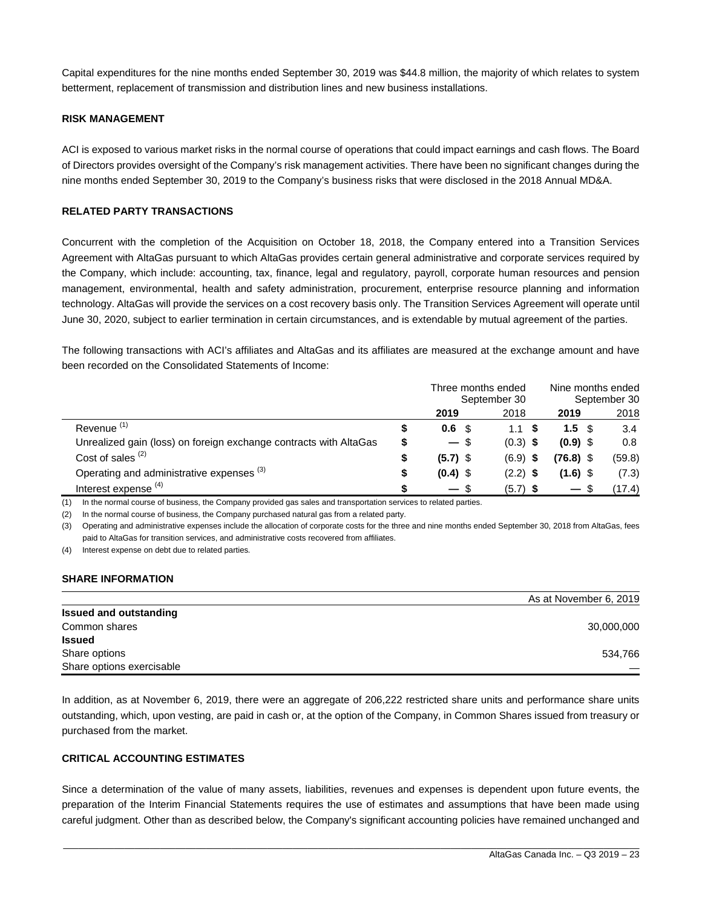Capital expenditures for the nine months ended September 30, 2019 was \$44.8 million, the majority of which relates to system betterment, replacement of transmission and distribution lines and new business installations.

#### **RISK MANAGEMENT**

ACI is exposed to various market risks in the normal course of operations that could impact earnings and cash flows. The Board of Directors provides oversight of the Company's risk management activities. There have been no significant changes during the nine months ended September 30, 2019 to the Company's business risks that were disclosed in the 2018 Annual MD&A.

#### **RELATED PARTY TRANSACTIONS**

Concurrent with the completion of the Acquisition on October 18, 2018, the Company entered into a Transition Services Agreement with AltaGas pursuant to which AltaGas provides certain general administrative and corporate services required by the Company, which include: accounting, tax, finance, legal and regulatory, payroll, corporate human resources and pension management, environmental, health and safety administration, procurement, enterprise resource planning and information technology. AltaGas will provide the services on a cost recovery basis only. The Transition Services Agreement will operate until June 30, 2020, subject to earlier termination in certain circumstances, and is extendable by mutual agreement of the parties.

The following transactions with ACI's affiliates and AltaGas and its affiliates are measured at the exchange amount and have been recorded on the Consolidated Statements of Income:

|                                                                   |    | Three months ended | September 30 | Nine months ended<br>September 30 |        |  |  |
|-------------------------------------------------------------------|----|--------------------|--------------|-----------------------------------|--------|--|--|
|                                                                   |    | 2019               | 2018         | 2019                              | 2018   |  |  |
| Revenue <sup>(1)</sup>                                            | S  | 0.6 <sup>5</sup>   | 1.1 S        | 1.5 <sup>5</sup>                  | 3.4    |  |  |
| Unrealized gain (loss) on foreign exchange contracts with AltaGas | \$ | $-$ \$             | $(0.3)$ \$   | $(0.9)$ \$                        | 0.8    |  |  |
| Cost of sales $(2)$                                               | \$ | $(5.7)$ \$         | $(6.9)$ \$   | (76.8) \$                         | (59.8) |  |  |
| Operating and administrative expenses (3)                         | \$ | $(0.4)$ \$         | $(2.2)$ \$   | $(1.6)$ \$                        | (7.3)  |  |  |
| Interest expense <sup>(4)</sup>                                   |    | — \$               | $(5.7)$ \$   | $\overline{\phantom{0}}$          | (17.4) |  |  |

(1) In the normal course of business, the Company provided gas sales and transportation services to related parties.

(2) In the normal course of business, the Company purchased natural gas from a related party.

(3) Operating and administrative expenses include the allocation of corporate costs for the three and nine months ended September 30, 2018 from AltaGas, fees paid to AltaGas for transition services, and administrative costs recovered from affiliates.

(4) Interest expense on debt due to related parties*.* 

#### **SHARE INFORMATION**

|                               | As at November 6, 2019 |
|-------------------------------|------------------------|
| <b>Issued and outstanding</b> |                        |
| Common shares                 | 30,000,000             |
| <b>Issued</b>                 |                        |
| Share options                 | 534,766                |
| Share options exercisable     |                        |

In addition, as at November 6, 2019, there were an aggregate of 206,222 restricted share units and performance share units outstanding, which, upon vesting, are paid in cash or, at the option of the Company, in Common Shares issued from treasury or purchased from the market.

#### **CRITICAL ACCOUNTING ESTIMATES**

Since a determination of the value of many assets, liabilities, revenues and expenses is dependent upon future events, the preparation of the Interim Financial Statements requires the use of estimates and assumptions that have been made using careful judgment. Other than as described below, the Company's significant accounting policies have remained unchanged and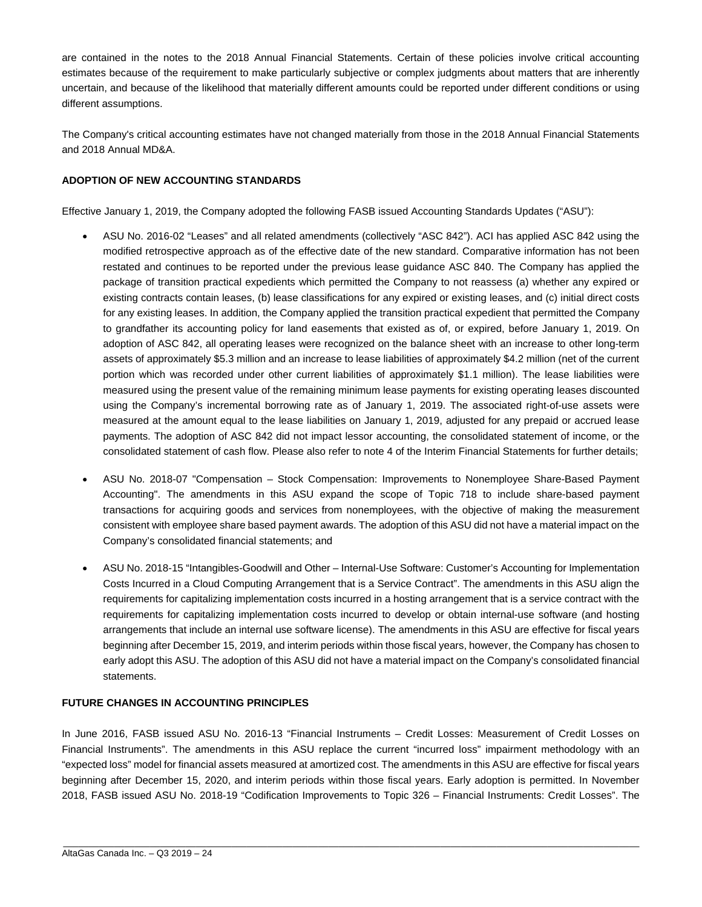are contained in the notes to the 2018 Annual Financial Statements. Certain of these policies involve critical accounting estimates because of the requirement to make particularly subjective or complex judgments about matters that are inherently uncertain, and because of the likelihood that materially different amounts could be reported under different conditions or using different assumptions.

The Company's critical accounting estimates have not changed materially from those in the 2018 Annual Financial Statements and 2018 Annual MD&A.

#### **ADOPTION OF NEW ACCOUNTING STANDARDS**

Effective January 1, 2019, the Company adopted the following FASB issued Accounting Standards Updates ("ASU"):

- ASU No. 2016-02 "Leases" and all related amendments (collectively "ASC 842"). ACI has applied ASC 842 using the modified retrospective approach as of the effective date of the new standard. Comparative information has not been restated and continues to be reported under the previous lease guidance ASC 840. The Company has applied the package of transition practical expedients which permitted the Company to not reassess (a) whether any expired or existing contracts contain leases, (b) lease classifications for any expired or existing leases, and (c) initial direct costs for any existing leases. In addition, the Company applied the transition practical expedient that permitted the Company to grandfather its accounting policy for land easements that existed as of, or expired, before January 1, 2019. On adoption of ASC 842, all operating leases were recognized on the balance sheet with an increase to other long-term assets of approximately \$5.3 million and an increase to lease liabilities of approximately \$4.2 million (net of the current portion which was recorded under other current liabilities of approximately \$1.1 million). The lease liabilities were measured using the present value of the remaining minimum lease payments for existing operating leases discounted using the Company's incremental borrowing rate as of January 1, 2019. The associated right-of-use assets were measured at the amount equal to the lease liabilities on January 1, 2019, adjusted for any prepaid or accrued lease payments. The adoption of ASC 842 did not impact lessor accounting, the consolidated statement of income, or the consolidated statement of cash flow. Please also refer to note 4 of the Interim Financial Statements for further details;
- ASU No. 2018-07 "Compensation Stock Compensation: Improvements to Nonemployee Share-Based Payment Accounting". The amendments in this ASU expand the scope of Topic 718 to include share-based payment transactions for acquiring goods and services from nonemployees, with the objective of making the measurement consistent with employee share based payment awards. The adoption of this ASU did not have a material impact on the Company's consolidated financial statements; and
- ASU No. 2018-15 "Intangibles-Goodwill and Other Internal-Use Software: Customer's Accounting for Implementation Costs Incurred in a Cloud Computing Arrangement that is a Service Contract". The amendments in this ASU align the requirements for capitalizing implementation costs incurred in a hosting arrangement that is a service contract with the requirements for capitalizing implementation costs incurred to develop or obtain internal-use software (and hosting arrangements that include an internal use software license). The amendments in this ASU are effective for fiscal years beginning after December 15, 2019, and interim periods within those fiscal years, however, the Company has chosen to early adopt this ASU. The adoption of this ASU did not have a material impact on the Company's consolidated financial statements.

#### **FUTURE CHANGES IN ACCOUNTING PRINCIPLES**

In June 2016, FASB issued ASU No. 2016-13 "Financial Instruments – Credit Losses: Measurement of Credit Losses on Financial Instruments". The amendments in this ASU replace the current "incurred loss" impairment methodology with an "expected loss" model for financial assets measured at amortized cost. The amendments in this ASU are effective for fiscal years beginning after December 15, 2020, and interim periods within those fiscal years. Early adoption is permitted. In November 2018, FASB issued ASU No. 2018-19 "Codification Improvements to Topic 326 – Financial Instruments: Credit Losses". The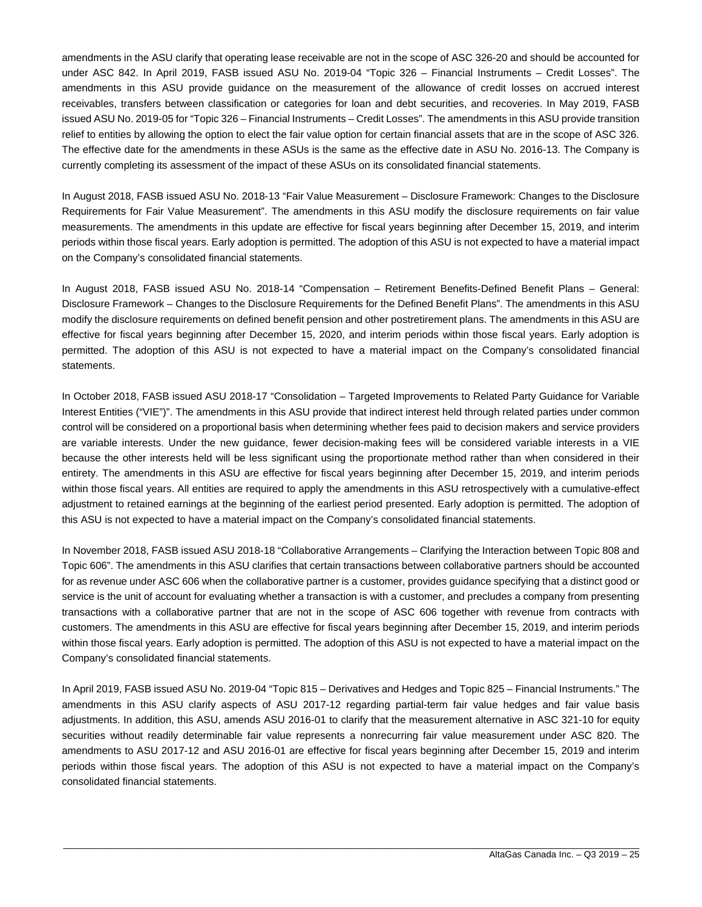amendments in the ASU clarify that operating lease receivable are not in the scope of ASC 326-20 and should be accounted for under ASC 842. In April 2019, FASB issued ASU No. 2019-04 "Topic 326 – Financial Instruments – Credit Losses". The amendments in this ASU provide guidance on the measurement of the allowance of credit losses on accrued interest receivables, transfers between classification or categories for loan and debt securities, and recoveries. In May 2019, FASB issued ASU No. 2019-05 for "Topic 326 – Financial Instruments – Credit Losses". The amendments in this ASU provide transition relief to entities by allowing the option to elect the fair value option for certain financial assets that are in the scope of ASC 326. The effective date for the amendments in these ASUs is the same as the effective date in ASU No. 2016-13. The Company is currently completing its assessment of the impact of these ASUs on its consolidated financial statements.

In August 2018, FASB issued ASU No. 2018-13 "Fair Value Measurement – Disclosure Framework: Changes to the Disclosure Requirements for Fair Value Measurement". The amendments in this ASU modify the disclosure requirements on fair value measurements. The amendments in this update are effective for fiscal years beginning after December 15, 2019, and interim periods within those fiscal years. Early adoption is permitted. The adoption of this ASU is not expected to have a material impact on the Company's consolidated financial statements.

In August 2018, FASB issued ASU No. 2018-14 "Compensation – Retirement Benefits-Defined Benefit Plans – General: Disclosure Framework – Changes to the Disclosure Requirements for the Defined Benefit Plans". The amendments in this ASU modify the disclosure requirements on defined benefit pension and other postretirement plans. The amendments in this ASU are effective for fiscal years beginning after December 15, 2020, and interim periods within those fiscal years. Early adoption is permitted. The adoption of this ASU is not expected to have a material impact on the Company's consolidated financial statements.

In October 2018, FASB issued ASU 2018-17 "Consolidation – Targeted Improvements to Related Party Guidance for Variable Interest Entities ("VIE")". The amendments in this ASU provide that indirect interest held through related parties under common control will be considered on a proportional basis when determining whether fees paid to decision makers and service providers are variable interests. Under the new guidance, fewer decision-making fees will be considered variable interests in a VIE because the other interests held will be less significant using the proportionate method rather than when considered in their entirety. The amendments in this ASU are effective for fiscal years beginning after December 15, 2019, and interim periods within those fiscal years. All entities are required to apply the amendments in this ASU retrospectively with a cumulative-effect adjustment to retained earnings at the beginning of the earliest period presented. Early adoption is permitted. The adoption of this ASU is not expected to have a material impact on the Company's consolidated financial statements.

In November 2018, FASB issued ASU 2018-18 "Collaborative Arrangements – Clarifying the Interaction between Topic 808 and Topic 606". The amendments in this ASU clarifies that certain transactions between collaborative partners should be accounted for as revenue under ASC 606 when the collaborative partner is a customer, provides guidance specifying that a distinct good or service is the unit of account for evaluating whether a transaction is with a customer, and precludes a company from presenting transactions with a collaborative partner that are not in the scope of ASC 606 together with revenue from contracts with customers. The amendments in this ASU are effective for fiscal years beginning after December 15, 2019, and interim periods within those fiscal years. Early adoption is permitted. The adoption of this ASU is not expected to have a material impact on the Company's consolidated financial statements.

In April 2019, FASB issued ASU No. 2019-04 "Topic 815 – Derivatives and Hedges and Topic 825 – Financial Instruments." The amendments in this ASU clarify aspects of ASU 2017-12 regarding partial-term fair value hedges and fair value basis adjustments. In addition, this ASU, amends ASU 2016-01 to clarify that the measurement alternative in ASC 321-10 for equity securities without readily determinable fair value represents a nonrecurring fair value measurement under ASC 820. The amendments to ASU 2017-12 and ASU 2016-01 are effective for fiscal years beginning after December 15, 2019 and interim periods within those fiscal years. The adoption of this ASU is not expected to have a material impact on the Company's consolidated financial statements.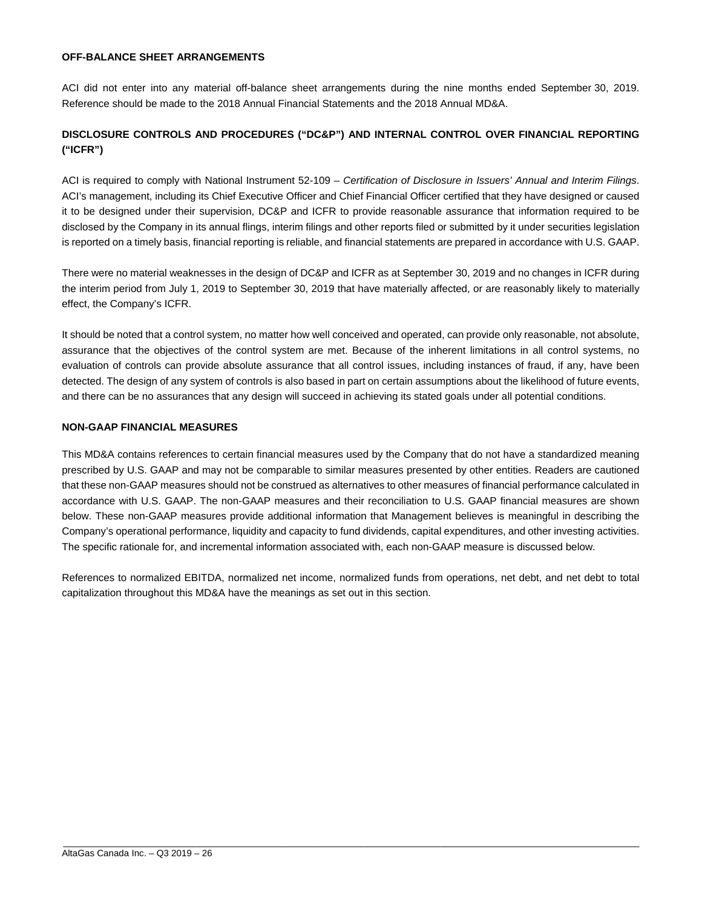#### **OFF-BALANCE SHEET ARRANGEMENTS**

ACI did not enter into any material off-balance sheet arrangements during the nine months ended September 30, 2019. Reference should be made to the 2018 Annual Financial Statements and the 2018 Annual MD&A.

### **DISCLOSURE CONTROLS AND PROCEDURES ("DC&P") AND INTERNAL CONTROL OVER FINANCIAL REPORTING ("ICFR")**

ACI is required to comply with National Instrument 52-109 – *Certification of Disclosure in Issuers' Annual and Interim Filings*. ACI's management, including its Chief Executive Officer and Chief Financial Officer certified that they have designed or caused it to be designed under their supervision, DC&P and ICFR to provide reasonable assurance that information required to be disclosed by the Company in its annual flings, interim filings and other reports filed or submitted by it under securities legislation is reported on a timely basis, financial reporting is reliable, and financial statements are prepared in accordance with U.S. GAAP.

There were no material weaknesses in the design of DC&P and ICFR as at September 30, 2019 and no changes in ICFR during the interim period from July 1, 2019 to September 30, 2019 that have materially affected, or are reasonably likely to materially effect, the Company's ICFR.

It should be noted that a control system, no matter how well conceived and operated, can provide only reasonable, not absolute, assurance that the objectives of the control system are met. Because of the inherent limitations in all control systems, no evaluation of controls can provide absolute assurance that all control issues, including instances of fraud, if any, have been detected. The design of any system of controls is also based in part on certain assumptions about the likelihood of future events, and there can be no assurances that any design will succeed in achieving its stated goals under all potential conditions.

#### **NON-GAAP FINANCIAL MEASURES**

This MD&A contains references to certain financial measures used by the Company that do not have a standardized meaning prescribed by U.S. GAAP and may not be comparable to similar measures presented by other entities. Readers are cautioned that these non-GAAP measures should not be construed as alternatives to other measures of financial performance calculated in accordance with U.S. GAAP. The non-GAAP measures and their reconciliation to U.S. GAAP financial measures are shown below. These non-GAAP measures provide additional information that Management believes is meaningful in describing the Company's operational performance, liquidity and capacity to fund dividends, capital expenditures, and other investing activities. The specific rationale for, and incremental information associated with, each non-GAAP measure is discussed below.

References to normalized EBITDA, normalized net income, normalized funds from operations, net debt, and net debt to total capitalization throughout this MD&A have the meanings as set out in this section.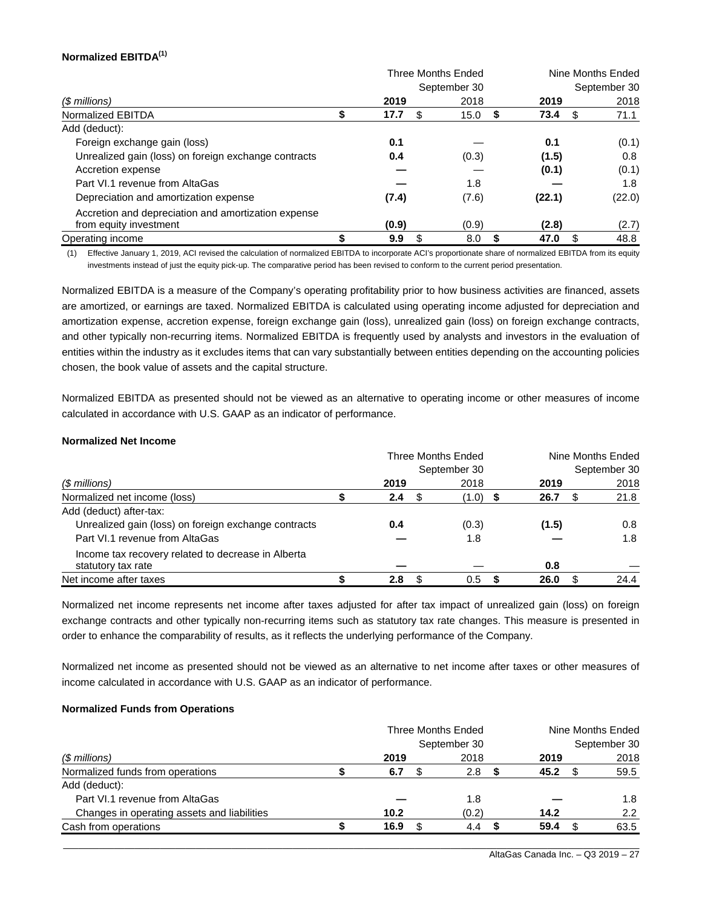#### **Normalized EBITDA(1)**

|                                                      |                | Three Months Ended |             | Nine Months Ended |  |
|------------------------------------------------------|----------------|--------------------|-------------|-------------------|--|
|                                                      |                | September 30       |             | September 30      |  |
| (\$ millions)                                        | 2019           | 2018               | 2019        | 2018              |  |
| Normalized EBITDA                                    | 17.7           | 15.0<br>S          | 73.4<br>- 5 | 71.1<br>S         |  |
| Add (deduct):                                        |                |                    |             |                   |  |
| Foreign exchange gain (loss)                         | 0.1            |                    | 0.1         | (0.1)             |  |
| Unrealized gain (loss) on foreign exchange contracts | 0.4            | (0.3)              | (1.5)       | 0.8               |  |
| Accretion expense                                    |                |                    | (0.1)       | (0.1)             |  |
| Part VI.1 revenue from AltaGas                       |                | 1.8                |             | 1.8               |  |
| Depreciation and amortization expense                | (7.4)          | (7.6)              | (22.1)      | (22.0)            |  |
| Accretion and depreciation and amortization expense  |                |                    |             |                   |  |
| from equity investment                               | (0.9)          | (0.9)              | (2.8)       | (2.7)             |  |
| Operating income                                     | \$<br>9.9<br>S | 8.0                | 47.0<br>5   | 48.8<br>\$        |  |

(1) Effective January 1, 2019, ACI revised the calculation of normalized EBITDA to incorporate ACI's proportionate share of normalized EBITDA from its equity investments instead of just the equity pick-up. The comparative period has been revised to conform to the current period presentation.

Normalized EBITDA is a measure of the Company's operating profitability prior to how business activities are financed, assets are amortized, or earnings are taxed. Normalized EBITDA is calculated using operating income adjusted for depreciation and amortization expense, accretion expense, foreign exchange gain (loss), unrealized gain (loss) on foreign exchange contracts, and other typically non-recurring items. Normalized EBITDA is frequently used by analysts and investors in the evaluation of entities within the industry as it excludes items that can vary substantially between entities depending on the accounting policies chosen, the book value of assets and the capital structure.

Normalized EBITDA as presented should not be viewed as an alternative to operating income or other measures of income calculated in accordance with U.S. GAAP as an indicator of performance.

#### **Normalized Net Income**

|                                                                          | Three Months Ended |     |              |  |       | Nine Months Ended |              |
|--------------------------------------------------------------------------|--------------------|-----|--------------|--|-------|-------------------|--------------|
|                                                                          |                    |     | September 30 |  |       |                   | September 30 |
| (\$ millions)                                                            | 2019               |     | 2018         |  | 2019  |                   | 2018         |
| Normalized net income (loss)                                             | 2.4                | SS. | $(1.0)$ \$   |  | 26.7  |                   | 21.8         |
| Add (deduct) after-tax:                                                  |                    |     |              |  |       |                   |              |
| Unrealized gain (loss) on foreign exchange contracts                     | 0.4                |     | (0.3)        |  | (1.5) |                   | 0.8          |
| Part VI.1 revenue from AltaGas                                           |                    |     | 1.8          |  |       |                   | 1.8          |
| Income tax recovery related to decrease in Alberta<br>statutory tax rate |                    |     |              |  | 0.8   |                   |              |
| Net income after taxes                                                   | 2.8                |     | 0.5          |  | 26.0  |                   | 24.4         |

Normalized net income represents net income after taxes adjusted for after tax impact of unrealized gain (loss) on foreign exchange contracts and other typically non-recurring items such as statutory tax rate changes. This measure is presented in order to enhance the comparability of results, as it reflects the underlying performance of the Company.

Normalized net income as presented should not be viewed as an alternative to net income after taxes or other measures of income calculated in accordance with U.S. GAAP as an indicator of performance.

#### **Normalized Funds from Operations**

|                                             | Three Months Ended |              |  |       | Nine Months Ended |      |              |      |  |
|---------------------------------------------|--------------------|--------------|--|-------|-------------------|------|--------------|------|--|
|                                             |                    | September 30 |  |       |                   |      | September 30 |      |  |
| $$$ millions)                               |                    | 2019         |  | 2018  |                   | 2019 |              | 2018 |  |
| Normalized funds from operations            |                    | 6.7          |  | 2.8   |                   | 45.2 |              | 59.5 |  |
| Add (deduct):                               |                    |              |  |       |                   |      |              |      |  |
| Part VI.1 revenue from AltaGas              |                    |              |  | 1.8   |                   |      |              | 1.8  |  |
| Changes in operating assets and liabilities |                    | 10.2         |  | (0.2) |                   | 14.2 |              | 2.2  |  |
| Cash from operations                        |                    | 16.9         |  | 4.4   |                   | 59.4 |              | 63.5 |  |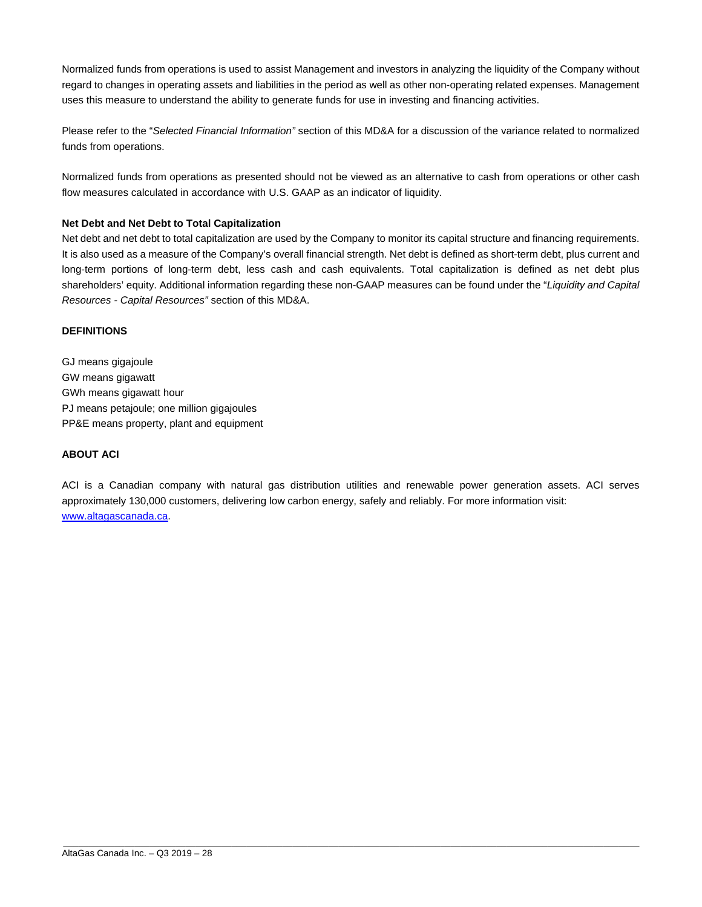Normalized funds from operations is used to assist Management and investors in analyzing the liquidity of the Company without regard to changes in operating assets and liabilities in the period as well as other non-operating related expenses. Management uses this measure to understand the ability to generate funds for use in investing and financing activities.

Please refer to the "*Selected Financial Information"* section of this MD&A for a discussion of the variance related to normalized funds from operations.

Normalized funds from operations as presented should not be viewed as an alternative to cash from operations or other cash flow measures calculated in accordance with U.S. GAAP as an indicator of liquidity.

#### **Net Debt and Net Debt to Total Capitalization**

Net debt and net debt to total capitalization are used by the Company to monitor its capital structure and financing requirements. It is also used as a measure of the Company's overall financial strength. Net debt is defined as short-term debt, plus current and long-term portions of long-term debt, less cash and cash equivalents. Total capitalization is defined as net debt plus shareholders' equity. Additional information regarding these non-GAAP measures can be found under the "*Liquidity and Capital Resources - Capital Resources"* section of this MD&A.

#### **DEFINITIONS**

GJ means gigajoule GW means gigawatt GWh means gigawatt hour PJ means petajoule; one million gigajoules PP&E means property, plant and equipment

#### **ABOUT ACI**

ACI is a Canadian company with natural gas distribution utilities and renewable power generation assets. ACI serves approximately 130,000 customers, delivering low carbon energy, safely and reliably. For more information visit: www.altagascanada.ca.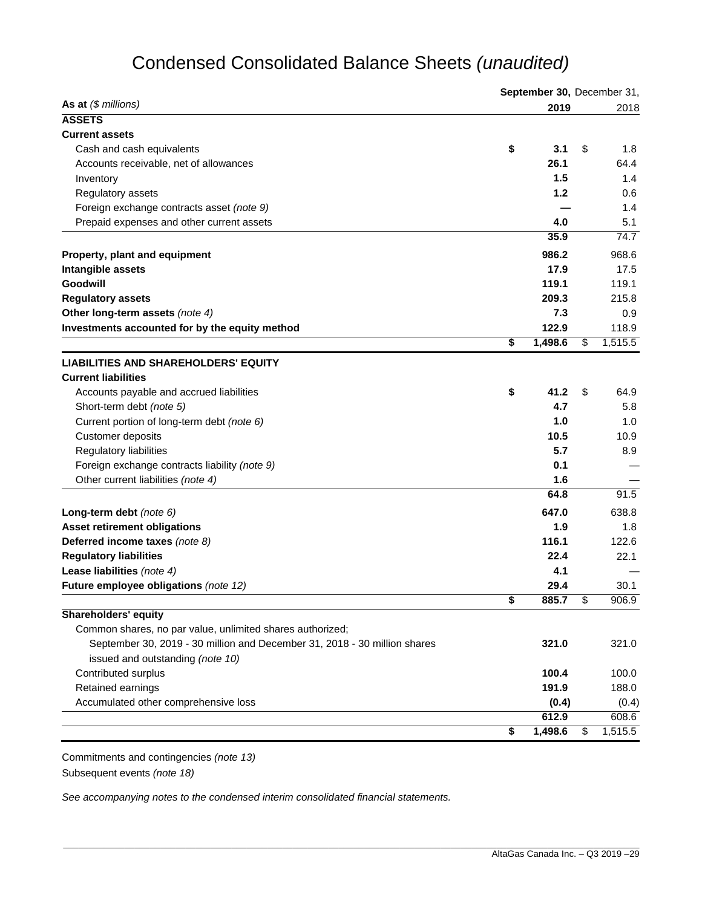## Condensed Consolidated Balance Sheets *(unaudited)*

|                                                                           | September 30, December 31, |         |    |         |  |
|---------------------------------------------------------------------------|----------------------------|---------|----|---------|--|
| As at $(\$$ millions)                                                     |                            | 2019    |    | 2018    |  |
| <b>ASSETS</b>                                                             |                            |         |    |         |  |
| <b>Current assets</b>                                                     |                            |         |    |         |  |
| Cash and cash equivalents                                                 | \$                         | 3.1     | \$ | 1.8     |  |
| Accounts receivable, net of allowances                                    |                            | 26.1    |    | 64.4    |  |
| Inventory                                                                 |                            | 1.5     |    | 1.4     |  |
| Regulatory assets                                                         |                            | 1.2     |    | 0.6     |  |
| Foreign exchange contracts asset (note 9)                                 |                            |         |    | 1.4     |  |
| Prepaid expenses and other current assets                                 |                            | 4.0     |    | 5.1     |  |
|                                                                           |                            | 35.9    |    | 74.7    |  |
| Property, plant and equipment                                             |                            | 986.2   |    | 968.6   |  |
| Intangible assets                                                         |                            | 17.9    |    | 17.5    |  |
| Goodwill                                                                  |                            | 119.1   |    | 119.1   |  |
| <b>Regulatory assets</b>                                                  |                            | 209.3   |    | 215.8   |  |
| Other long-term assets (note 4)                                           |                            | 7.3     |    | 0.9     |  |
| Investments accounted for by the equity method                            |                            | 122.9   |    | 118.9   |  |
|                                                                           | \$                         | 1,498.6 | \$ | 1,515.5 |  |
| <b>LIABILITIES AND SHAREHOLDERS' EQUITY</b>                               |                            |         |    |         |  |
| <b>Current liabilities</b>                                                |                            |         |    |         |  |
| Accounts payable and accrued liabilities                                  | \$                         | 41.2    | \$ | 64.9    |  |
| Short-term debt (note 5)                                                  |                            | 4.7     |    | 5.8     |  |
| Current portion of long-term debt (note 6)                                |                            | 1.0     |    | 1.0     |  |
| Customer deposits                                                         |                            | 10.5    |    | 10.9    |  |
| Regulatory liabilities                                                    |                            | 5.7     |    | 8.9     |  |
| Foreign exchange contracts liability (note 9)                             |                            | 0.1     |    |         |  |
| Other current liabilities (note 4)                                        |                            | 1.6     |    |         |  |
|                                                                           |                            | 64.8    |    | 91.5    |  |
| Long-term debt (note 6)                                                   |                            | 647.0   |    | 638.8   |  |
| <b>Asset retirement obligations</b>                                       |                            | 1.9     |    | 1.8     |  |
| Deferred income taxes (note 8)                                            |                            | 116.1   |    | 122.6   |  |
| <b>Regulatory liabilities</b>                                             |                            | 22.4    |    | 22.1    |  |
| Lease liabilities (note 4)                                                |                            | 4.1     |    |         |  |
| Future employee obligations (note 12)                                     |                            | 29.4    |    | 30.1    |  |
|                                                                           | \$                         | 885.7   | \$ | 906.9   |  |
| <b>Shareholders' equity</b>                                               |                            |         |    |         |  |
| Common shares, no par value, unlimited shares authorized;                 |                            |         |    |         |  |
| September 30, 2019 - 30 million and December 31, 2018 - 30 million shares |                            | 321.0   |    | 321.0   |  |
| issued and outstanding (note 10)                                          |                            |         |    |         |  |
| Contributed surplus                                                       |                            | 100.4   |    | 100.0   |  |
| Retained earnings                                                         |                            | 191.9   |    | 188.0   |  |
| Accumulated other comprehensive loss                                      |                            | (0.4)   |    | (0.4)   |  |
|                                                                           |                            | 612.9   |    | 608.6   |  |
|                                                                           | \$                         | 1,498.6 | \$ | 1,515.5 |  |
|                                                                           |                            |         |    |         |  |

\_\_\_\_\_\_\_\_\_\_\_\_\_\_\_\_\_\_\_\_\_\_\_\_\_\_\_\_\_\_\_\_\_\_\_\_\_\_\_\_\_\_\_\_\_\_\_\_\_\_\_\_\_\_\_\_\_\_\_\_\_\_\_\_\_\_\_\_\_\_\_\_\_\_\_\_\_\_\_\_\_\_\_\_\_\_\_\_\_\_\_\_\_\_\_\_\_\_\_\_\_\_\_\_\_\_\_\_\_\_\_\_\_

Commitments and contingencies *(note 13)*  Subsequent events *(note 18)*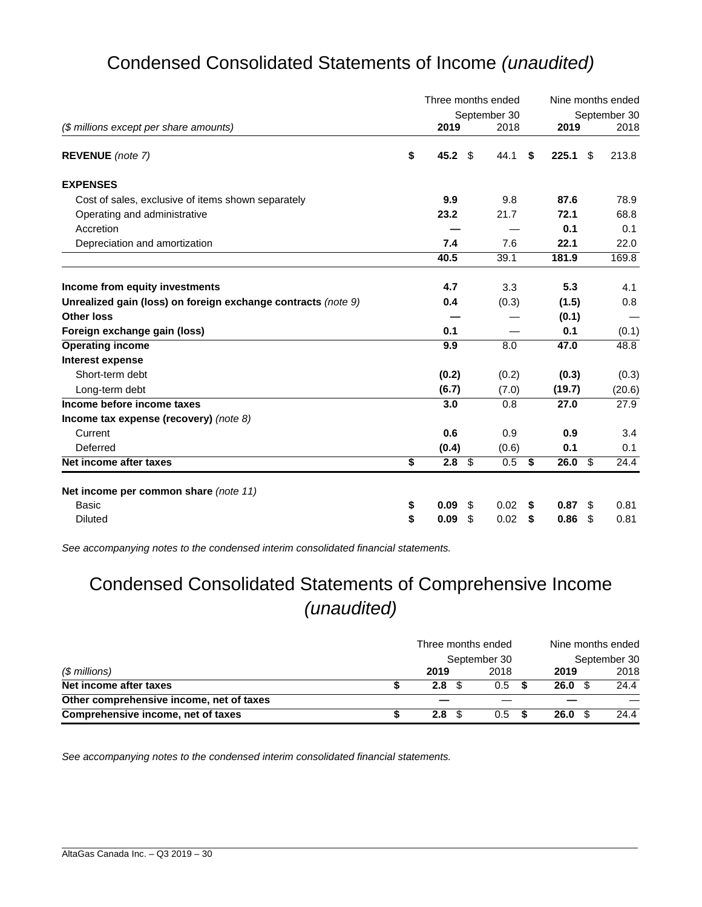## Condensed Consolidated Statements of Income *(unaudited)*

|                                                               | Three months ended     |    | Nine months ended |    |        |              |        |
|---------------------------------------------------------------|------------------------|----|-------------------|----|--------|--------------|--------|
|                                                               |                        |    | September 30      |    |        | September 30 |        |
| (\$ millions except per share amounts)                        | 2019                   |    | 2018              |    | 2019   |              | 2018   |
| REVENUE (note 7)                                              | \$<br>45.2             | \$ | 44.1              | \$ | 225.1  | \$           | 213.8  |
| <b>EXPENSES</b>                                               |                        |    |                   |    |        |              |        |
| Cost of sales, exclusive of items shown separately            | 9.9                    |    | 9.8               |    | 87.6   |              | 78.9   |
| Operating and administrative                                  | 23.2                   |    | 21.7              |    | 72.1   |              | 68.8   |
| Accretion                                                     |                        |    |                   |    | 0.1    |              | 0.1    |
| Depreciation and amortization                                 | 7.4                    |    | 7.6               |    | 22.1   |              | 22.0   |
|                                                               | 40.5                   |    | 39.1              |    | 181.9  |              | 169.8  |
| Income from equity investments                                | 4.7                    |    | 3.3               |    | 5.3    |              | 4.1    |
| Unrealized gain (loss) on foreign exchange contracts (note 9) | 0.4                    |    | (0.3)             |    | (1.5)  |              | 0.8    |
| <b>Other loss</b>                                             |                        |    |                   |    | (0.1)  |              |        |
| Foreign exchange gain (loss)                                  | 0.1                    |    |                   |    | 0.1    |              | (0.1)  |
| <b>Operating income</b>                                       | 9.9                    |    | 8.0               |    | 47.0   |              | 48.8   |
| <b>Interest expense</b>                                       |                        |    |                   |    |        |              |        |
| Short-term debt                                               | (0.2)                  |    | (0.2)             |    | (0.3)  |              | (0.3)  |
| Long-term debt                                                | (6.7)                  |    | (7.0)             |    | (19.7) |              | (20.6) |
| Income before income taxes                                    | 3.0                    |    | 0.8               |    | 27.0   |              | 27.9   |
| Income tax expense (recovery) (note $8$ )                     |                        |    |                   |    |        |              |        |
| Current                                                       | 0.6                    |    | 0.9               |    | 0.9    |              | 3.4    |
| Deferred                                                      | (0.4)                  |    | (0.6)             |    | 0.1    |              | 0.1    |
| Net income after taxes                                        | \$<br>2.8 <sup>°</sup> |    | 0.5               | \$ | 26.0   | -\$          | 24.4   |
| Net income per common share (note 11)                         |                        |    |                   |    |        |              |        |
| Basic                                                         | \$<br>0.09             | \$ | 0.02              | \$ | 0.87   | -\$          | 0.81   |
| <b>Diluted</b>                                                | \$<br>0.09             | \$ | 0.02              | \$ | 0.86   | - \$         | 0.81   |

*See accompanying notes to the condensed interim consolidated financial statements.* 

## Condensed Consolidated Statements of Comprehensive Income *(unaudited)*

|                                          | Three months ended | Nine months ended<br>September 30 |  |        |      |
|------------------------------------------|--------------------|-----------------------------------|--|--------|------|
| (\$ millions)                            | September 30       |                                   |  |        |      |
|                                          | 2019               | 2018                              |  | 2019   | 2018 |
| Net income after taxes                   | 2.8                | $0.5^{\circ}$                     |  | 26.0 S | 24.4 |
| Other comprehensive income, net of taxes |                    |                                   |  |        |      |
| Comprehensive income, net of taxes       | 2.8                | $0.5^{\circ}$                     |  | 26.0 S | 24.4 |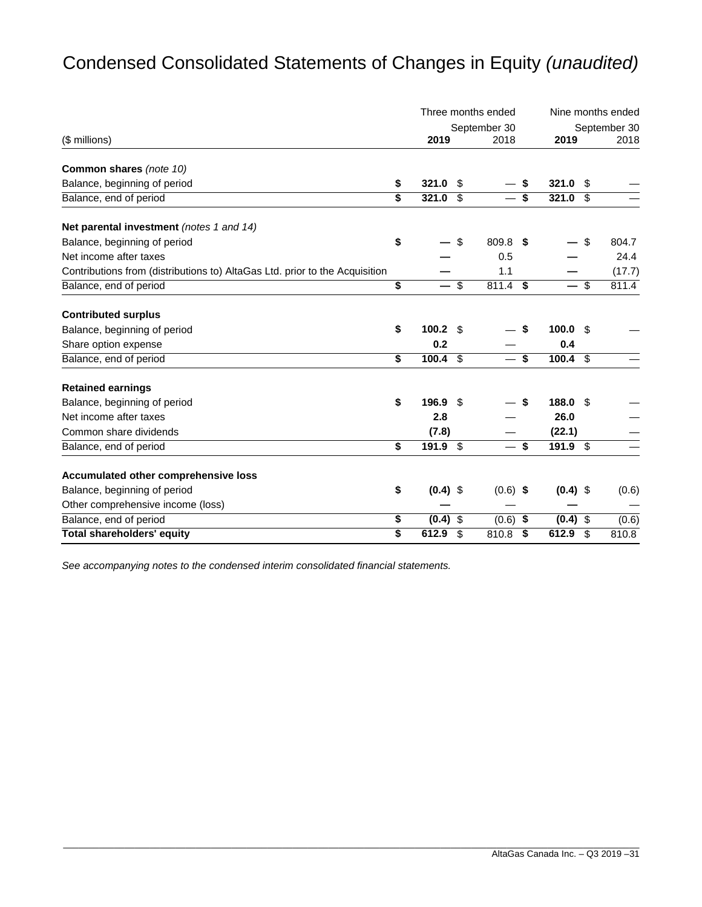## Condensed Consolidated Statements of Changes in Equity *(unaudited)*

|                                                                             |                  | Three months ended | Nine months ended |            |      |        |  |
|-----------------------------------------------------------------------------|------------------|--------------------|-------------------|------------|------|--------|--|
|                                                                             |                  | September 30       | September 30      |            |      |        |  |
| (\$ millions)                                                               | 2019             | 2018               |                   | 2019       |      | 2018   |  |
| Common shares (note 10)                                                     |                  |                    |                   |            |      |        |  |
| Balance, beginning of period                                                | \$<br>321.0      | \$                 | \$                | 321.0      | - \$ |        |  |
| Balance, end of period                                                      | \$<br>321.0      | \$                 | \$                | 321.0      | \$   |        |  |
| Net parental investment (notes 1 and 14)                                    |                  |                    |                   |            |      |        |  |
| Balance, beginning of period                                                | \$               | \$<br>809.8 \$     |                   |            | \$   | 804.7  |  |
| Net income after taxes                                                      |                  | 0.5                |                   |            |      | 24.4   |  |
| Contributions from (distributions to) AltaGas Ltd. prior to the Acquisition |                  | 1.1                |                   |            |      | (17.7) |  |
| Balance, end of period                                                      | \$               | \$<br>811.4 \$     |                   | $-$ \$     |      | 811.4  |  |
| <b>Contributed surplus</b>                                                  |                  |                    |                   |            |      |        |  |
| Balance, beginning of period                                                | \$<br>100.2      | \$                 | \$                | 100.0      | - \$ |        |  |
| Share option expense                                                        | 0.2              |                    |                   | 0.4        |      |        |  |
| Balance, end of period                                                      | \$<br>100.4      | \$                 | - \$              | $100.4$ \$ |      |        |  |
| <b>Retained earnings</b>                                                    |                  |                    |                   |            |      |        |  |
| Balance, beginning of period                                                | \$<br>196.9      | \$                 | \$                | 188.0      | - \$ |        |  |
| Net income after taxes                                                      | 2.8              |                    |                   | 26.0       |      |        |  |
| Common share dividends                                                      | (7.8)            |                    |                   | (22.1)     |      |        |  |
| Balance, end of period                                                      | \$<br>191.9      | \$                 | \$                | $191.9$ \$ |      |        |  |
| Accumulated other comprehensive loss                                        |                  |                    |                   |            |      |        |  |
| Balance, beginning of period                                                | \$<br>$(0.4)$ \$ | $(0.6)$ \$         |                   | $(0.4)$ \$ |      | (0.6)  |  |
| Other comprehensive income (loss)                                           |                  |                    |                   |            |      |        |  |
| Balance, end of period                                                      | \$<br>(0.4)      | \$<br>$(0.6)$ \$   |                   | $(0.4)$ \$ |      | (0.6)  |  |
| <b>Total shareholders' equity</b>                                           | \$<br>612.9      | \$<br>810.8        | \$                | 612.9      | \$   | 810.8  |  |

\_\_\_\_\_\_\_\_\_\_\_\_\_\_\_\_\_\_\_\_\_\_\_\_\_\_\_\_\_\_\_\_\_\_\_\_\_\_\_\_\_\_\_\_\_\_\_\_\_\_\_\_\_\_\_\_\_\_\_\_\_\_\_\_\_\_\_\_\_\_\_\_\_\_\_\_\_\_\_\_\_\_\_\_\_\_\_\_\_\_\_\_\_\_\_\_\_\_\_\_\_\_\_\_\_\_\_\_\_\_\_\_\_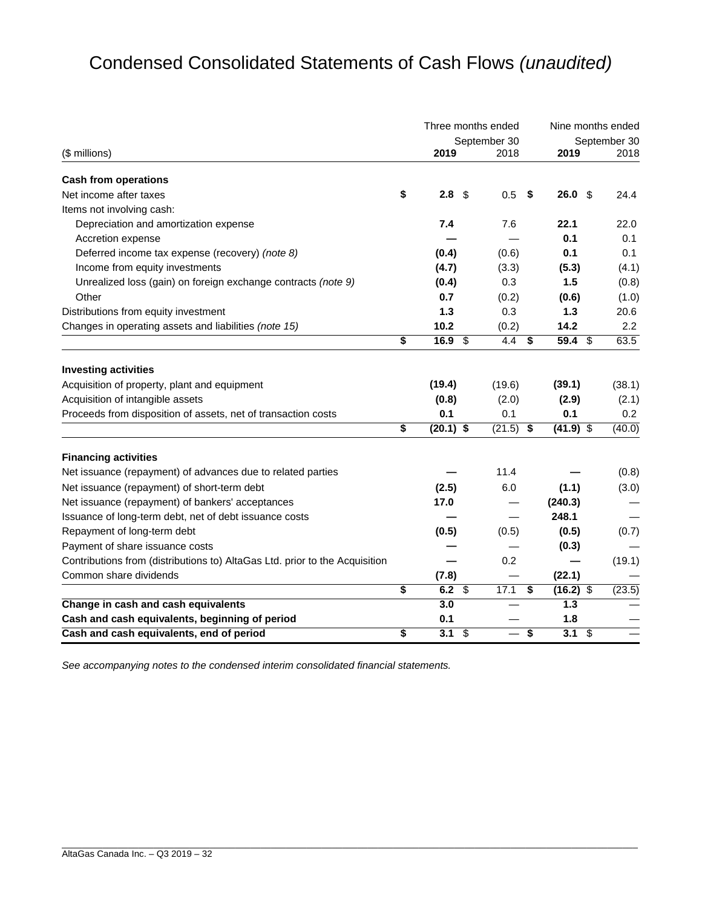## Condensed Consolidated Statements of Cash Flows *(unaudited)*

|                                                                             |                        |                          | Three months ended | Nine months ended |                                  |        |  |
|-----------------------------------------------------------------------------|------------------------|--------------------------|--------------------|-------------------|----------------------------------|--------|--|
|                                                                             |                        |                          | September 30       |                   | September 30                     |        |  |
| (\$ millions)                                                               | 2019                   |                          | 2018               |                   | 2019                             | 2018   |  |
| <b>Cash from operations</b>                                                 |                        |                          |                    |                   |                                  |        |  |
| Net income after taxes                                                      | \$<br>2.8 <sup>°</sup> |                          | 0.5                | \$                | 26.0%                            | 24.4   |  |
| Items not involving cash:                                                   |                        |                          |                    |                   |                                  |        |  |
| Depreciation and amortization expense                                       | 7.4                    |                          | 7.6                |                   | 22.1                             | 22.0   |  |
| Accretion expense                                                           |                        |                          |                    |                   | 0.1                              | 0.1    |  |
| Deferred income tax expense (recovery) (note 8)                             | (0.4)                  |                          | (0.6)              |                   | 0.1                              | 0.1    |  |
| Income from equity investments                                              | (4.7)                  |                          | (3.3)              |                   | (5.3)                            | (4.1)  |  |
| Unrealized loss (gain) on foreign exchange contracts (note 9)               | (0.4)                  |                          | 0.3                |                   | 1.5                              | (0.8)  |  |
| Other                                                                       | 0.7                    |                          | (0.2)              |                   | (0.6)                            | (1.0)  |  |
| Distributions from equity investment                                        | 1.3                    |                          | 0.3                |                   | 1.3                              | 20.6   |  |
| Changes in operating assets and liabilities (note 15)                       | 10.2                   |                          | (0.2)              |                   | 14.2                             | 2.2    |  |
|                                                                             | \$<br>16.9 \$          |                          | 4.4                | \$                | 59.4 \$                          | 63.5   |  |
| <b>Investing activities</b>                                                 |                        |                          |                    |                   |                                  |        |  |
| Acquisition of property, plant and equipment                                | (19.4)                 |                          | (19.6)             |                   | (39.1)                           | (38.1) |  |
| Acquisition of intangible assets                                            | (0.8)                  |                          | (2.0)              |                   | (2.9)                            | (2.1)  |  |
| Proceeds from disposition of assets, net of transaction costs               | 0.1                    |                          | 0.1                |                   | 0.1                              | 0.2    |  |
|                                                                             | \$<br>$(20.1)$ \$      |                          | (21.5)             | \$                | $(41.9)$ \$                      | (40.0) |  |
| <b>Financing activities</b>                                                 |                        |                          |                    |                   |                                  |        |  |
| Net issuance (repayment) of advances due to related parties                 |                        |                          | 11.4               |                   |                                  | (0.8)  |  |
| Net issuance (repayment) of short-term debt                                 | (2.5)                  |                          | 6.0                |                   | (1.1)                            | (3.0)  |  |
| Net issuance (repayment) of bankers' acceptances                            | 17.0                   |                          |                    |                   | (240.3)                          |        |  |
| Issuance of long-term debt, net of debt issuance costs                      |                        |                          |                    |                   | 248.1                            |        |  |
| Repayment of long-term debt                                                 | (0.5)                  |                          | (0.5)              |                   | (0.5)                            | (0.7)  |  |
| Payment of share issuance costs                                             |                        |                          |                    |                   | (0.3)                            |        |  |
| Contributions from (distributions to) AltaGas Ltd. prior to the Acquisition |                        |                          | 0.2                |                   |                                  | (19.1) |  |
| Common share dividends                                                      | (7.8)                  |                          |                    |                   | (22.1)                           |        |  |
|                                                                             | \$<br>6.2 $$$          |                          | 17.1               | \$                | $(16.2)$ \$                      | (23.5) |  |
| Change in cash and cash equivalents                                         | 3.0                    |                          |                    |                   | 1.3                              |        |  |
| Cash and cash equivalents, beginning of period                              | 0.1                    |                          |                    |                   | 1.8                              |        |  |
| Cash and cash equivalents, end of period                                    | \$<br>3.1              | $\overline{\mathcal{S}}$ |                    | \$                | 3.1<br>$\boldsymbol{\mathsf{S}}$ |        |  |

\_\_\_\_\_\_\_\_\_\_\_\_\_\_\_\_\_\_\_\_\_\_\_\_\_\_\_\_\_\_\_\_\_\_\_\_\_\_\_\_\_\_\_\_\_\_\_\_\_\_\_\_\_\_\_\_\_\_\_\_\_\_\_\_\_\_\_\_\_\_\_\_\_\_\_\_\_\_\_\_\_\_\_\_\_\_\_\_\_\_\_\_\_\_\_\_\_\_\_\_\_\_\_\_\_\_\_\_\_\_\_\_\_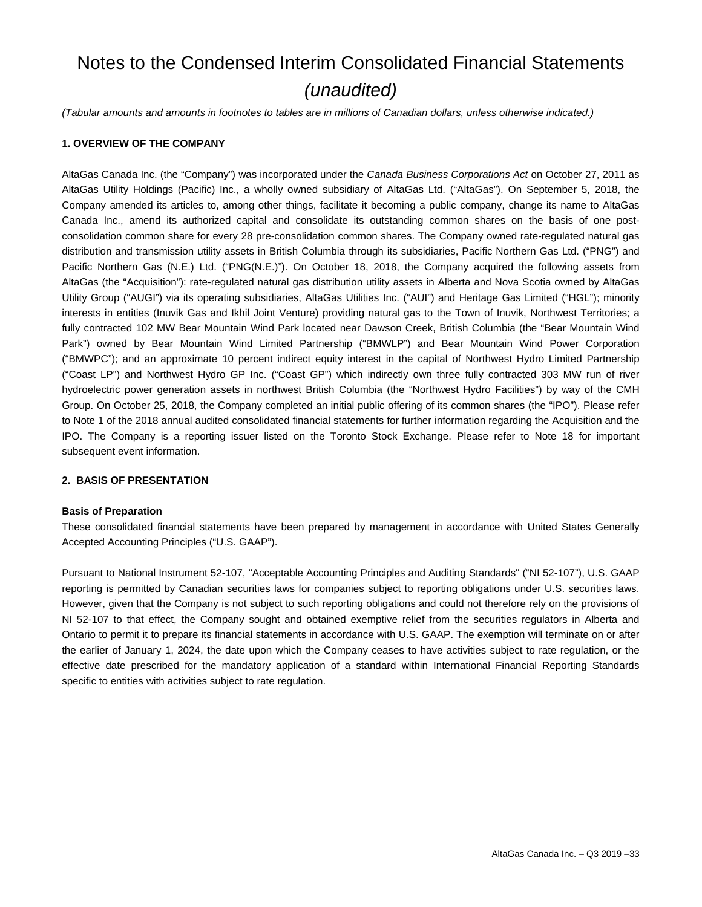## Notes to the Condensed Interim Consolidated Financial Statements *(unaudited)*

*(Tabular amounts and amounts in footnotes to tables are in millions of Canadian dollars, unless otherwise indicated.)* 

#### **1. OVERVIEW OF THE COMPANY**

AltaGas Canada Inc. (the "Company") was incorporated under the *Canada Business Corporations Act* on October 27, 2011 as AltaGas Utility Holdings (Pacific) Inc., a wholly owned subsidiary of AltaGas Ltd. ("AltaGas"). On September 5, 2018, the Company amended its articles to, among other things, facilitate it becoming a public company, change its name to AltaGas Canada Inc., amend its authorized capital and consolidate its outstanding common shares on the basis of one postconsolidation common share for every 28 pre-consolidation common shares. The Company owned rate-regulated natural gas distribution and transmission utility assets in British Columbia through its subsidiaries, Pacific Northern Gas Ltd. ("PNG") and Pacific Northern Gas (N.E.) Ltd. ("PNG(N.E.)"). On October 18, 2018, the Company acquired the following assets from AltaGas (the "Acquisition"): rate-regulated natural gas distribution utility assets in Alberta and Nova Scotia owned by AltaGas Utility Group ("AUGI") via its operating subsidiaries, AltaGas Utilities Inc. ("AUI") and Heritage Gas Limited ("HGL"); minority interests in entities (Inuvik Gas and Ikhil Joint Venture) providing natural gas to the Town of Inuvik, Northwest Territories; a fully contracted 102 MW Bear Mountain Wind Park located near Dawson Creek, British Columbia (the "Bear Mountain Wind Park") owned by Bear Mountain Wind Limited Partnership ("BMWLP") and Bear Mountain Wind Power Corporation ("BMWPC"); and an approximate 10 percent indirect equity interest in the capital of Northwest Hydro Limited Partnership ("Coast LP") and Northwest Hydro GP Inc. ("Coast GP") which indirectly own three fully contracted 303 MW run of river hydroelectric power generation assets in northwest British Columbia (the "Northwest Hydro Facilities") by way of the CMH Group. On October 25, 2018, the Company completed an initial public offering of its common shares (the "IPO"). Please refer to Note 1 of the 2018 annual audited consolidated financial statements for further information regarding the Acquisition and the IPO. The Company is a reporting issuer listed on the Toronto Stock Exchange. Please refer to Note 18 for important subsequent event information.

#### **2. BASIS OF PRESENTATION**

#### **Basis of Preparation**

These consolidated financial statements have been prepared by management in accordance with United States Generally Accepted Accounting Principles ("U.S. GAAP").

Pursuant to National Instrument 52-107, "Acceptable Accounting Principles and Auditing Standards" ("NI 52-107"), U.S. GAAP reporting is permitted by Canadian securities laws for companies subject to reporting obligations under U.S. securities laws. However, given that the Company is not subject to such reporting obligations and could not therefore rely on the provisions of NI 52-107 to that effect, the Company sought and obtained exemptive relief from the securities regulators in Alberta and Ontario to permit it to prepare its financial statements in accordance with U.S. GAAP. The exemption will terminate on or after the earlier of January 1, 2024, the date upon which the Company ceases to have activities subject to rate regulation, or the effective date prescribed for the mandatory application of a standard within International Financial Reporting Standards specific to entities with activities subject to rate regulation.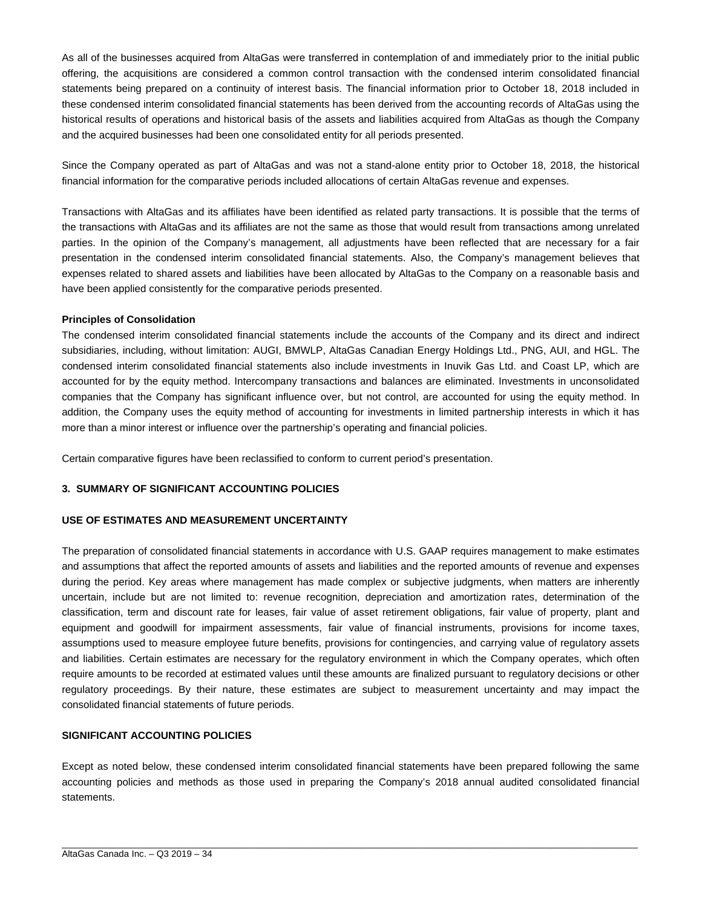As all of the businesses acquired from AltaGas were transferred in contemplation of and immediately prior to the initial public offering, the acquisitions are considered a common control transaction with the condensed interim consolidated financial statements being prepared on a continuity of interest basis. The financial information prior to October 18, 2018 included in these condensed interim consolidated financial statements has been derived from the accounting records of AltaGas using the historical results of operations and historical basis of the assets and liabilities acquired from AltaGas as though the Company and the acquired businesses had been one consolidated entity for all periods presented.

Since the Company operated as part of AltaGas and was not a stand-alone entity prior to October 18, 2018, the historical financial information for the comparative periods included allocations of certain AltaGas revenue and expenses.

Transactions with AltaGas and its affiliates have been identified as related party transactions. It is possible that the terms of the transactions with AltaGas and its affiliates are not the same as those that would result from transactions among unrelated parties. In the opinion of the Company's management, all adjustments have been reflected that are necessary for a fair presentation in the condensed interim consolidated financial statements. Also, the Company's management believes that expenses related to shared assets and liabilities have been allocated by AltaGas to the Company on a reasonable basis and have been applied consistently for the comparative periods presented.

#### **Principles of Consolidation**

The condensed interim consolidated financial statements include the accounts of the Company and its direct and indirect subsidiaries, including, without limitation: AUGI, BMWLP, AltaGas Canadian Energy Holdings Ltd., PNG, AUI, and HGL. The condensed interim consolidated financial statements also include investments in Inuvik Gas Ltd. and Coast LP, which are accounted for by the equity method. Intercompany transactions and balances are eliminated. Investments in unconsolidated companies that the Company has significant influence over, but not control, are accounted for using the equity method. In addition, the Company uses the equity method of accounting for investments in limited partnership interests in which it has more than a minor interest or influence over the partnership's operating and financial policies.

Certain comparative figures have been reclassified to conform to current period's presentation.

#### **3. SUMMARY OF SIGNIFICANT ACCOUNTING POLICIES**

#### **USE OF ESTIMATES AND MEASUREMENT UNCERTAINTY**

The preparation of consolidated financial statements in accordance with U.S. GAAP requires management to make estimates and assumptions that affect the reported amounts of assets and liabilities and the reported amounts of revenue and expenses during the period. Key areas where management has made complex or subjective judgments, when matters are inherently uncertain, include but are not limited to: revenue recognition, depreciation and amortization rates, determination of the classification, term and discount rate for leases, fair value of asset retirement obligations, fair value of property, plant and equipment and goodwill for impairment assessments, fair value of financial instruments, provisions for income taxes, assumptions used to measure employee future benefits, provisions for contingencies, and carrying value of regulatory assets and liabilities. Certain estimates are necessary for the regulatory environment in which the Company operates, which often require amounts to be recorded at estimated values until these amounts are finalized pursuant to regulatory decisions or other regulatory proceedings. By their nature, these estimates are subject to measurement uncertainty and may impact the consolidated financial statements of future periods.

#### **SIGNIFICANT ACCOUNTING POLICIES**

Except as noted below, these condensed interim consolidated financial statements have been prepared following the same accounting policies and methods as those used in preparing the Company's 2018 annual audited consolidated financial statements.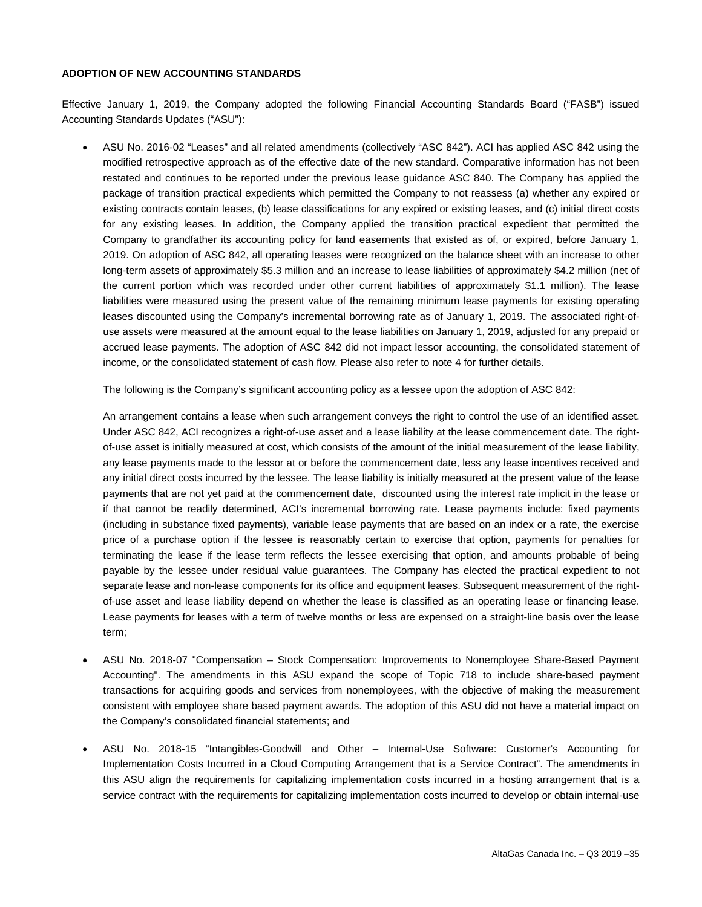#### **ADOPTION OF NEW ACCOUNTING STANDARDS**

Effective January 1, 2019, the Company adopted the following Financial Accounting Standards Board ("FASB") issued Accounting Standards Updates ("ASU"):

 ASU No. 2016-02 "Leases" and all related amendments (collectively "ASC 842"). ACI has applied ASC 842 using the modified retrospective approach as of the effective date of the new standard. Comparative information has not been restated and continues to be reported under the previous lease guidance ASC 840. The Company has applied the package of transition practical expedients which permitted the Company to not reassess (a) whether any expired or existing contracts contain leases, (b) lease classifications for any expired or existing leases, and (c) initial direct costs for any existing leases. In addition, the Company applied the transition practical expedient that permitted the Company to grandfather its accounting policy for land easements that existed as of, or expired, before January 1, 2019. On adoption of ASC 842, all operating leases were recognized on the balance sheet with an increase to other long-term assets of approximately \$5.3 million and an increase to lease liabilities of approximately \$4.2 million (net of the current portion which was recorded under other current liabilities of approximately \$1.1 million). The lease liabilities were measured using the present value of the remaining minimum lease payments for existing operating leases discounted using the Company's incremental borrowing rate as of January 1, 2019. The associated right-ofuse assets were measured at the amount equal to the lease liabilities on January 1, 2019, adjusted for any prepaid or accrued lease payments. The adoption of ASC 842 did not impact lessor accounting, the consolidated statement of income, or the consolidated statement of cash flow. Please also refer to note 4 for further details.

The following is the Company's significant accounting policy as a lessee upon the adoption of ASC 842:

An arrangement contains a lease when such arrangement conveys the right to control the use of an identified asset. Under ASC 842, ACI recognizes a right-of-use asset and a lease liability at the lease commencement date. The rightof-use asset is initially measured at cost, which consists of the amount of the initial measurement of the lease liability, any lease payments made to the lessor at or before the commencement date, less any lease incentives received and any initial direct costs incurred by the lessee. The lease liability is initially measured at the present value of the lease payments that are not yet paid at the commencement date, discounted using the interest rate implicit in the lease or if that cannot be readily determined, ACI's incremental borrowing rate. Lease payments include: fixed payments (including in substance fixed payments), variable lease payments that are based on an index or a rate, the exercise price of a purchase option if the lessee is reasonably certain to exercise that option, payments for penalties for terminating the lease if the lease term reflects the lessee exercising that option, and amounts probable of being payable by the lessee under residual value guarantees. The Company has elected the practical expedient to not separate lease and non-lease components for its office and equipment leases. Subsequent measurement of the rightof-use asset and lease liability depend on whether the lease is classified as an operating lease or financing lease. Lease payments for leases with a term of twelve months or less are expensed on a straight-line basis over the lease term;

- ASU No. 2018-07 "Compensation Stock Compensation: Improvements to Nonemployee Share-Based Payment Accounting". The amendments in this ASU expand the scope of Topic 718 to include share-based payment transactions for acquiring goods and services from nonemployees, with the objective of making the measurement consistent with employee share based payment awards. The adoption of this ASU did not have a material impact on the Company's consolidated financial statements; and
- ASU No. 2018-15 "Intangibles-Goodwill and Other Internal-Use Software: Customer's Accounting for Implementation Costs Incurred in a Cloud Computing Arrangement that is a Service Contract". The amendments in this ASU align the requirements for capitalizing implementation costs incurred in a hosting arrangement that is a service contract with the requirements for capitalizing implementation costs incurred to develop or obtain internal-use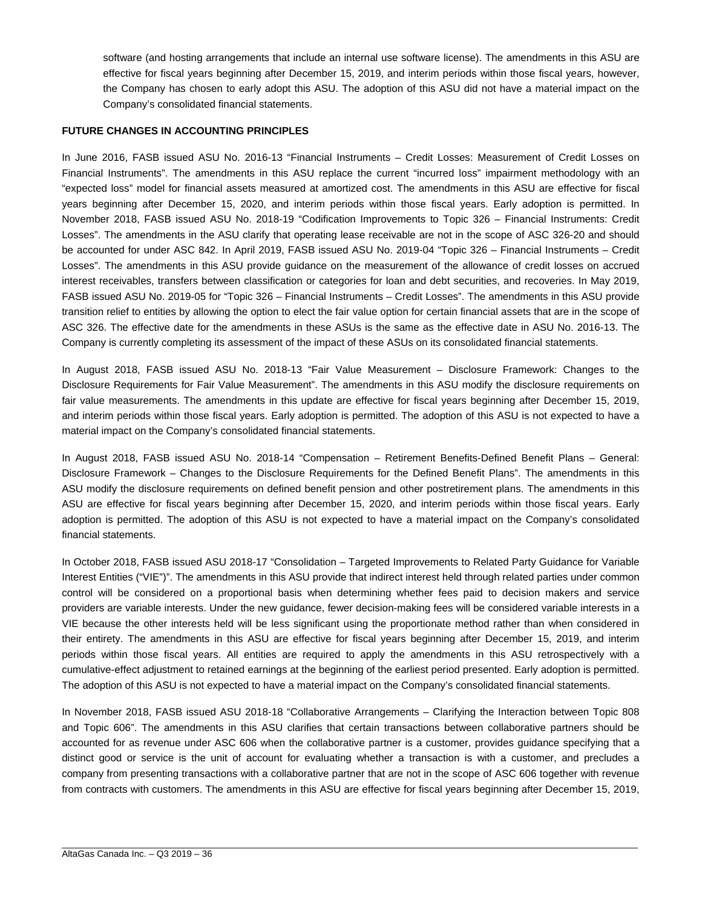software (and hosting arrangements that include an internal use software license). The amendments in this ASU are effective for fiscal years beginning after December 15, 2019, and interim periods within those fiscal years, however, the Company has chosen to early adopt this ASU. The adoption of this ASU did not have a material impact on the Company's consolidated financial statements.

#### **FUTURE CHANGES IN ACCOUNTING PRINCIPLES**

In June 2016, FASB issued ASU No. 2016-13 "Financial Instruments – Credit Losses: Measurement of Credit Losses on Financial Instruments". The amendments in this ASU replace the current "incurred loss" impairment methodology with an "expected loss" model for financial assets measured at amortized cost. The amendments in this ASU are effective for fiscal years beginning after December 15, 2020, and interim periods within those fiscal years. Early adoption is permitted. In November 2018, FASB issued ASU No. 2018-19 "Codification Improvements to Topic 326 – Financial Instruments: Credit Losses". The amendments in the ASU clarify that operating lease receivable are not in the scope of ASC 326-20 and should be accounted for under ASC 842. In April 2019, FASB issued ASU No. 2019-04 "Topic 326 – Financial Instruments – Credit Losses". The amendments in this ASU provide guidance on the measurement of the allowance of credit losses on accrued interest receivables, transfers between classification or categories for loan and debt securities, and recoveries. In May 2019, FASB issued ASU No. 2019-05 for "Topic 326 – Financial Instruments – Credit Losses". The amendments in this ASU provide transition relief to entities by allowing the option to elect the fair value option for certain financial assets that are in the scope of ASC 326. The effective date for the amendments in these ASUs is the same as the effective date in ASU No. 2016-13. The Company is currently completing its assessment of the impact of these ASUs on its consolidated financial statements.

In August 2018, FASB issued ASU No. 2018-13 "Fair Value Measurement – Disclosure Framework: Changes to the Disclosure Requirements for Fair Value Measurement". The amendments in this ASU modify the disclosure requirements on fair value measurements. The amendments in this update are effective for fiscal years beginning after December 15, 2019, and interim periods within those fiscal years. Early adoption is permitted. The adoption of this ASU is not expected to have a material impact on the Company's consolidated financial statements.

In August 2018, FASB issued ASU No. 2018-14 "Compensation – Retirement Benefits-Defined Benefit Plans – General: Disclosure Framework – Changes to the Disclosure Requirements for the Defined Benefit Plans". The amendments in this ASU modify the disclosure requirements on defined benefit pension and other postretirement plans. The amendments in this ASU are effective for fiscal years beginning after December 15, 2020, and interim periods within those fiscal years. Early adoption is permitted. The adoption of this ASU is not expected to have a material impact on the Company's consolidated financial statements.

In October 2018, FASB issued ASU 2018-17 "Consolidation – Targeted Improvements to Related Party Guidance for Variable Interest Entities ("VIE")". The amendments in this ASU provide that indirect interest held through related parties under common control will be considered on a proportional basis when determining whether fees paid to decision makers and service providers are variable interests. Under the new guidance, fewer decision-making fees will be considered variable interests in a VIE because the other interests held will be less significant using the proportionate method rather than when considered in their entirety. The amendments in this ASU are effective for fiscal years beginning after December 15, 2019, and interim periods within those fiscal years. All entities are required to apply the amendments in this ASU retrospectively with a cumulative-effect adjustment to retained earnings at the beginning of the earliest period presented. Early adoption is permitted. The adoption of this ASU is not expected to have a material impact on the Company's consolidated financial statements.

In November 2018, FASB issued ASU 2018-18 "Collaborative Arrangements – Clarifying the Interaction between Topic 808 and Topic 606". The amendments in this ASU clarifies that certain transactions between collaborative partners should be accounted for as revenue under ASC 606 when the collaborative partner is a customer, provides guidance specifying that a distinct good or service is the unit of account for evaluating whether a transaction is with a customer, and precludes a company from presenting transactions with a collaborative partner that are not in the scope of ASC 606 together with revenue from contracts with customers. The amendments in this ASU are effective for fiscal years beginning after December 15, 2019,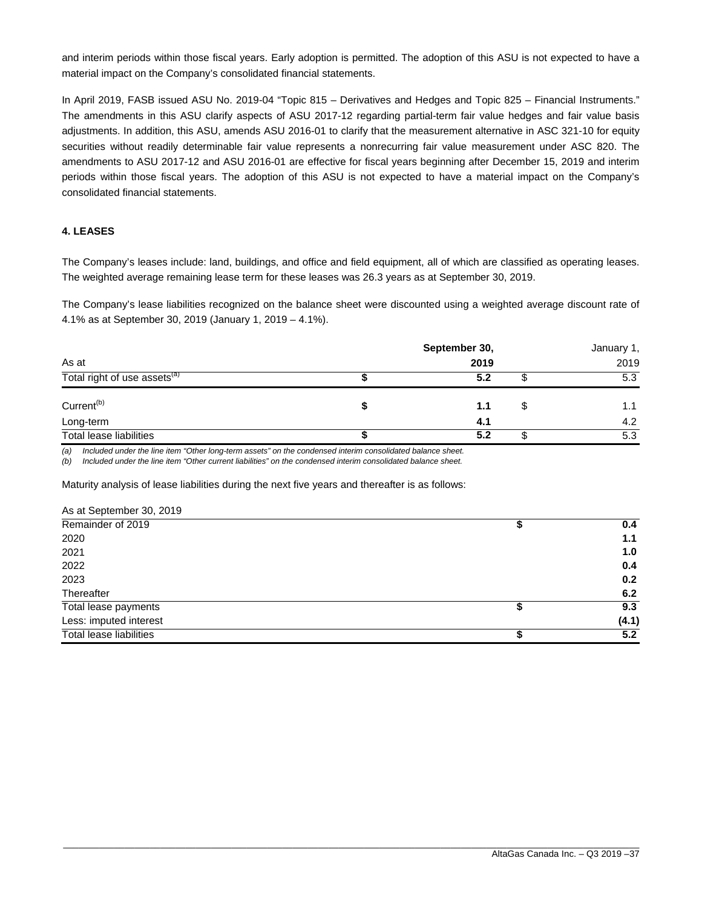and interim periods within those fiscal years. Early adoption is permitted. The adoption of this ASU is not expected to have a material impact on the Company's consolidated financial statements.

In April 2019, FASB issued ASU No. 2019-04 "Topic 815 – Derivatives and Hedges and Topic 825 – Financial Instruments." The amendments in this ASU clarify aspects of ASU 2017-12 regarding partial-term fair value hedges and fair value basis adjustments. In addition, this ASU, amends ASU 2016-01 to clarify that the measurement alternative in ASC 321-10 for equity securities without readily determinable fair value represents a nonrecurring fair value measurement under ASC 820. The amendments to ASU 2017-12 and ASU 2016-01 are effective for fiscal years beginning after December 15, 2019 and interim periods within those fiscal years. The adoption of this ASU is not expected to have a material impact on the Company's consolidated financial statements.

#### **4. LEASES**

The Company's leases include: land, buildings, and office and field equipment, all of which are classified as operating leases. The weighted average remaining lease term for these leases was 26.3 years as at September 30, 2019.

The Company's lease liabilities recognized on the balance sheet were discounted using a weighted average discount rate of 4.1% as at September 30, 2019 (January 1, 2019 – 4.1%).

|                                          | September 30, | January 1, |    |      |
|------------------------------------------|---------------|------------|----|------|
| As at                                    |               | 2019       |    | 2019 |
| Total right of use assets <sup>(a)</sup> |               | 5.2        | J  | 5.3  |
| Current <sup>(b)</sup>                   |               | 1.1        | \$ | 1.1  |
| Long-term                                |               | 4.1        |    | 4.2  |
| Total lease liabilities                  |               | 5.2        |    | 5.3  |

*(a) Included under the line item "Other long-term assets" on the condensed interim consolidated balance sheet.* 

*(b) Included under the line item "Other current liabilities" on the condensed interim consolidated balance sheet.* 

Maturity analysis of lease liabilities during the next five years and thereafter is as follows:

| As at September 30, 2019 |       |
|--------------------------|-------|
| Remainder of 2019        | 0.4   |
| 2020                     | 1.1   |
| 2021                     | 1.0   |
| 2022                     | 0.4   |
| 2023                     | 0.2   |
| Thereafter               | 6.2   |
| Total lease payments     | 9.3   |
| Less: imputed interest   | (4.1) |
| Total lease liabilities  | 5.2   |
|                          |       |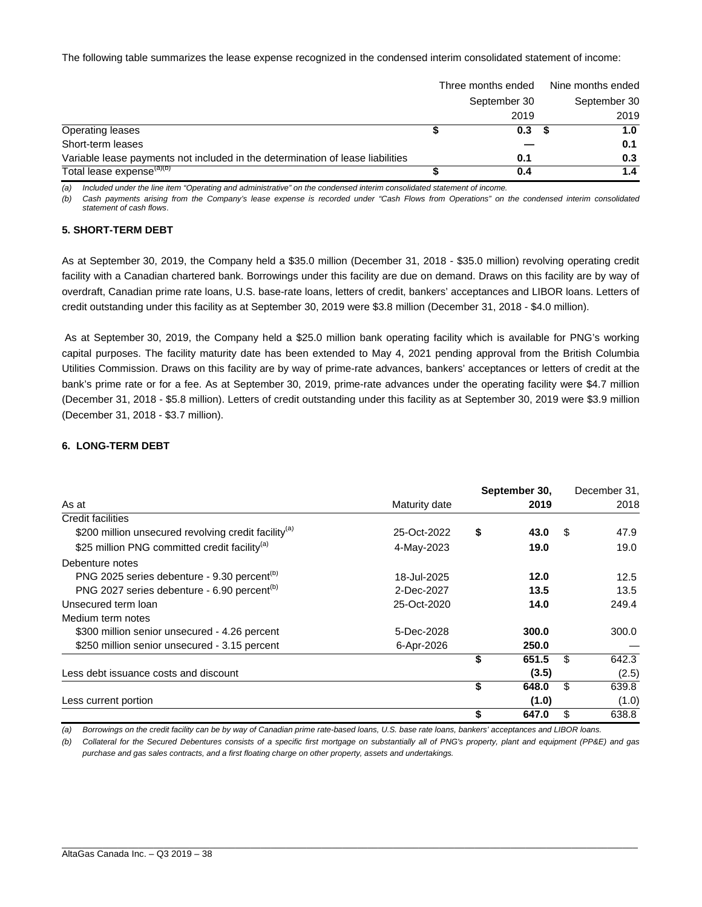The following table summarizes the lease expense recognized in the condensed interim consolidated statement of income:

|                                                                                | Three months ended | Nine months ended |
|--------------------------------------------------------------------------------|--------------------|-------------------|
|                                                                                | September 30       | September 30      |
|                                                                                | 2019               | 2019              |
| Operating leases                                                               | 0.3                | 1.0               |
| Short-term leases                                                              |                    | 0.1               |
| Variable lease payments not included in the determination of lease liabilities | 0.1                | 0.3               |
| Total lease expense <sup>(a)(b)</sup>                                          | 0.4                | 1.4               |

*(a) Included under the line item "Operating and administrative" on the condensed interim consolidated statement of income.* 

*(b) Cash payments arising from the Company's lease expense is recorded under "Cash Flows from Operations" on the condensed interim consolidated statement of cash flows*.

#### **5. SHORT-TERM DEBT**

As at September 30, 2019, the Company held a \$35.0 million (December 31, 2018 - \$35.0 million) revolving operating credit facility with a Canadian chartered bank. Borrowings under this facility are due on demand. Draws on this facility are by way of overdraft, Canadian prime rate loans, U.S. base-rate loans, letters of credit, bankers' acceptances and LIBOR loans. Letters of credit outstanding under this facility as at September 30, 2019 were \$3.8 million (December 31, 2018 - \$4.0 million).

 As at September 30, 2019, the Company held a \$25.0 million bank operating facility which is available for PNG's working capital purposes. The facility maturity date has been extended to May 4, 2021 pending approval from the British Columbia Utilities Commission. Draws on this facility are by way of prime-rate advances, bankers' acceptances or letters of credit at the bank's prime rate or for a fee. As at September 30, 2019, prime-rate advances under the operating facility were \$4.7 million (December 31, 2018 - \$5.8 million). Letters of credit outstanding under this facility as at September 30, 2019 were \$3.9 million (December 31, 2018 - \$3.7 million).

#### **6. LONG-TERM DEBT**

|                                                                  |               |    | September 30, |      | December 31, |
|------------------------------------------------------------------|---------------|----|---------------|------|--------------|
| As at                                                            | Maturity date |    |               |      | 2018         |
| <b>Credit facilities</b>                                         |               |    |               |      |              |
| \$200 million unsecured revolving credit facility <sup>(a)</sup> | 25-Oct-2022   | \$ | 43.0          | - \$ | 47.9         |
| \$25 million PNG committed credit facility <sup>(a)</sup>        | 4-May-2023    |    | 19.0          |      | 19.0         |
| Debenture notes                                                  |               |    |               |      |              |
| PNG 2025 series debenture - 9.30 percent <sup>(b)</sup>          | 18-Jul-2025   |    | 12.0          |      | 12.5         |
| PNG 2027 series debenture - 6.90 percent <sup>(b)</sup>          | 2-Dec-2027    |    | 13.5          |      | 13.5         |
| Unsecured term loan                                              | 25-Oct-2020   |    | 14.0          |      | 249.4        |
| Medium term notes                                                |               |    |               |      |              |
| \$300 million senior unsecured - 4.26 percent                    | 5-Dec-2028    |    | 300.0         |      | 300.0        |
| \$250 million senior unsecured - 3.15 percent                    | 6-Apr-2026    |    | 250.0         |      |              |
|                                                                  |               | \$ | 651.5         | \$   | 642.3        |
| Less debt issuance costs and discount                            |               |    | (3.5)         |      | (2.5)        |
|                                                                  |               | \$ | 648.0         | \$   | 639.8        |
| Less current portion                                             |               |    | (1.0)         |      | (1.0)        |
|                                                                  |               | \$ | 647.0         | \$   | 638.8        |

*(a) Borrowings on the credit facility can be by way of Canadian prime rate-based loans, U.S. base rate loans, bankers' acceptances and LIBOR loans.* 

*(b) Collateral for the Secured Debentures consists of a specific first mortgage on substantially all of PNG's property, plant and equipment (PP&E) and gas purchase and gas sales contracts, and a first floating charge on other property, assets and undertakings.*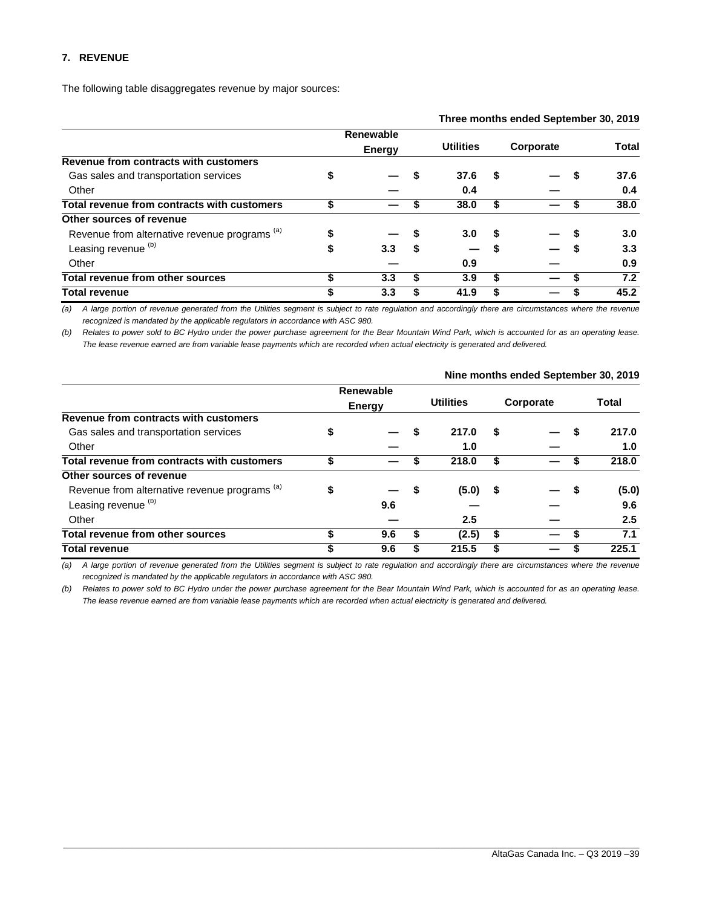#### **7. REVENUE**

The following table disaggregates revenue by major sources:

|                                                          |    |               |   |                  |    | Three months ended September 30, 2019 |       |
|----------------------------------------------------------|----|---------------|---|------------------|----|---------------------------------------|-------|
|                                                          |    | Renewable     |   |                  |    |                                       |       |
|                                                          |    | <b>Energy</b> |   | <b>Utilities</b> |    | Corporate                             | Total |
| Revenue from contracts with customers                    |    |               |   |                  |    |                                       |       |
| Gas sales and transportation services                    |    |               |   | 37.6             | S  |                                       | 37.6  |
| Other                                                    |    |               |   | 0.4              |    |                                       | 0.4   |
| Total revenue from contracts with customers              | S  |               |   | 38.0             | S  |                                       | 38.0  |
| Other sources of revenue                                 |    |               |   |                  |    |                                       |       |
| Revenue from alternative revenue programs <sup>(a)</sup> |    |               |   | 3.0              | S  |                                       | 3.0   |
| Leasing revenue <sup>(b)</sup>                           | \$ | 3.3           | S |                  |    |                                       | 3.3   |
| Other                                                    |    |               |   | 0.9              |    |                                       | 0.9   |
| Total revenue from other sources                         | \$ | 3.3           | S | 3.9              | \$ |                                       | 7.2   |
| <b>Total revenue</b>                                     | S  | 3.3           | S | 41.9             |    |                                       | 45.2  |

*(a) A large portion of revenue generated from the Utilities segment is subject to rate regulation and accordingly there are circumstances where the revenue*  recognized is mandated by the applicable regulators in accordance with ASC 980.

*(b) Relates to power sold to BC Hydro under the power purchase agreement for the Bear Mountain Wind Park, which is accounted for as an operating lease. The lease revenue earned are from variable lease payments which are recorded when actual electricity is generated and delivered.* 

|                                               |    |                                   |    |                  |     |           |    | Nine months ended September 30, 2019 |
|-----------------------------------------------|----|-----------------------------------|----|------------------|-----|-----------|----|--------------------------------------|
|                                               |    | <b>Renewable</b><br><b>Energy</b> |    | <b>Utilities</b> |     | Corporate |    | Total                                |
| Revenue from contracts with customers         |    |                                   |    |                  |     |           |    |                                      |
| Gas sales and transportation services         | \$ |                                   |    | 217.0            | S   |           | S  | 217.0                                |
| Other                                         |    |                                   |    | 1.0              |     |           |    | 1.0                                  |
| Total revenue from contracts with customers   | ፍ  |                                   |    | 218.0            | \$  |           | S  | 218.0                                |
| Other sources of revenue                      |    |                                   |    |                  |     |           |    |                                      |
| Revenue from alternative revenue programs (a) | \$ |                                   | S. | (5.0)            | - 5 |           | S. | (5.0)                                |
| Leasing revenue <sup>(b)</sup>                |    | 9.6                               |    |                  |     |           |    | 9.6                                  |
| Other                                         |    |                                   |    | 2.5              |     |           |    | 2.5                                  |
| Total revenue from other sources              | S  | 9.6                               | S  | (2.5)            | \$  |           | S  | 7.1                                  |
| <b>Total revenue</b>                          | S  | 9.6                               | S  | 215.5            | S   |           |    | 225.1                                |

*(a) A large portion of revenue generated from the Utilities segment is subject to rate regulation and accordingly there are circumstances where the revenue recognized is mandated by the applicable regulators in accordance with ASC 980.* 

*(b) Relates to power sold to BC Hydro under the power purchase agreement for the Bear Mountain Wind Park, which is accounted for as an operating lease. The lease revenue earned are from variable lease payments which are recorded when actual electricity is generated and delivered.*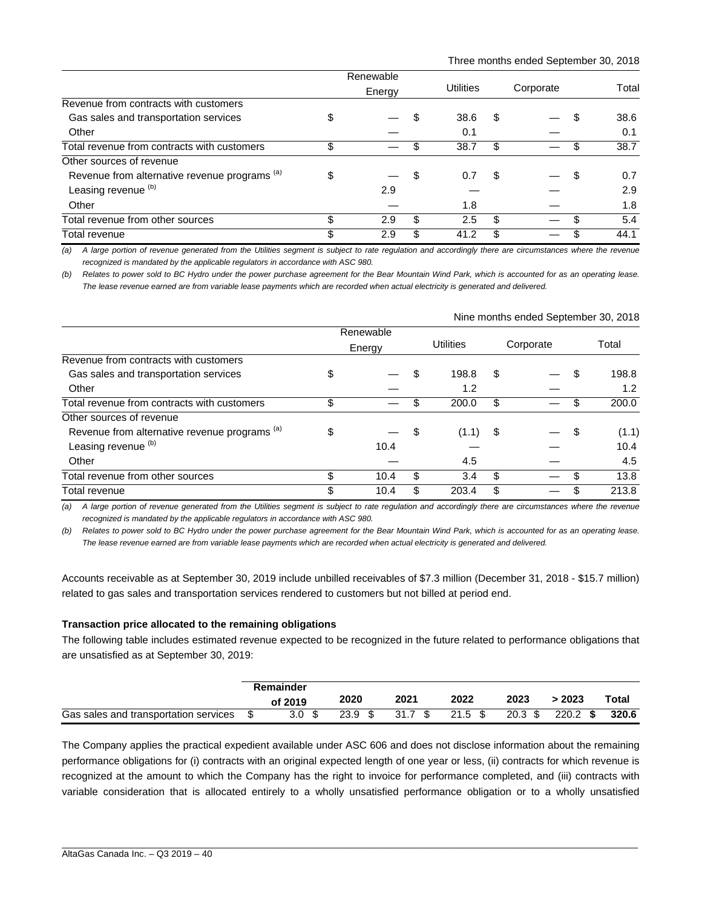|                                                          | Renewable |    |           |    |           |   |       |
|----------------------------------------------------------|-----------|----|-----------|----|-----------|---|-------|
|                                                          | Energy    |    | Utilities |    | Corporate |   | Total |
| Revenue from contracts with customers                    |           |    |           |    |           |   |       |
| Gas sales and transportation services                    | \$        |    | 38.6      | S  |           | S | 38.6  |
| Other                                                    |           |    | 0.1       |    |           |   | 0.1   |
| Total revenue from contracts with customers              | \$        |    | 38.7      | \$ |           | S | 38.7  |
| Other sources of revenue                                 |           |    |           |    |           |   |       |
| Revenue from alternative revenue programs <sup>(a)</sup> | \$        | S. | 0.7       | S  |           | S | 0.7   |
| Leasing revenue <sup>(b)</sup>                           | 2.9       |    |           |    |           |   | 2.9   |
| Other                                                    |           |    | 1.8       |    |           |   | 1.8   |
| Total revenue from other sources                         | \$<br>2.9 | \$ | 2.5       | \$ |           |   | 5.4   |
| Total revenue                                            | \$<br>2.9 | \$ | 41.2      | \$ |           |   | 44.1  |

*(a) A large portion of revenue generated from the Utilities segment is subject to rate regulation and accordingly there are circumstances where the revenue recognized is mandated by the applicable regulators in accordance with ASC 980.* 

*(b) Relates to power sold to BC Hydro under the power purchase agreement for the Bear Mountain Wind Park, which is accounted for as an operating lease. The lease revenue earned are from variable lease payments which are recorded when actual electricity is generated and delivered.* 

|                                               | Nine months ended September 30, 2018 |           |     |            |    |           |    |       |  |  |  |
|-----------------------------------------------|--------------------------------------|-----------|-----|------------|----|-----------|----|-------|--|--|--|
|                                               |                                      | Renewable |     |            |    |           |    |       |  |  |  |
|                                               |                                      | Energy    |     | Utilities  |    | Corporate |    | Total |  |  |  |
| Revenue from contracts with customers         |                                      |           |     |            |    |           |    |       |  |  |  |
| Gas sales and transportation services         | \$                                   |           | \$. | 198.8      | S  |           | \$ | 198.8 |  |  |  |
| Other                                         |                                      |           |     | 1.2        |    |           |    | 1.2   |  |  |  |
| Total revenue from contracts with customers   | \$                                   |           |     | 200.0      | \$ |           | \$ | 200.0 |  |  |  |
| Other sources of revenue                      |                                      |           |     |            |    |           |    |       |  |  |  |
| Revenue from alternative revenue programs (a) | \$                                   |           | -\$ | $(1.1)$ \$ |    |           | S  | (1.1) |  |  |  |
| Leasing revenue <sup>(b)</sup>                |                                      | 10.4      |     |            |    |           |    | 10.4  |  |  |  |
| Other                                         |                                      |           |     | 4.5        |    |           |    | 4.5   |  |  |  |
| Total revenue from other sources              | \$                                   | 10.4      | \$  | 3.4        | \$ |           | \$ | 13.8  |  |  |  |
| Total revenue                                 | \$                                   | 10.4      | \$  | 203.4      | \$ |           | S  | 213.8 |  |  |  |

*(a) A large portion of revenue generated from the Utilities segment is subject to rate regulation and accordingly there are circumstances where the revenue*  recognized is mandated by the applicable regulators in accordance with ASC 980.

*(b) Relates to power sold to BC Hydro under the power purchase agreement for the Bear Mountain Wind Park, which is accounted for as an operating lease. The lease revenue earned are from variable lease payments which are recorded when actual electricity is generated and delivered.* 

Accounts receivable as at September 30, 2019 include unbilled receivables of \$7.3 million (December 31, 2018 - \$15.7 million) related to gas sales and transportation services rendered to customers but not billed at period end.

#### **Transaction price allocated to the remaining obligations**

The following table includes estimated revenue expected to be recognized in the future related to performance obligations that are unsatisfied as at September 30, 2019:

|                                       | Remainder        |      |         |           |                   |            |       |
|---------------------------------------|------------------|------|---------|-----------|-------------------|------------|-------|
|                                       | of 2019          | 2020 | 2021    | 2022      | 2023              | 2023       | Total |
| Gas sales and transportation services | 3.0 <sup>5</sup> | 23.9 | 31.7 \$ | $21.5$ \$ | $20.3 \text{ } $$ | $220.2$ \$ | 320.6 |

The Company applies the practical expedient available under ASC 606 and does not disclose information about the remaining performance obligations for (i) contracts with an original expected length of one year or less, (ii) contracts for which revenue is recognized at the amount to which the Company has the right to invoice for performance completed, and (iii) contracts with variable consideration that is allocated entirely to a wholly unsatisfied performance obligation or to a wholly unsatisfied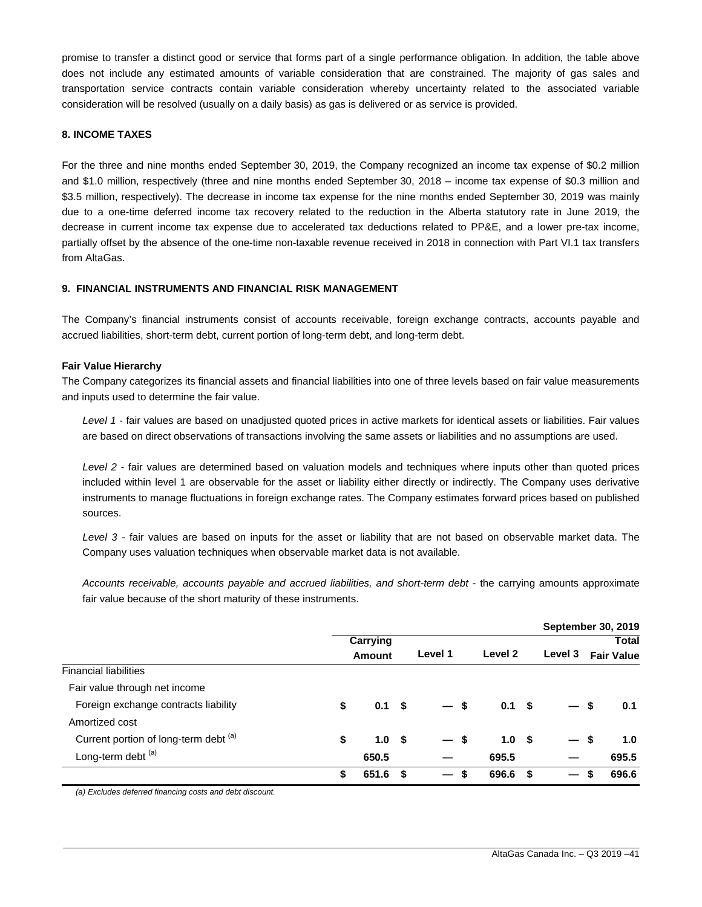promise to transfer a distinct good or service that forms part of a single performance obligation. In addition, the table above does not include any estimated amounts of variable consideration that are constrained. The majority of gas sales and transportation service contracts contain variable consideration whereby uncertainty related to the associated variable consideration will be resolved (usually on a daily basis) as gas is delivered or as service is provided.

#### **8. INCOME TAXES**

For the three and nine months ended September 30, 2019, the Company recognized an income tax expense of \$0.2 million and \$1.0 million, respectively (three and nine months ended September 30, 2018 – income tax expense of \$0.3 million and \$3.5 million, respectively). The decrease in income tax expense for the nine months ended September 30, 2019 was mainly due to a one-time deferred income tax recovery related to the reduction in the Alberta statutory rate in June 2019, the decrease in current income tax expense due to accelerated tax deductions related to PP&E, and a lower pre-tax income, partially offset by the absence of the one-time non-taxable revenue received in 2018 in connection with Part VI.1 tax transfers from AltaGas.

#### **9. FINANCIAL INSTRUMENTS AND FINANCIAL RISK MANAGEMENT**

The Company's financial instruments consist of accounts receivable, foreign exchange contracts, accounts payable and accrued liabilities, short-term debt, current portion of long-term debt, and long-term debt.

#### **Fair Value Hierarchy**

The Company categorizes its financial assets and financial liabilities into one of three levels based on fair value measurements and inputs used to determine the fair value.

*Level 1* - fair values are based on unadjusted quoted prices in active markets for identical assets or liabilities. Fair values are based on direct observations of transactions involving the same assets or liabilities and no assumptions are used.

*Level 2* - fair values are determined based on valuation models and techniques where inputs other than quoted prices included within level 1 are observable for the asset or liability either directly or indirectly. The Company uses derivative instruments to manage fluctuations in foreign exchange rates. The Company estimates forward prices based on published sources.

*Level 3* - fair values are based on inputs for the asset or liability that are not based on observable market data. The Company uses valuation techniques when observable market data is not available.

Accounts receivable, accounts payable and accrued liabilities, and short-term debt - the carrying amounts approximate fair value because of the short maturity of these instruments.

|                                       |                        |      |         |                  |    |                          | <b>September 30, 2019</b> |     |
|---------------------------------------|------------------------|------|---------|------------------|----|--------------------------|---------------------------|-----|
|                                       | Carrying               |      |         |                  |    |                          | <b>Total</b>              |     |
|                                       | <b>Amount</b>          |      | Level 1 | Level 2          |    | Level 3                  | <b>Fair Value</b>         |     |
| <b>Financial liabilities</b>          |                        |      |         |                  |    |                          |                           |     |
| Fair value through net income         |                        |      |         |                  |    |                          |                           |     |
| Foreign exchange contracts liability  | \$<br>$0.1 \quad$ \$   |      | $-s$    | 0.1 <sup>5</sup> |    | — \$                     |                           | 0.1 |
| Amortized cost                        |                        |      |         |                  |    |                          |                           |     |
| Current portion of long-term debt (a) | \$<br>1.0 <sup>5</sup> |      | — \$    | 1.0 <sup>5</sup> |    | $\overline{\phantom{0}}$ | -\$                       | 1.0 |
| Long-term debt <sup>(a)</sup>         | 650.5                  |      |         | 695.5            |    |                          | 695.5                     |     |
|                                       | \$<br>651.6            | - \$ | S       | 696.6            | S. |                          | 696.6                     |     |

\_\_\_\_\_\_\_\_\_\_\_\_\_\_\_\_\_\_\_\_\_\_\_\_\_\_\_\_\_\_\_\_\_\_\_\_\_\_\_\_\_\_\_\_\_\_\_\_\_\_\_\_\_\_\_\_\_\_\_\_\_\_\_\_\_\_\_\_\_\_\_\_\_\_\_\_\_\_\_\_\_\_\_\_\_\_\_\_\_\_\_\_\_\_\_\_\_\_\_\_\_\_\_\_\_\_\_\_\_\_\_\_\_

*(a) Excludes deferred financing costs and debt discount.*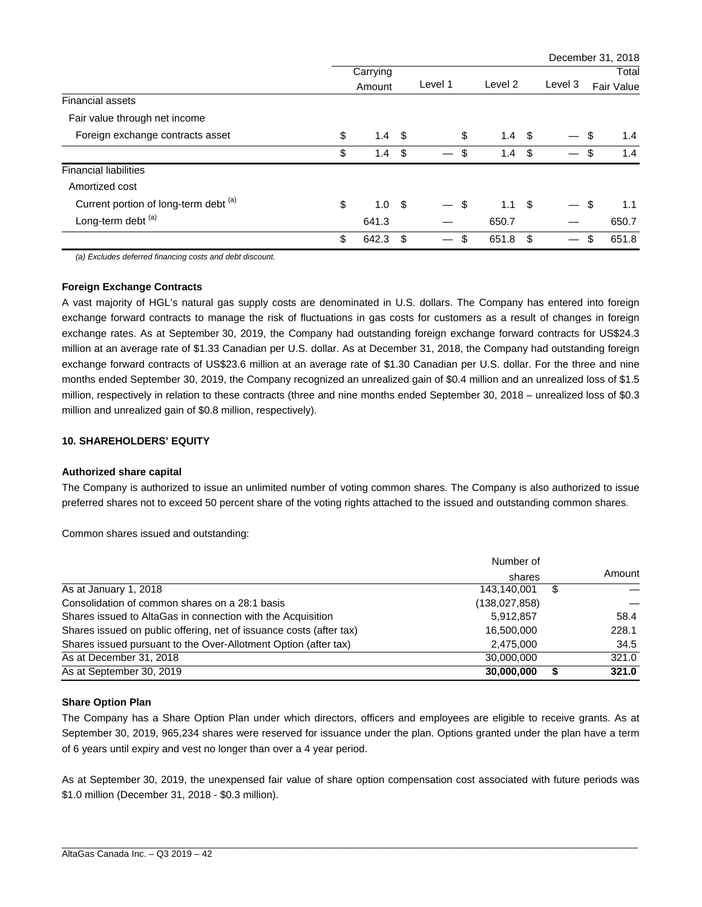|                                       |                        |      |         |         |                  |         | December 31, 2018 |
|---------------------------------------|------------------------|------|---------|---------|------------------|---------|-------------------|
|                                       | Carrying               |      |         |         |                  |         | Total             |
|                                       | Amount                 |      | Level 1 | Level 2 |                  | Level 3 | Fair Value        |
| <b>Financial assets</b>               |                        |      |         |         |                  |         |                   |
| Fair value through net income         |                        |      |         |         |                  |         |                   |
| Foreign exchange contracts asset      | \$<br>$1.4 \quad$      |      | \$      |         | $1.4 \quad$      |         | \$<br>1.4         |
|                                       | \$<br>1.4              | -\$  | \$      | 1.4     | \$               |         | \$<br>1.4         |
| <b>Financial liabilities</b>          |                        |      |         |         |                  |         |                   |
| Amortized cost                        |                        |      |         |         |                  |         |                   |
| Current portion of long-term debt (a) | \$<br>1.0 <sup>5</sup> |      | \$      |         | 1.1 <sup>5</sup> |         | \$<br>1.1         |
| Long-term debt (a)                    | 641.3                  |      |         | 650.7   |                  |         | 650.7             |
|                                       | \$<br>642.3            | - \$ | \$<br>— | 651.8   | \$               |         | \$<br>651.8       |

*(a) Excludes deferred financing costs and debt discount.* 

#### **Foreign Exchange Contracts**

A vast majority of HGL's natural gas supply costs are denominated in U.S. dollars. The Company has entered into foreign exchange forward contracts to manage the risk of fluctuations in gas costs for customers as a result of changes in foreign exchange rates. As at September 30, 2019, the Company had outstanding foreign exchange forward contracts for US\$24.3 million at an average rate of \$1.33 Canadian per U.S. dollar. As at December 31, 2018, the Company had outstanding foreign exchange forward contracts of US\$23.6 million at an average rate of \$1.30 Canadian per U.S. dollar. For the three and nine months ended September 30, 2019, the Company recognized an unrealized gain of \$0.4 million and an unrealized loss of \$1.5 million, respectively in relation to these contracts (three and nine months ended September 30, 2018 – unrealized loss of \$0.3 million and unrealized gain of \$0.8 million, respectively).

#### **10. SHAREHOLDERS' EQUITY**

#### **Authorized share capital**

The Company is authorized to issue an unlimited number of voting common shares. The Company is also authorized to issue preferred shares not to exceed 50 percent share of the voting rights attached to the issued and outstanding common shares.

Common shares issued and outstanding:

|                                                                     | Number of       |   |        |
|---------------------------------------------------------------------|-----------------|---|--------|
|                                                                     | shares          |   | Amount |
| As at January 1, 2018                                               | 143.140.001     | S |        |
| Consolidation of common shares on a 28:1 basis                      | (138, 027, 858) |   |        |
| Shares issued to AltaGas in connection with the Acquisition         | 5,912,857       |   | 58.4   |
| Shares issued on public offering, net of issuance costs (after tax) | 16,500,000      |   | 228.1  |
| Shares issued pursuant to the Over-Allotment Option (after tax)     | 2,475,000       |   | 34.5   |
| As at December 31, 2018                                             | 30.000.000      |   | 321.0  |
| As at September 30, 2019                                            | 30,000,000      |   | 321.0  |

#### **Share Option Plan**

The Company has a Share Option Plan under which directors, officers and employees are eligible to receive grants. As at September 30, 2019, 965,234 shares were reserved for issuance under the plan. Options granted under the plan have a term of 6 years until expiry and vest no longer than over a 4 year period.

As at September 30, 2019, the unexpensed fair value of share option compensation cost associated with future periods was \$1.0 million (December 31, 2018 - \$0.3 million).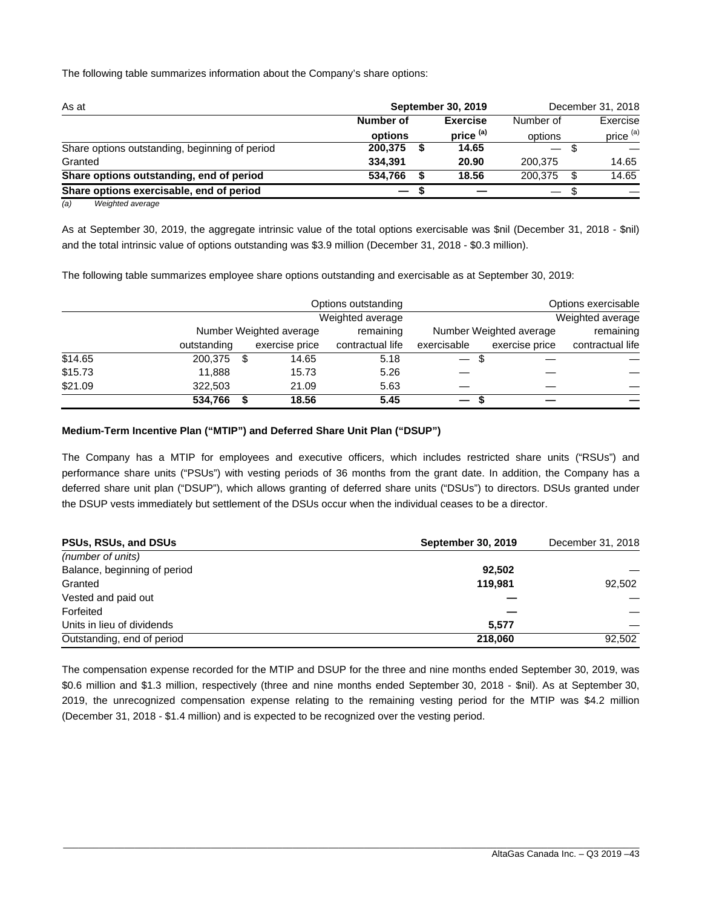The following table summarizes information about the Company's share options:

| As at                                          | <b>September 30, 2019</b> | December 31, 2018    |                                |                      |  |
|------------------------------------------------|---------------------------|----------------------|--------------------------------|----------------------|--|
|                                                | Number of                 | <b>Exercise</b>      | Number of                      | Exercise             |  |
|                                                | options                   | price <sup>(a)</sup> | options                        | price <sup>(a)</sup> |  |
| Share options outstanding, beginning of period | 200.375                   | 14.65                | $\qquad \qquad \longleftarrow$ |                      |  |
| Granted                                        | 334.391                   | 20.90                | 200.375                        | 14.65                |  |
| Share options outstanding, end of period       | 534.766                   | 18.56                | 200.375                        | 14.65<br>\$.         |  |
| Share options exercisable, end of period       |                           |                      |                                |                      |  |
|                                                |                           |                      |                                |                      |  |

*(a) Weighted average* 

As at September 30, 2019, the aggregate intrinsic value of the total options exercisable was \$nil (December 31, 2018 - \$nil) and the total intrinsic value of options outstanding was \$3.9 million (December 31, 2018 - \$0.3 million).

The following table summarizes employee share options outstanding and exercisable as at September 30, 2019:

|         |             |      |                         | Options outstanding |                               |                         | Options exercisable |
|---------|-------------|------|-------------------------|---------------------|-------------------------------|-------------------------|---------------------|
|         |             |      |                         | Weighted average    |                               |                         | Weighted average    |
|         |             |      | Number Weighted average | remaining           |                               | Number Weighted average | remaining           |
|         | outstanding |      | exercise price          | contractual life    | exercisable                   | exercise price          | contractual life    |
| \$14.65 | 200,375     | - \$ | 14.65                   | 5.18                | -S                            |                         |                     |
| \$15.73 | 11.888      |      | 15.73                   | 5.26                |                               |                         |                     |
| \$21.09 | 322,503     |      | 21.09                   | 5.63                |                               |                         |                     |
|         | 534,766     |      | 18.56                   | 5.45                | $\overline{\phantom{0}}$<br>S |                         |                     |

#### **Medium-Term Incentive Plan ("MTIP") and Deferred Share Unit Plan ("DSUP")**

The Company has a MTIP for employees and executive officers, which includes restricted share units ("RSUs") and performance share units ("PSUs") with vesting periods of 36 months from the grant date. In addition, the Company has a deferred share unit plan ("DSUP"), which allows granting of deferred share units ("DSUs") to directors. DSUs granted under the DSUP vests immediately but settlement of the DSUs occur when the individual ceases to be a director.

| <b>PSUs, RSUs, and DSUs</b>  | <b>September 30, 2019</b> | December 31, 2018 |
|------------------------------|---------------------------|-------------------|
| (number of units)            |                           |                   |
| Balance, beginning of period | 92.502                    |                   |
| Granted                      | 119.981                   | 92.502            |
| Vested and paid out          |                           |                   |
| Forfeited                    |                           |                   |
| Units in lieu of dividends   | 5.577                     |                   |
| Outstanding, end of period   | 218,060                   | 92.502            |

The compensation expense recorded for the MTIP and DSUP for the three and nine months ended September 30, 2019, was \$0.6 million and \$1.3 million, respectively (three and nine months ended September 30, 2018 - \$nil). As at September 30, 2019, the unrecognized compensation expense relating to the remaining vesting period for the MTIP was \$4.2 million (December 31, 2018 - \$1.4 million) and is expected to be recognized over the vesting period.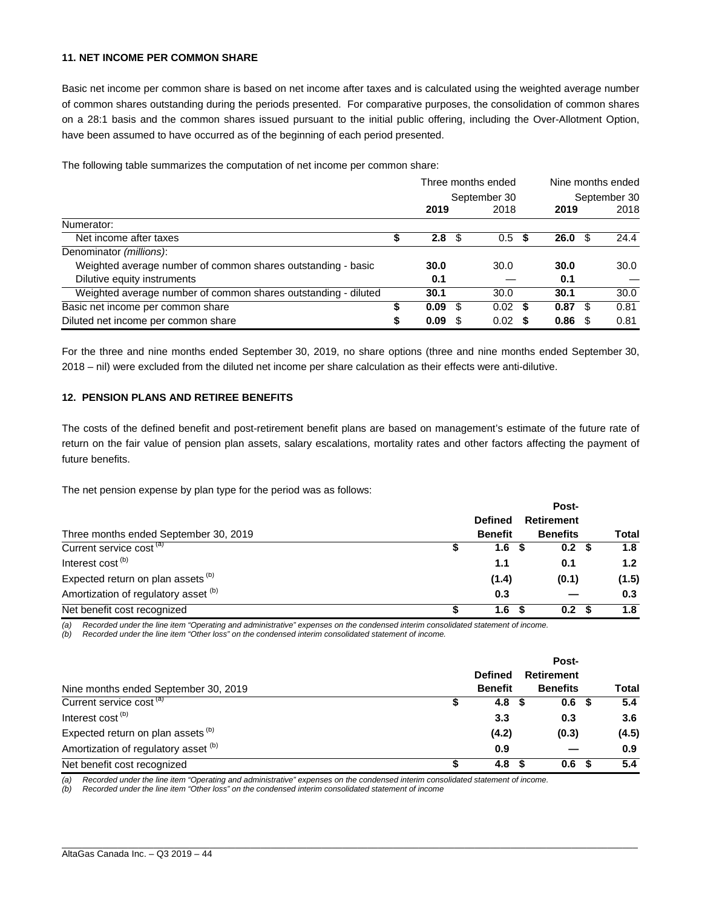#### **11. NET INCOME PER COMMON SHARE**

Basic net income per common share is based on net income after taxes and is calculated using the weighted average number of common shares outstanding during the periods presented. For comparative purposes, the consolidation of common shares on a 28:1 basis and the common shares issued pursuant to the initial public offering, including the Over-Allotment Option, have been assumed to have occurred as of the beginning of each period presented.

The following table summarizes the computation of net income per common share:

|                                                                |      |     | Three months ended |      | Nine months ended |    |      |  |
|----------------------------------------------------------------|------|-----|--------------------|------|-------------------|----|------|--|
|                                                                |      |     | September 30       |      | September 30      |    |      |  |
|                                                                | 2019 |     | 2018               |      | 2019              |    | 2018 |  |
| Numerator:                                                     |      |     |                    |      |                   |    |      |  |
| Net income after taxes                                         | 2.8  | \$. | 0.5                | - \$ | $26.0 \text{ } $$ |    | 24.4 |  |
| Denominator (millions):                                        |      |     |                    |      |                   |    |      |  |
| Weighted average number of common shares outstanding - basic   | 30.0 |     | 30.0               |      | 30.0              |    | 30.0 |  |
| Dilutive equity instruments                                    | 0.1  |     |                    |      | 0.1               |    |      |  |
| Weighted average number of common shares outstanding - diluted | 30.1 |     | 30.0               |      | 30.1              |    | 30.0 |  |
| Basic net income per common share                              | 0.09 | S   | $0.02 \text{ }$ \$ |      | 0.87              | -S | 0.81 |  |
| Diluted net income per common share                            | 0.09 |     | $0.02$ \$          |      | 0.86              |    | 0.81 |  |

For the three and nine months ended September 30, 2019, no share options (three and nine months ended September 30, 2018 – nil) were excluded from the diluted net income per share calculation as their effects were anti-dilutive.

#### **12. PENSION PLANS AND RETIREE BENEFITS**

The costs of the defined benefit and post-retirement benefit plans are based on management's estimate of the future rate of return on the fair value of pension plan assets, salary escalations, mortality rates and other factors affecting the payment of future benefits.

The net pension expense by plan type for the period was as follows:

|                                               |                | Post-             |       |
|-----------------------------------------------|----------------|-------------------|-------|
|                                               | <b>Defined</b> | <b>Retirement</b> |       |
| Three months ended September 30, 2019         | <b>Benefit</b> | <b>Benefits</b>   | Total |
| Current service cost <sup>(a)</sup>           | 1.6            | 0.2 <sup>5</sup>  | 1.8   |
| Interest cost <sup>(b)</sup>                  | 1.1            | 0.1               | 1.2   |
| Expected return on plan assets <sup>(b)</sup> | (1.4)          | (0.1)             | (1.5) |
| Amortization of regulatory asset (b)          | 0.3            |                   | 0.3   |
| Net benefit cost recognized                   | 1.6            | 0.2 <sup>5</sup>  | 1.8   |

*(a) Recorded under the line item "Operating and administrative" expenses on the condensed interim consolidated statement of income.* 

*(b) Recorded under the line item "Other loss" on the condensed interim consolidated statement of income.*

|                                               |                | Post-            |       |
|-----------------------------------------------|----------------|------------------|-------|
|                                               | <b>Defined</b> | Retirement       |       |
| Nine months ended September 30, 2019          | <b>Benefit</b> | <b>Benefits</b>  | Total |
| Current service cost <sup>(a)</sup>           | 4.8            | 0.6 <sup>5</sup> | 5.4   |
| Interest cost <sup>(b)</sup>                  | 3.3            | 0.3              | 3.6   |
| Expected return on plan assets <sup>(b)</sup> | (4.2)          | (0.3)            | (4.5) |
| Amortization of regulatory asset (b)          | 0.9            |                  | 0.9   |
| Net benefit cost recognized                   | 4.8            | 0.6              | 5.4   |

\_\_\_\_\_\_\_\_\_\_\_\_\_\_\_\_\_\_\_\_\_\_\_\_\_\_\_\_\_\_\_\_\_\_\_\_\_\_\_\_\_\_\_\_\_\_\_\_\_\_\_\_\_\_\_\_\_\_\_\_\_\_\_\_\_\_\_\_\_\_\_\_\_\_\_\_\_\_\_\_\_\_\_\_\_\_\_\_\_\_\_\_\_\_\_\_\_\_\_\_\_\_\_\_\_\_\_\_\_\_\_\_\_

*(a) Recorded under the line item "Operating and administrative" expenses on the condensed interim consolidated statement of income.* 

*(b) Recorded under the line item "Other loss" on the condensed interim consolidated statement of income*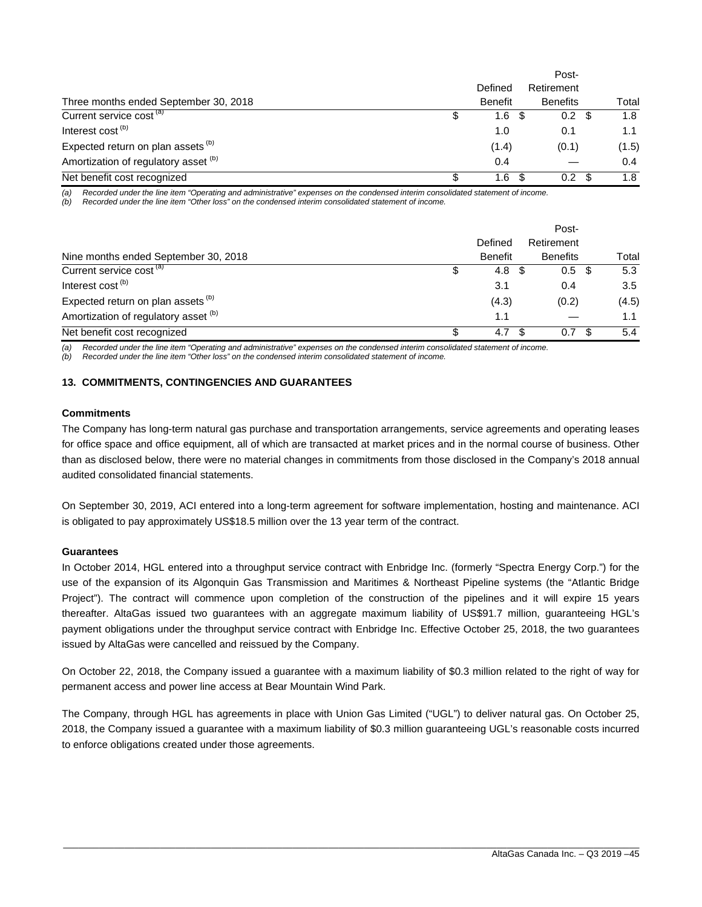|                                               |                |     | Post-           |       |
|-----------------------------------------------|----------------|-----|-----------------|-------|
|                                               | Defined        |     | Retirement      |       |
| Three months ended September 30, 2018         | <b>Benefit</b> |     | <b>Benefits</b> | Total |
| Current service cost <sup>(a)</sup>           | 1.6            | -SS | 0.2             | 1.8   |
| Interest cost <sup>(b)</sup>                  | 1.0            |     | 0.1             | 1.1   |
| Expected return on plan assets <sup>(b)</sup> | (1.4)          |     | (0.1)           | (1.5) |
| Amortization of regulatory asset (b)          | 0.4            |     |                 | 0.4   |
| Net benefit cost recognized                   | 1.6            | \$. | 0.2             | 1.8   |

*(a) Recorded under the line item "Operating and administrative" expenses on the condensed interim consolidated statement of income.* 

*(b) Recorded under the line item "Other loss" on the condensed interim consolidated statement of income.* 

|                                               |   | Post-          |                  |     |       |  |  |  |  |
|-----------------------------------------------|---|----------------|------------------|-----|-------|--|--|--|--|
|                                               |   | Defined        | Retirement       |     |       |  |  |  |  |
| Nine months ended September 30, 2018          |   | <b>Benefit</b> | <b>Benefits</b>  |     | Total |  |  |  |  |
| Current service cost <sup>(a)</sup>           |   | 4.8<br>- \$    | $0.5 \text{ } $$ |     | 5.3   |  |  |  |  |
| Interest cost <sup>(b)</sup>                  |   | 3.1            | 0.4              |     | 3.5   |  |  |  |  |
| Expected return on plan assets <sup>(b)</sup> |   | (4.3)          | (0.2)            |     | (4.5) |  |  |  |  |
| Amortization of regulatory asset (b)          |   | 1.1            |                  |     | 1.1   |  |  |  |  |
| Net benefit cost recognized                   | S | 4.7            | 0.7<br>- \$      | \$. | 5.4   |  |  |  |  |

*(a) Recorded under the line item "Operating and administrative" expenses on the condensed interim consolidated statement of income.* 

*(b) Recorded under the line item "Other loss" on the condensed interim consolidated statement of income.* 

#### **13. COMMITMENTS, CONTINGENCIES AND GUARANTEES**

#### **Commitments**

The Company has long-term natural gas purchase and transportation arrangements, service agreements and operating leases for office space and office equipment, all of which are transacted at market prices and in the normal course of business. Other than as disclosed below, there were no material changes in commitments from those disclosed in the Company's 2018 annual audited consolidated financial statements.

On September 30, 2019, ACI entered into a long-term agreement for software implementation, hosting and maintenance. ACI is obligated to pay approximately US\$18.5 million over the 13 year term of the contract.

#### **Guarantees**

In October 2014, HGL entered into a throughput service contract with Enbridge Inc. (formerly "Spectra Energy Corp.") for the use of the expansion of its Algonquin Gas Transmission and Maritimes & Northeast Pipeline systems (the "Atlantic Bridge Project"). The contract will commence upon completion of the construction of the pipelines and it will expire 15 years thereafter. AltaGas issued two guarantees with an aggregate maximum liability of US\$91.7 million, guaranteeing HGL's payment obligations under the throughput service contract with Enbridge Inc. Effective October 25, 2018, the two guarantees issued by AltaGas were cancelled and reissued by the Company.

On October 22, 2018, the Company issued a guarantee with a maximum liability of \$0.3 million related to the right of way for permanent access and power line access at Bear Mountain Wind Park.

The Company, through HGL has agreements in place with Union Gas Limited ("UGL") to deliver natural gas. On October 25, 2018, the Company issued a guarantee with a maximum liability of \$0.3 million guaranteeing UGL's reasonable costs incurred to enforce obligations created under those agreements.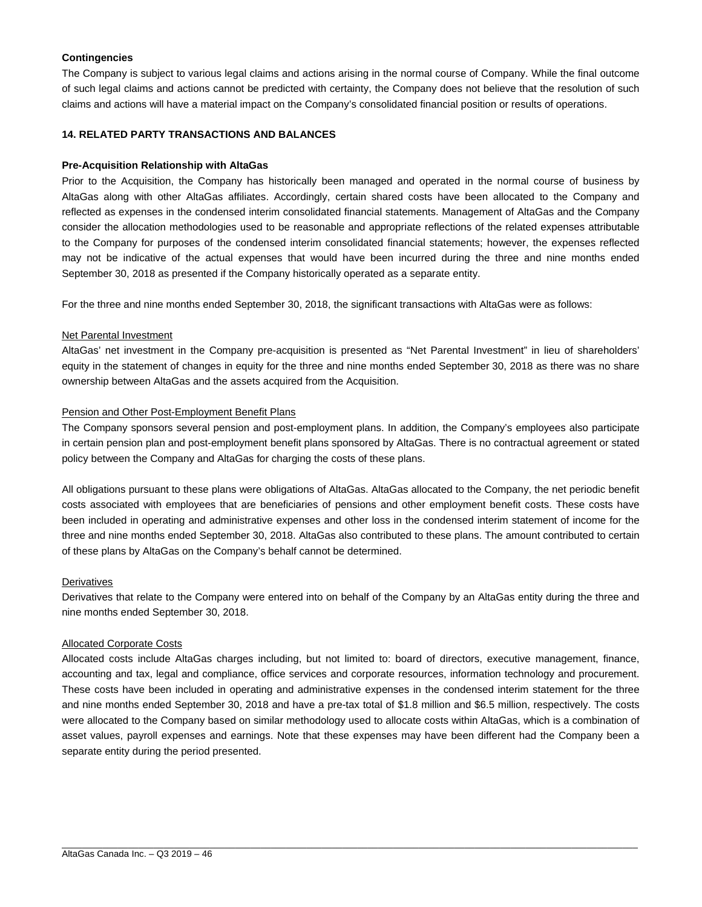#### **Contingencies**

The Company is subject to various legal claims and actions arising in the normal course of Company. While the final outcome of such legal claims and actions cannot be predicted with certainty, the Company does not believe that the resolution of such claims and actions will have a material impact on the Company's consolidated financial position or results of operations.

#### **14. RELATED PARTY TRANSACTIONS AND BALANCES**

#### **Pre-Acquisition Relationship with AltaGas**

Prior to the Acquisition, the Company has historically been managed and operated in the normal course of business by AltaGas along with other AltaGas affiliates. Accordingly, certain shared costs have been allocated to the Company and reflected as expenses in the condensed interim consolidated financial statements. Management of AltaGas and the Company consider the allocation methodologies used to be reasonable and appropriate reflections of the related expenses attributable to the Company for purposes of the condensed interim consolidated financial statements; however, the expenses reflected may not be indicative of the actual expenses that would have been incurred during the three and nine months ended September 30, 2018 as presented if the Company historically operated as a separate entity.

For the three and nine months ended September 30, 2018, the significant transactions with AltaGas were as follows:

#### Net Parental Investment

AltaGas' net investment in the Company pre-acquisition is presented as "Net Parental Investment" in lieu of shareholders' equity in the statement of changes in equity for the three and nine months ended September 30, 2018 as there was no share ownership between AltaGas and the assets acquired from the Acquisition.

#### Pension and Other Post-Employment Benefit Plans

The Company sponsors several pension and post-employment plans. In addition, the Company's employees also participate in certain pension plan and post-employment benefit plans sponsored by AltaGas. There is no contractual agreement or stated policy between the Company and AltaGas for charging the costs of these plans.

All obligations pursuant to these plans were obligations of AltaGas. AltaGas allocated to the Company, the net periodic benefit costs associated with employees that are beneficiaries of pensions and other employment benefit costs. These costs have been included in operating and administrative expenses and other loss in the condensed interim statement of income for the three and nine months ended September 30, 2018. AltaGas also contributed to these plans. The amount contributed to certain of these plans by AltaGas on the Company's behalf cannot be determined.

#### **Derivatives**

Derivatives that relate to the Company were entered into on behalf of the Company by an AltaGas entity during the three and nine months ended September 30, 2018.

#### Allocated Corporate Costs

Allocated costs include AltaGas charges including, but not limited to: board of directors, executive management, finance, accounting and tax, legal and compliance, office services and corporate resources, information technology and procurement. These costs have been included in operating and administrative expenses in the condensed interim statement for the three and nine months ended September 30, 2018 and have a pre-tax total of \$1.8 million and \$6.5 million, respectively. The costs were allocated to the Company based on similar methodology used to allocate costs within AltaGas, which is a combination of asset values, payroll expenses and earnings. Note that these expenses may have been different had the Company been a separate entity during the period presented.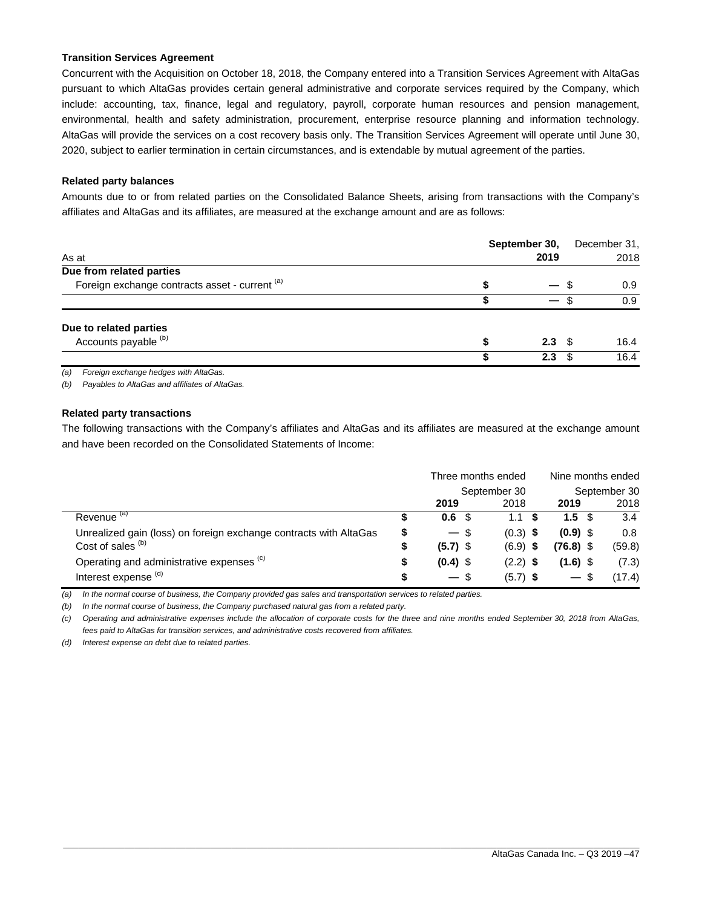#### **Transition Services Agreement**

Concurrent with the Acquisition on October 18, 2018, the Company entered into a Transition Services Agreement with AltaGas pursuant to which AltaGas provides certain general administrative and corporate services required by the Company, which include: accounting, tax, finance, legal and regulatory, payroll, corporate human resources and pension management, environmental, health and safety administration, procurement, enterprise resource planning and information technology. AltaGas will provide the services on a cost recovery basis only. The Transition Services Agreement will operate until June 30, 2020, subject to earlier termination in certain circumstances, and is extendable by mutual agreement of the parties.

#### **Related party balances**

Amounts due to or from related parties on the Consolidated Balance Sheets, arising from transactions with the Company's affiliates and AltaGas and its affiliates, are measured at the exchange amount and are as follows:

| As at                                          | September 30,<br>2019 | December 31,<br>2018 |
|------------------------------------------------|-----------------------|----------------------|
| Due from related parties                       |                       |                      |
| Foreign exchange contracts asset - current (a) | S                     | 0.9<br>- 95          |
|                                                |                       | 0.9                  |
| Due to related parties                         |                       |                      |
| Accounts payable (b)                           | S<br>2.3 <sup>5</sup> | 16.4                 |
|                                                | 2.3                   | 16.4<br>- \$         |
|                                                |                       |                      |

*(a) Foreign exchange hedges with AltaGas.* 

*(b) Payables to AltaGas and affiliates of AltaGas.* 

#### **Related party transactions**

The following transactions with the Company's affiliates and AltaGas and its affiliates are measured at the exchange amount and have been recorded on the Consolidated Statements of Income:

|                                                                   |    |                  | Three months ended | Nine months ended |              |  |
|-------------------------------------------------------------------|----|------------------|--------------------|-------------------|--------------|--|
|                                                                   |    |                  | September 30       |                   | September 30 |  |
|                                                                   |    | 2019             | 2018               | 2019              | 2018         |  |
| Revenue <sup>(a)</sup>                                            |    | 0.6 <sup>5</sup> | 1.1                | 1.5 <sup>5</sup>  | 3.4          |  |
| Unrealized gain (loss) on foreign exchange contracts with AltaGas | \$ | $-$ \$           | $(0.3)$ \$         | $(0.9)$ \$        | 0.8          |  |
| Cost of sales <sup>(b)</sup>                                      | \$ | $(5.7)$ \$       | $(6.9)$ \$         | $(76.8)$ \$       | (59.8)       |  |
| Operating and administrative expenses (c)                         | S  | $(0.4)$ \$       | $(2.2)$ \$         | $(1.6)$ \$        | (7.3)        |  |
| Interest expense <sup>(d)</sup>                                   | S  | $-$ \$           | $(5.7)$ \$         | $-$ \$            | (17.4)       |  |

*(a) In the normal course of business, the Company provided gas sales and transportation services to related parties.* 

*(b) In the normal course of business, the Company purchased natural gas from a related party.* 

*(c) Operating and administrative expenses include the allocation of corporate costs for the three and nine months ended September 30, 2018 from AltaGas, fees paid to AltaGas for transition services, and administrative costs recovered from affiliates.* 

\_\_\_\_\_\_\_\_\_\_\_\_\_\_\_\_\_\_\_\_\_\_\_\_\_\_\_\_\_\_\_\_\_\_\_\_\_\_\_\_\_\_\_\_\_\_\_\_\_\_\_\_\_\_\_\_\_\_\_\_\_\_\_\_\_\_\_\_\_\_\_\_\_\_\_\_\_\_\_\_\_\_\_\_\_\_\_\_\_\_\_\_\_\_\_\_\_\_\_\_\_\_\_\_\_\_\_\_\_\_\_\_\_

*(d) Interest expense on debt due to related parties.*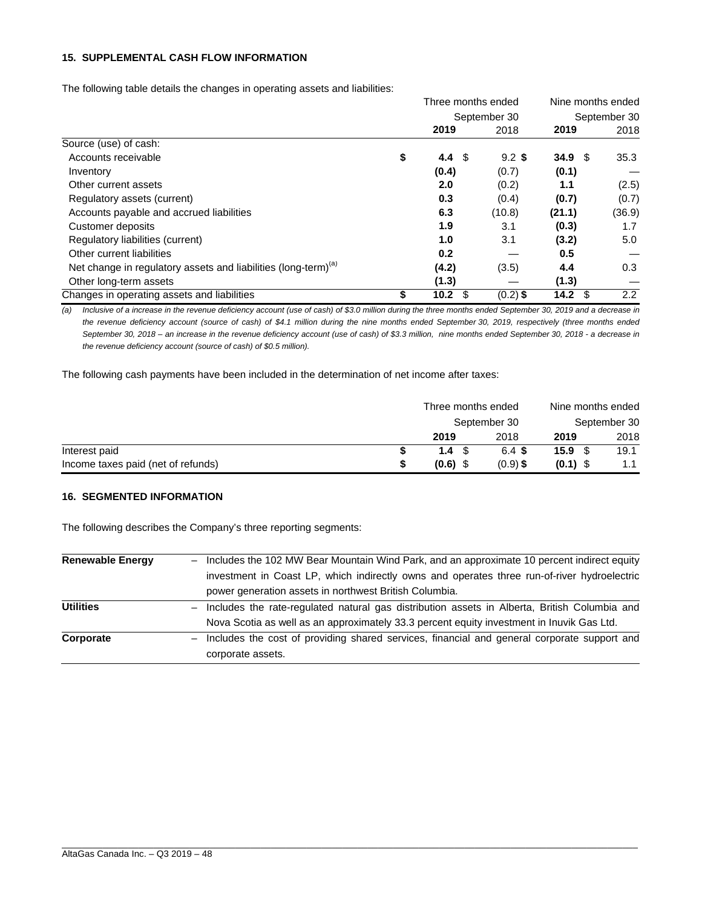#### **15. SUPPLEMENTAL CASH FLOW INFORMATION**

The following table details the changes in operating assets and liabilities:

|                                                                            | Three months ended   |              | Nine months ended<br>September 30 |        |  |
|----------------------------------------------------------------------------|----------------------|--------------|-----------------------------------|--------|--|
|                                                                            |                      | September 30 |                                   |        |  |
|                                                                            | 2019                 | 2018         | 2019                              | 2018   |  |
| Source (use) of cash:                                                      |                      |              |                                   |        |  |
| Accounts receivable                                                        | \$<br>4.4 $\sqrt{3}$ | $9.2$ \$     | 34.9 <sup>°</sup>                 | 35.3   |  |
| Inventory                                                                  | (0.4)                | (0.7)        | (0.1)                             |        |  |
| Other current assets                                                       | 2.0                  | (0.2)        | 1.1                               | (2.5)  |  |
| Regulatory assets (current)                                                | 0.3                  | (0.4)        | (0.7)                             | (0.7)  |  |
| Accounts payable and accrued liabilities                                   | 6.3                  | (10.8)       | (21.1)                            | (36.9) |  |
| Customer deposits                                                          | 1.9                  | 3.1          | (0.3)                             | 1.7    |  |
| Regulatory liabilities (current)                                           | 1.0                  | 3.1          | (3.2)                             | 5.0    |  |
| Other current liabilities                                                  | 0.2                  |              | 0.5                               |        |  |
| Net change in regulatory assets and liabilities (long-term) <sup>(a)</sup> | (4.2)                | (3.5)        | 4.4                               | 0.3    |  |
| Other long-term assets                                                     | (1.3)                |              | (1.3)                             |        |  |
| Changes in operating assets and liabilities                                | \$<br>10.2           | $(0.2)$ \$   | - \$<br>14.2                      | 2.2    |  |

*(a) Inclusive of a increase in the revenue deficiency account (use of cash) of \$3.0 million during the three months ended September 30, 2019 and a decrease in the revenue deficiency account (source of cash) of \$4.1 million during the nine months ended September 30, 2019, respectively (three months ended September 30, 2018 – an increase in the revenue deficiency account (use of cash) of \$3.3 million, nine months ended September 30, 2018 - a decrease in the revenue deficiency account (source of cash) of \$0.5 million).* 

The following cash payments have been included in the determination of net income after taxes:

|                                    | Three months ended |              | Nine months ended |      |  |
|------------------------------------|--------------------|--------------|-------------------|------|--|
|                                    |                    | September 30 | September 30      |      |  |
|                                    | 2019               | 2018         | 2019              | 2018 |  |
| Interest paid                      | 1.4 <sup>5</sup>   | 6.4 S        | 15.9 <sup>°</sup> | 19.1 |  |
| Income taxes paid (net of refunds) | $(0.6)$ \$         | $(0.9)$ \$   | $(0.1)$ \$        |      |  |

#### **16. SEGMENTED INFORMATION**

The following describes the Company's three reporting segments:

| <b>Renewable Energy</b> | Includes the 102 MW Bear Mountain Wind Park, and an approximate 10 percent indirect equity<br>$\overline{\phantom{0}}$ |
|-------------------------|------------------------------------------------------------------------------------------------------------------------|
|                         | investment in Coast LP, which indirectly owns and operates three run-of-river hydroelectric                            |
|                         | power generation assets in northwest British Columbia.                                                                 |
| <b>Utilities</b>        | Includes the rate-regulated natural gas distribution assets in Alberta, British Columbia and                           |
|                         | Nova Scotia as well as an approximately 33.3 percent equity investment in Inuvik Gas Ltd.                              |
| Corporate               | Includes the cost of providing shared services, financial and general corporate support and                            |
|                         | corporate assets.                                                                                                      |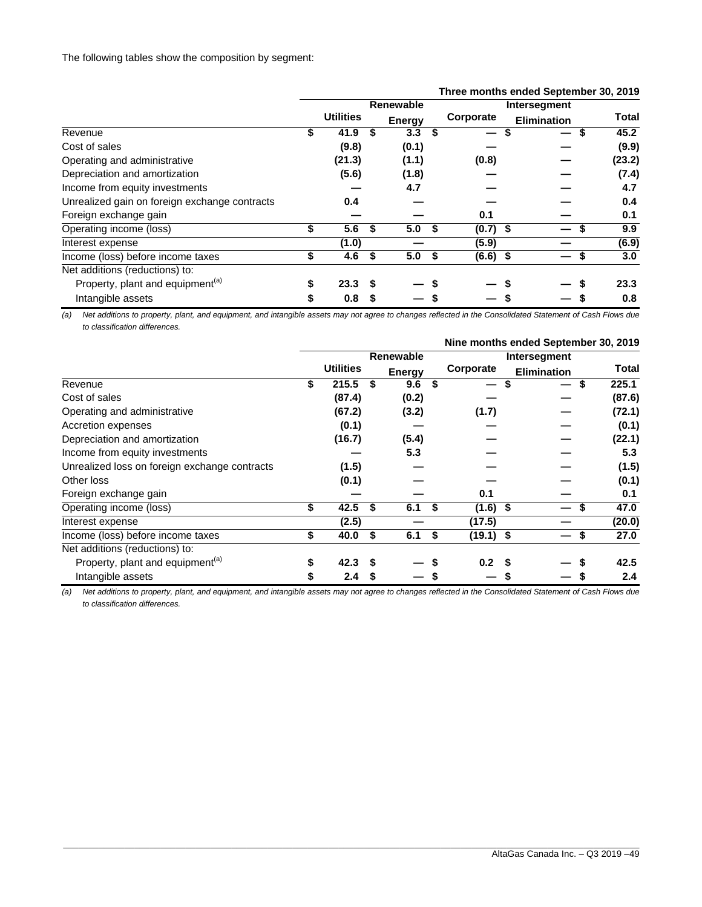|                                               |    | Three months ended September 30, 2019 |    |               |     |                          |                    |  |              |  |
|-----------------------------------------------|----|---------------------------------------|----|---------------|-----|--------------------------|--------------------|--|--------------|--|
|                                               |    |                                       |    | Renewable     |     |                          | Intersegment       |  |              |  |
|                                               |    | <b>Utilities</b>                      |    | <b>Energy</b> |     | Corporate                | <b>Elimination</b> |  | <b>Total</b> |  |
| Revenue                                       | \$ | 41.9                                  | S  | 3.3           | \$  | $\overline{\phantom{0}}$ |                    |  | 45.2         |  |
| Cost of sales                                 |    | (9.8)                                 |    | (0.1)         |     |                          |                    |  | (9.9)        |  |
| Operating and administrative                  |    | (21.3)                                |    | (1.1)         |     | (0.8)                    |                    |  | (23.2)       |  |
| Depreciation and amortization                 |    | (5.6)                                 |    | (1.8)         |     |                          |                    |  | (7.4)        |  |
| Income from equity investments                |    |                                       |    | 4.7           |     |                          |                    |  | 4.7          |  |
| Unrealized gain on foreign exchange contracts |    | 0.4                                   |    |               |     |                          |                    |  | 0.4          |  |
| Foreign exchange gain                         |    |                                       |    |               |     | 0.1                      |                    |  | 0.1          |  |
| Operating income (loss)                       | \$ | 5.6                                   | S  | 5.0           | \$  | $(0.7)$ \$               |                    |  | 9.9          |  |
| Interest expense                              |    | (1.0)                                 |    |               |     | (5.9)                    |                    |  | (6.9)        |  |
| Income (loss) before income taxes             | \$ | 4.6                                   | S. | 5.0           | -\$ | $(6.6)$ \$               |                    |  | 3.0          |  |
| Net additions (reductions) to:                |    |                                       |    |               |     |                          |                    |  |              |  |
| Property, plant and equipment <sup>(a)</sup>  | S  | 23.3                                  |    |               |     |                          |                    |  | 23.3         |  |
| Intangible assets                             | \$ | 0.8                                   |    |               |     |                          |                    |  | 0.8          |  |

#### *(a) Net additions to property, plant, and equipment, and intangible assets may not agree to changes reflected in the Consolidated Statement of Cash Flows due to classification differences.*

|                                               |    |                  |    |               |   |             |                    | Nine months ended September 30, 2019 |  |  |  |  |
|-----------------------------------------------|----|------------------|----|---------------|---|-------------|--------------------|--------------------------------------|--|--|--|--|
|                                               |    |                  |    | Renewable     |   |             | Intersegment       |                                      |  |  |  |  |
|                                               |    | <b>Utilities</b> |    | <b>Energy</b> |   | Corporate   | <b>Elimination</b> | Total                                |  |  |  |  |
| Revenue                                       | \$ | 215.5            | S  | 9.6           | S | —           | S                  | 225.1<br>S                           |  |  |  |  |
| Cost of sales                                 |    | (87.4)           |    | (0.2)         |   |             |                    | (87.6)                               |  |  |  |  |
| Operating and administrative                  |    | (67.2)           |    | (3.2)         |   | (1.7)       |                    | (72.1)                               |  |  |  |  |
| Accretion expenses                            |    | (0.1)            |    |               |   |             |                    | (0.1)                                |  |  |  |  |
| Depreciation and amortization                 |    | (16.7)           |    | (5.4)         |   |             |                    | (22.1)                               |  |  |  |  |
| Income from equity investments                |    |                  |    | 5.3           |   |             |                    | 5.3                                  |  |  |  |  |
| Unrealized loss on foreign exchange contracts |    | (1.5)            |    |               |   |             |                    | (1.5)                                |  |  |  |  |
| Other loss                                    |    | (0.1)            |    |               |   |             |                    | (0.1)                                |  |  |  |  |
| Foreign exchange gain                         |    |                  |    |               |   | 0.1         |                    | 0.1                                  |  |  |  |  |
| Operating income (loss)                       | \$ | 42.5             | \$ | 6.1           | S | $(1.6)$ \$  |                    | 47.0                                 |  |  |  |  |
| Interest expense                              |    | (2.5)            |    |               |   | (17.5)      |                    | (20.0)                               |  |  |  |  |
| Income (loss) before income taxes             | \$ | 40.0             | S  | 6.1           | S | $(19.1)$ \$ |                    | 27.0<br>S                            |  |  |  |  |
| Net additions (reductions) to:                |    |                  |    |               |   |             |                    |                                      |  |  |  |  |
| Property, plant and equipment <sup>(a)</sup>  | S  | 42.3             | S  |               |   | 0.2         | S                  | 42.5                                 |  |  |  |  |
| Intangible assets                             |    | 2.4              | S  |               |   |             |                    | 2.4                                  |  |  |  |  |

*(a) Net additions to property, plant, and equipment, and intangible assets may not agree to changes reflected in the Consolidated Statement of Cash Flows due to classification differences.* 

#### \_\_\_\_\_\_\_\_\_\_\_\_\_\_\_\_\_\_\_\_\_\_\_\_\_\_\_\_\_\_\_\_\_\_\_\_\_\_\_\_\_\_\_\_\_\_\_\_\_\_\_\_\_\_\_\_\_\_\_\_\_\_\_\_\_\_\_\_\_\_\_\_\_\_\_\_\_\_\_\_\_\_\_\_\_\_\_\_\_\_\_\_\_\_\_\_\_\_\_\_\_\_\_\_\_\_\_\_\_\_\_\_\_ AltaGas Canada Inc. – Q3 2019 –49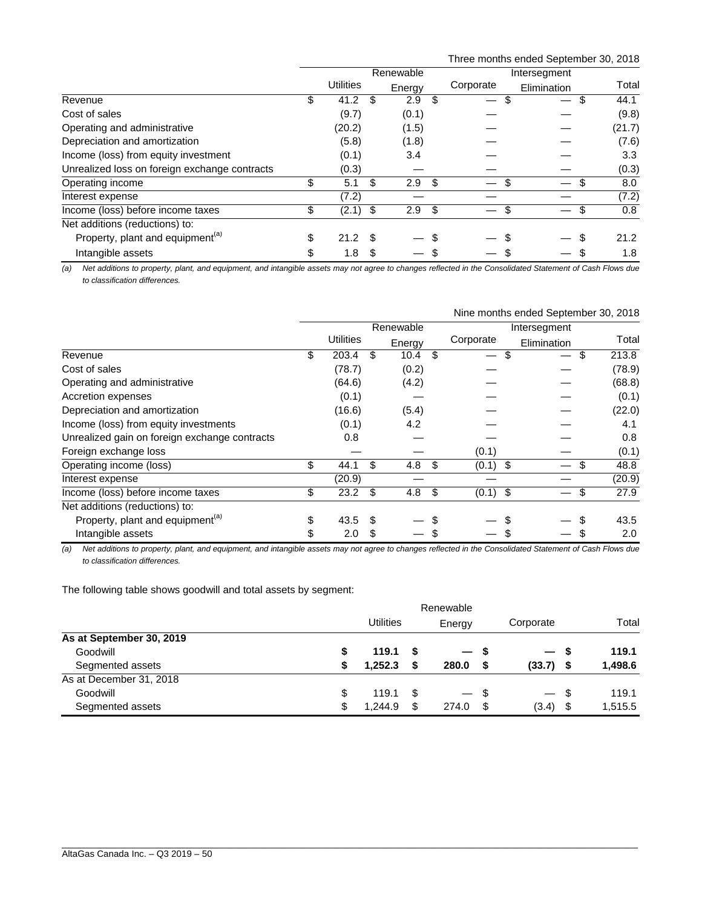Three months ended September 30, 2018

|                                               |                  |     | Renewable<br>Intersegment |      |                          |             |                  |
|-----------------------------------------------|------------------|-----|---------------------------|------|--------------------------|-------------|------------------|
|                                               | Utilities        |     | Energy                    |      | Corporate                | Elimination | Total            |
| Revenue                                       | \$<br>41.2       | \$. | 2.9                       | \$   | $\overline{\phantom{0}}$ | S           | 44.1             |
| Cost of sales                                 | (9.7)            |     | (0.1)                     |      |                          |             | (9.8)            |
| Operating and administrative                  | (20.2)           |     | (1.5)                     |      |                          |             | (21.7)           |
| Depreciation and amortization                 | (5.8)            |     | (1.8)                     |      |                          |             | (7.6)            |
| Income (loss) from equity investment          | (0.1)            |     | 3.4                       |      |                          |             | 3.3 <sub>2</sub> |
| Unrealized loss on foreign exchange contracts | (0.3)            |     |                           |      |                          |             | (0.3)            |
| Operating income                              | \$<br>5.1        | \$  | 2.9                       | - \$ |                          |             | 8.0              |
| Interest expense                              | (7.2)            |     |                           |      |                          |             | (7.2)            |
| Income (loss) before income taxes             | \$<br>$(2.1)$ \$ |     | 2.9 <sup>5</sup>          |      |                          |             | 0.8              |
| Net additions (reductions) to:                |                  |     |                           |      |                          |             |                  |
| Property, plant and equipment <sup>(a)</sup>  | \$<br>21.2       | \$. |                           | S    |                          | S           | 21.2             |
| Intangible assets                             | \$<br>1.8        | S   |                           |      |                          |             | 1.8              |

*(a) Net additions to property, plant, and equipment, and intangible assets may not agree to changes reflected in the Consolidated Statement of Cash Flows due to classification differences.* 

|                                               |           |           |     |         |     |              | Nine months ended September 30, 2018 |    |        |  |  |
|-----------------------------------------------|-----------|-----------|-----|---------|-----|--------------|--------------------------------------|----|--------|--|--|
|                                               | Renewable |           |     |         |     | Intersegment |                                      |    |        |  |  |
|                                               |           | Utilities |     | Energy  |     | Corporate    | Elimination                          |    | Total  |  |  |
| Revenue                                       | \$        | 203.4     | \$  | 10.4    | \$  | —            | \$                                   | \$ | 213.8  |  |  |
| Cost of sales                                 |           | (78.7)    |     | (0.2)   |     |              |                                      |    | (78.9) |  |  |
| Operating and administrative                  |           | (64.6)    |     | (4.2)   |     |              |                                      |    | (68.8) |  |  |
| Accretion expenses                            |           | (0.1)     |     |         |     |              |                                      |    | (0.1)  |  |  |
| Depreciation and amortization                 |           | (16.6)    |     | (5.4)   |     |              |                                      |    | (22.0) |  |  |
| Income (loss) from equity investments         |           | (0.1)     |     | 4.2     |     |              |                                      |    | 4.1    |  |  |
| Unrealized gain on foreign exchange contracts |           | 0.8       |     |         |     |              |                                      |    | 0.8    |  |  |
| Foreign exchange loss                         |           |           |     |         |     | (0.1)        |                                      |    | (0.1)  |  |  |
| Operating income (loss)                       | \$        | 44.1      | \$  | 4.8 $$$ |     | $(0.1)$ \$   |                                      | \$ | 48.8   |  |  |
| Interest expense                              |           | (20.9)    |     |         |     |              |                                      |    | (20.9) |  |  |
| Income (loss) before income taxes             | \$        | 23.2      | \$  | 4.8     | -\$ | $(0.1)$ \$   |                                      | \$ | 27.9   |  |  |
| Net additions (reductions) to:                |           |           |     |         |     |              |                                      |    |        |  |  |
| Property, plant and equipment <sup>(a)</sup>  | \$        | 43.5      | \$. |         |     |              |                                      |    | 43.5   |  |  |
| Intangible assets                             | \$        | 2.0       | \$  |         |     |              |                                      |    | 2.0    |  |  |

*(a) Net additions to property, plant, and equipment, and intangible assets may not agree to changes reflected in the Consolidated Statement of Cash Flows due to classification differences.* 

The following table shows goodwill and total assets by segment:

|                          | Renewable |                  |     |        |    |                          |      |         |
|--------------------------|-----------|------------------|-----|--------|----|--------------------------|------|---------|
|                          |           | <b>Utilities</b> |     | Energy |    | Corporate                |      | Total   |
| As at September 30, 2019 |           |                  |     |        |    |                          |      |         |
| Goodwill                 | S         | 119.1            | - S | — s    |    | $\overline{\phantom{0}}$ | - S  | 119.1   |
| Segmented assets         |           | 1.252.3          | -S  | 280.0  |    | (33.7)                   | - \$ | 1,498.6 |
| As at December 31, 2018  |           |                  |     |        |    |                          |      |         |
| Goodwill                 | \$        | 119.1            | \$. | — \$   |    | $\overline{\phantom{0}}$ | - \$ | 119.1   |
| Segmented assets         | \$        | 1.244.9          | \$  | 274.0  | \$ | (3.4)                    | \$   | 1,515.5 |